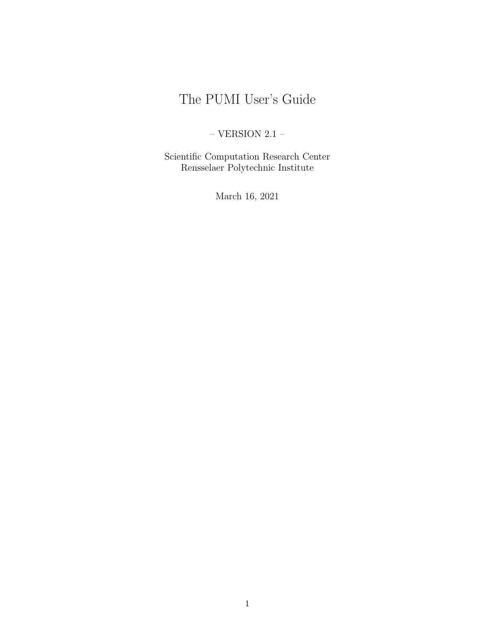# <span id="page-0-0"></span>The PUMI User's Guide

# $-$  VERSION 2.1  $-$

Scientific Computation Research Center Rensselaer Polytechnic Institute

March 16, 2021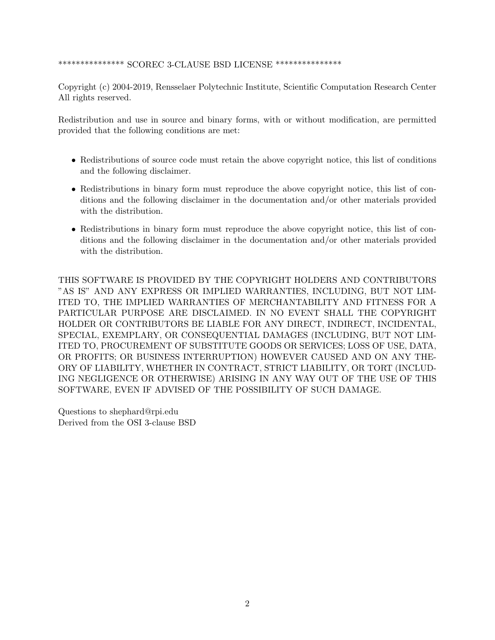#### \*\*\*\*\*\*\*\*\*\*\*\*\*\*\* SCOREC 3-CLAUSE BSD LICENSE \*\*\*\*\*\*\*\*\*\*\*\*\*\*\*

Copyright (c) 2004-2019, Rensselaer Polytechnic Institute, Scientific Computation Research Center All rights reserved.

Redistribution and use in source and binary forms, with or without modification, are permitted provided that the following conditions are met:

- Redistributions of source code must retain the above copyright notice, this list of conditions and the following disclaimer.
- Redistributions in binary form must reproduce the above copyright notice, this list of conditions and the following disclaimer in the documentation and/or other materials provided with the distribution.
- Redistributions in binary form must reproduce the above copyright notice, this list of conditions and the following disclaimer in the documentation and/or other materials provided with the distribution.

THIS SOFTWARE IS PROVIDED BY THE COPYRIGHT HOLDERS AND CONTRIBUTORS "AS IS" AND ANY EXPRESS OR IMPLIED WARRANTIES, INCLUDING, BUT NOT LIM-ITED TO, THE IMPLIED WARRANTIES OF MERCHANTABILITY AND FITNESS FOR A PARTICULAR PURPOSE ARE DISCLAIMED. IN NO EVENT SHALL THE COPYRIGHT HOLDER OR CONTRIBUTORS BE LIABLE FOR ANY DIRECT, INDIRECT, INCIDENTAL, SPECIAL, EXEMPLARY, OR CONSEQUENTIAL DAMAGES (INCLUDING, BUT NOT LIM-ITED TO, PROCUREMENT OF SUBSTITUTE GOODS OR SERVICES; LOSS OF USE, DATA, OR PROFITS; OR BUSINESS INTERRUPTION) HOWEVER CAUSED AND ON ANY THE-ORY OF LIABILITY, WHETHER IN CONTRACT, STRICT LIABILITY, OR TORT (INCLUD-ING NEGLIGENCE OR OTHERWISE) ARISING IN ANY WAY OUT OF THE USE OF THIS SOFTWARE, EVEN IF ADVISED OF THE POSSIBILITY OF SUCH DAMAGE.

Questions to shephard@rpi.edu Derived from the OSI 3-clause BSD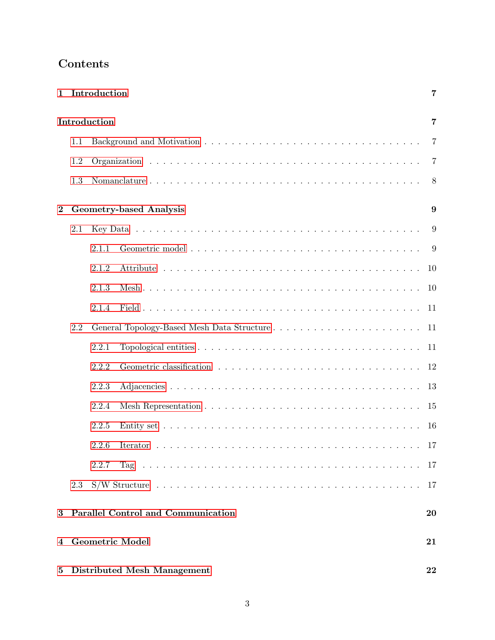| $\mathbf{1}$                                     |     | Introduction                                    | 7              |
|--------------------------------------------------|-----|-------------------------------------------------|----------------|
|                                                  |     | Introduction                                    | 7              |
|                                                  | 1.1 |                                                 | $\overline{7}$ |
|                                                  | 1.2 |                                                 |                |
|                                                  | 1.3 |                                                 |                |
| $\overline{2}$<br><b>Geometry-based Analysis</b> |     | 9                                               |                |
|                                                  | 2.1 |                                                 | 9              |
|                                                  |     | 2.1.1                                           |                |
|                                                  |     | 2.1.2                                           |                |
|                                                  |     | 2.1.3                                           |                |
|                                                  |     | 2.1.4                                           |                |
|                                                  | 2.2 |                                                 |                |
|                                                  |     | 2.2.1                                           | 11             |
|                                                  |     | 2.2.2                                           | 12             |
|                                                  |     | 2.2.3                                           | 13             |
|                                                  |     | 2.2.4                                           | 15             |
|                                                  |     | 2.2.5                                           | 16             |
|                                                  |     | 2.2.6                                           | 17             |
|                                                  |     | 2.2.7                                           | -17            |
|                                                  | 2.3 |                                                 | 17             |
| 3                                                |     | <b>Parallel Control and Communication</b><br>20 |                |
| 4                                                |     | <b>Geometric Model</b>                          | 21             |
| $\bf{5}$                                         |     | <b>Distributed Mesh Management</b>              | 22             |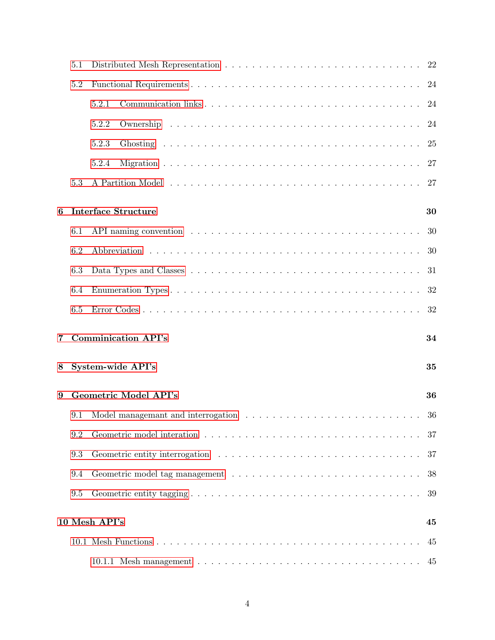|   | 5.1                          | 22                                                                                                  |    |  |
|---|------------------------------|-----------------------------------------------------------------------------------------------------|----|--|
|   | 5.2                          |                                                                                                     | 24 |  |
|   |                              | 5.2.1                                                                                               | 24 |  |
|   |                              | 5.2.2                                                                                               | 24 |  |
|   |                              | 5.2.3                                                                                               | 25 |  |
|   |                              | 5.2.4                                                                                               | 27 |  |
|   | 5.3                          |                                                                                                     | 27 |  |
| 6 |                              | <b>Interface Structure</b><br>30                                                                    |    |  |
|   | 6.1                          |                                                                                                     | 30 |  |
|   | 6.2                          |                                                                                                     | 30 |  |
|   | 6.3                          |                                                                                                     | 31 |  |
|   | 6.4                          |                                                                                                     | 32 |  |
|   | 6.5                          |                                                                                                     | 32 |  |
| 7 |                              | <b>Comminication API's</b>                                                                          | 34 |  |
| 8 |                              | System-wide API's                                                                                   | 35 |  |
| 9 | <b>Geometric Model API's</b> |                                                                                                     | 36 |  |
|   | 9.1                          | Model managemant and interrogation $\ldots \ldots \ldots \ldots \ldots \ldots \ldots \ldots \ldots$ | 36 |  |
|   | 9.2                          |                                                                                                     | 37 |  |
|   | 9.3                          |                                                                                                     | 37 |  |
|   | 9.4                          |                                                                                                     | 38 |  |
|   | 9.5                          |                                                                                                     | 39 |  |
|   |                              | 10 Mesh API's                                                                                       | 45 |  |
|   |                              |                                                                                                     | 45 |  |
|   |                              |                                                                                                     | 45 |  |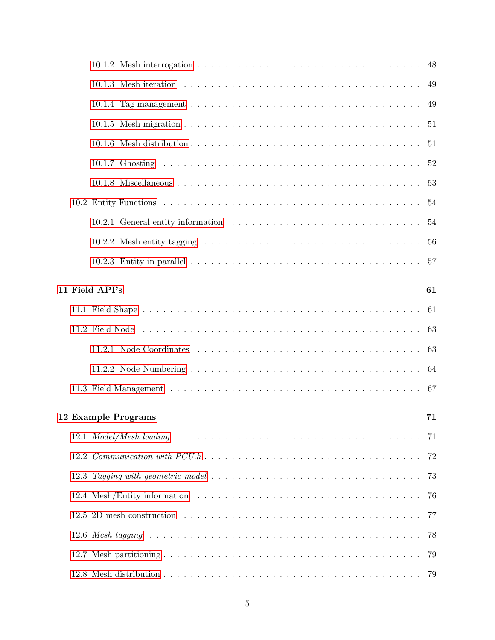|                           |  | 10.1.2 Mesh interrogation $\dots \dots \dots \dots \dots \dots \dots \dots \dots \dots \dots \dots \dots \dots$ 48 |    |
|---------------------------|--|--------------------------------------------------------------------------------------------------------------------|----|
|                           |  |                                                                                                                    | 49 |
|                           |  |                                                                                                                    | 49 |
|                           |  |                                                                                                                    | 51 |
|                           |  |                                                                                                                    | 51 |
|                           |  |                                                                                                                    | 52 |
|                           |  |                                                                                                                    | 53 |
|                           |  |                                                                                                                    | 54 |
|                           |  |                                                                                                                    | 54 |
|                           |  | 10.2.2 Mesh entity tagging $\ldots \ldots \ldots \ldots \ldots \ldots \ldots \ldots \ldots \ldots \ldots \ldots$   | 56 |
|                           |  |                                                                                                                    |    |
|                           |  | 11 Field API's                                                                                                     | 61 |
|                           |  |                                                                                                                    | 61 |
|                           |  |                                                                                                                    | 63 |
|                           |  |                                                                                                                    | 63 |
|                           |  |                                                                                                                    |    |
|                           |  |                                                                                                                    | 64 |
|                           |  |                                                                                                                    |    |
| 12 Example Programs<br>71 |  |                                                                                                                    |    |
|                           |  |                                                                                                                    |    |
|                           |  |                                                                                                                    | 72 |
|                           |  |                                                                                                                    | 73 |
|                           |  |                                                                                                                    | 76 |
|                           |  |                                                                                                                    | 77 |
|                           |  |                                                                                                                    | 78 |
|                           |  |                                                                                                                    | 79 |
|                           |  |                                                                                                                    | 79 |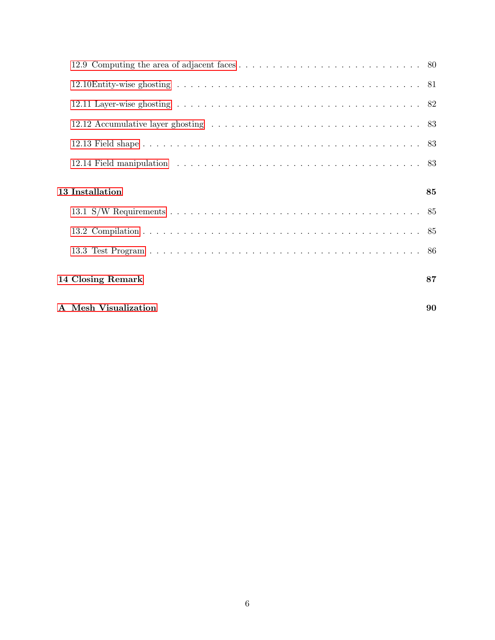| 13 Installation      | 85 |
|----------------------|----|
|                      |    |
|                      |    |
|                      |    |
| 14 Closing Remark    | 87 |
| A Mesh Visualization | 90 |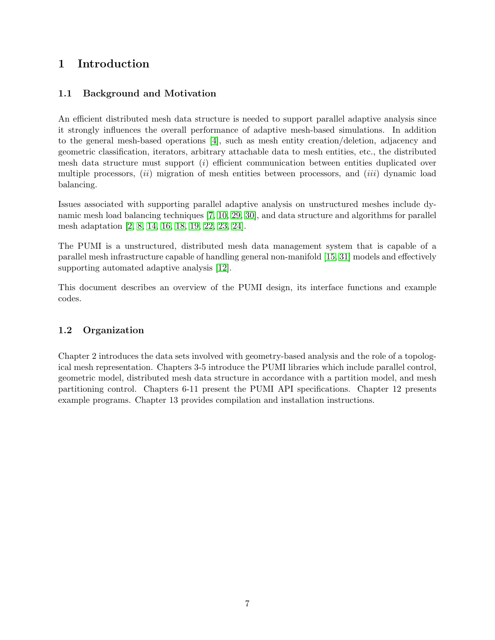# <span id="page-6-0"></span>1 Introduction

# <span id="page-6-1"></span>1.1 Background and Motivation

An efficient distributed mesh data structure is needed to support parallel adaptive analysis since it strongly influences the overall performance of adaptive mesh-based simulations. In addition to the general mesh-based operations [\[4\]](#page-87-0), such as mesh entity creation/deletion, adjacency and geometric classification, iterators, arbitrary attachable data to mesh entities, etc., the distributed mesh data structure must support  $(i)$  efficient communication between entities duplicated over multiple processors,  $(ii)$  migration of mesh entities between processors, and  $(iii)$  dynamic load balancing.

Issues associated with supporting parallel adaptive analysis on unstructured meshes include dynamic mesh load balancing techniques [\[7,](#page-87-1) [10,](#page-87-2) [29,](#page-88-0) [30\]](#page-88-1), and data structure and algorithms for parallel mesh adaptation [\[2,](#page-87-3) [8,](#page-87-4) [14,](#page-87-5) [16,](#page-88-2) [18,](#page-88-3) [19,](#page-88-4) [22,](#page-88-5) [23,](#page-88-6) [24\]](#page-88-7).

The PUMI is a unstructured, distributed mesh data management system that is capable of a parallel mesh infrastructure capable of handling general non-manifold [\[15,](#page-87-6) [31\]](#page-88-8) models and effectively supporting automated adaptive analysis [\[12\]](#page-87-7).

This document describes an overview of the PUMI design, its interface functions and example codes.

## <span id="page-6-2"></span>1.2 Organization

Chapter 2 introduces the data sets involved with geometry-based analysis and the role of a topological mesh representation. Chapters 3-5 introduce the PUMI libraries which include parallel control, geometric model, distributed mesh data structure in accordance with a partition model, and mesh partitioning control. Chapters 6-11 present the PUMI API specifications. Chapter 12 presents example programs. Chapter 13 provides compilation and installation instructions.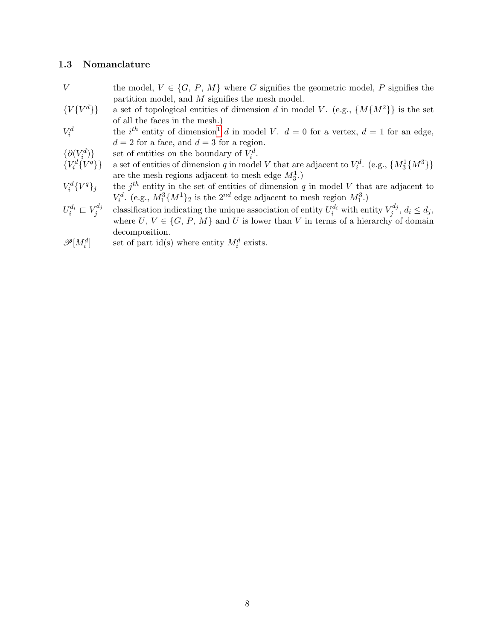#### <span id="page-7-0"></span>1.3 Nomanclature

- V the model,  $V \in \{G, P, M\}$  where G signifies the geometric model, P signifies the partition model, and M signifies the mesh model.
- ${V\{V^d\}}$ a set of topological entities of dimension d in model V. (e.g.,  ${M{M<sup>2</sup>}}$  is the set of all the faces in the mesh.)
- $V_i^d$ the i<sup>th</sup> entity of dimension<sup>[1](#page-0-0)</sup> d in model V.  $d = 0$  for a vertex,  $d = 1$  for an edge,  $d = 2$  for a face, and  $d = 3$  for a region.
- $\{\partial (V_i^d$ )} set of entities on the boundary of  $V_i^d$ .
- ${V_i^d}$ <sup>q</sup>} a set of entities of dimension q in model V that are adjacent to  $V_i^d$ . (e.g.,  $\{M_3^1\{M^3\}\}$ are the mesh regions adjacent to mesh edge  $M_3^1$ .)
- $V_i^d\{V$  ${q}_{j}$  the j<sup>th</sup> entity in the set of entities of dimension q in model V that are adjacent to  $V_i^d$ . (e.g.,  $M_1^3\{M^1\}_2$  is the  $2^{nd}$  edge adjacent to mesh region  $M_1^3$ .)
- $U_i^{d_i} \sqsubset V_j^{d_j}$ j classification indicating the unique association of entity  $U_i^{d_i}$  with entity  $V_j^{d_j}$  $j^{u_j}, d_i \leq d_j,$ where  $U, V \in \{G, P, M\}$  and U is lower than V in terms of a hierarchy of domain decomposition.
- $\mathscr{P}[M_i^d]$ set of part id(s) where entity  $M_i^d$  exists.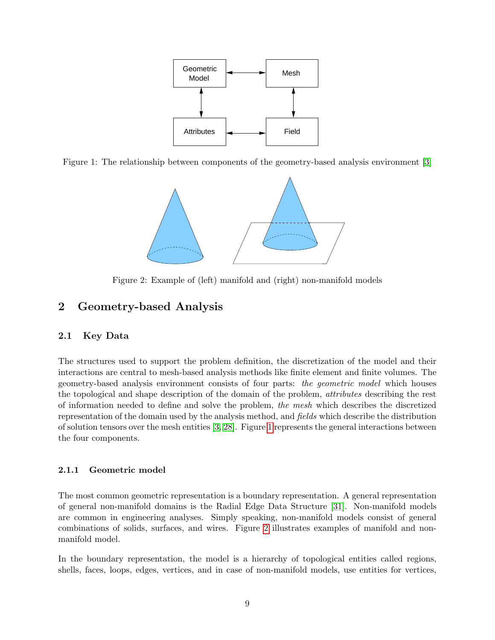<span id="page-8-3"></span>

Figure 1: The relationship between components of the geometry-based analysis environment [\[3\]](#page-87-8)

<span id="page-8-4"></span>

Figure 2: Example of (left) manifold and (right) non-manifold models

# <span id="page-8-0"></span>2 Geometry-based Analysis

## <span id="page-8-1"></span>2.1 Key Data

The structures used to support the problem definition, the discretization of the model and their interactions are central to mesh-based analysis methods like finite element and finite volumes. The geometry-based analysis environment consists of four parts: the geometric model which houses the topological and shape description of the domain of the problem, attributes describing the rest of information needed to define and solve the problem, the mesh which describes the discretized representation of the domain used by the analysis method, and fields which describe the distribution of solution tensors over the mesh entities [\[3,](#page-87-8) [28\]](#page-88-9). Figure [1](#page-8-3) represents the general interactions between the four components.

## <span id="page-8-2"></span>2.1.1 Geometric model

The most common geometric representation is a boundary representation. A general representation of general non-manifold domains is the Radial Edge Data Structure [\[31\]](#page-88-8). Non-manifold models are common in engineering analyses. Simply speaking, non-manifold models consist of general combinations of solids, surfaces, and wires. Figure [2](#page-8-4) illustrates examples of manifold and nonmanifold model.

In the boundary representation, the model is a hierarchy of topological entities called regions, shells, faces, loops, edges, vertices, and in case of non-manifold models, use entities for vertices,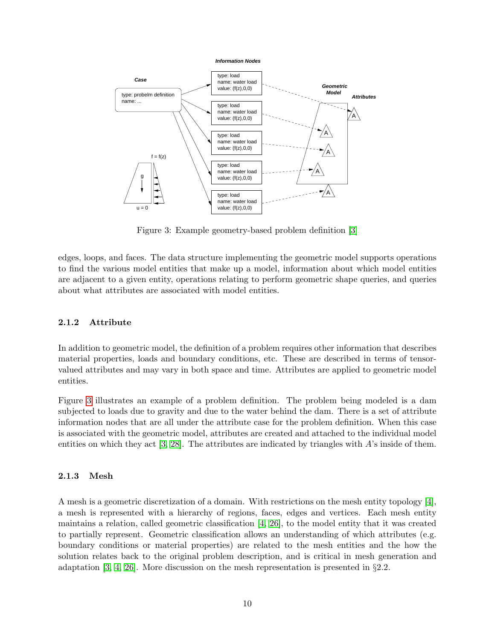

<span id="page-9-2"></span>Figure 3: Example geometry-based problem definition [\[3\]](#page-87-8)

edges, loops, and faces. The data structure implementing the geometric model supports operations to find the various model entities that make up a model, information about which model entities are adjacent to a given entity, operations relating to perform geometric shape queries, and queries about what attributes are associated with model entities.

#### <span id="page-9-0"></span>2.1.2 Attribute

In addition to geometric model, the definition of a problem requires other information that describes material properties, loads and boundary conditions, etc. These are described in terms of tensorvalued attributes and may vary in both space and time. Attributes are applied to geometric model entities.

Figure [3](#page-9-2) illustrates an example of a problem definition. The problem being modeled is a dam subjected to loads due to gravity and due to the water behind the dam. There is a set of attribute information nodes that are all under the attribute case for the problem definition. When this case is associated with the geometric model, attributes are created and attached to the individual model entities on which they act  $[3, 28]$  $[3, 28]$ . The attributes are indicated by triangles with  $A$ 's inside of them.

#### <span id="page-9-1"></span>2.1.3 Mesh

A mesh is a geometric discretization of a domain. With restrictions on the mesh entity topology [\[4\]](#page-87-0), a mesh is represented with a hierarchy of regions, faces, edges and vertices. Each mesh entity maintains a relation, called geometric classification [\[4,](#page-87-0) [26\]](#page-88-10), to the model entity that it was created to partially represent. Geometric classification allows an understanding of which attributes (e.g. boundary conditions or material properties) are related to the mesh entities and the how the solution relates back to the original problem description, and is critical in mesh generation and adaptation [\[3,](#page-87-8) [4,](#page-87-0) [26\]](#page-88-10). More discussion on the mesh representation is presented in  $\S 2.2$ .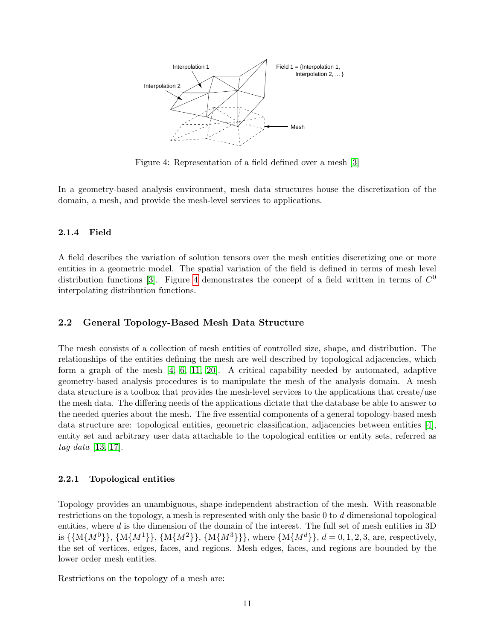

<span id="page-10-3"></span>Figure 4: Representation of a field defined over a mesh [\[3\]](#page-87-8)

In a geometry-based analysis environment, mesh data structures house the discretization of the domain, a mesh, and provide the mesh-level services to applications.

#### <span id="page-10-0"></span>2.1.4 Field

A field describes the variation of solution tensors over the mesh entities discretizing one or more entities in a geometric model. The spatial variation of the field is defined in terms of mesh level distribution functions [\[3\]](#page-87-8). Figure [4](#page-10-3) demonstrates the concept of a field written in terms of  $C^0$ interpolating distribution functions.

## <span id="page-10-1"></span>2.2 General Topology-Based Mesh Data Structure

The mesh consists of a collection of mesh entities of controlled size, shape, and distribution. The relationships of the entities defining the mesh are well described by topological adjacencies, which form a graph of the mesh [\[4,](#page-87-0) [6,](#page-87-9) [11,](#page-87-10) [20\]](#page-88-11). A critical capability needed by automated, adaptive geometry-based analysis procedures is to manipulate the mesh of the analysis domain. A mesh data structure is a toolbox that provides the mesh-level services to the applications that create/use the mesh data. The differing needs of the applications dictate that the database be able to answer to the needed queries about the mesh. The five essential components of a general topology-based mesh data structure are: topological entities, geometric classification, adjacencies between entities [\[4\]](#page-87-0), entity set and arbitrary user data attachable to the topological entities or entity sets, referred as tag data [\[13,](#page-87-11) [17\]](#page-88-12).

#### <span id="page-10-2"></span>2.2.1 Topological entities

Topology provides an unambiguous, shape-independent abstraction of the mesh. With reasonable restrictions on the topology, a mesh is represented with only the basic 0 to d dimensional topological entities, where  $d$  is the dimension of the domain of the interest. The full set of mesh entities in 3D is  $\{M\{M^0\}\}\$ ,  $\{M\{M^1\}\}\$ ,  $\{M\{M^3\}\}\$ , where  $\{M\{M^d\}\}\$ ,  $d = 0, 1, 2, 3$ , are, respectively, the set of vertices, edges, faces, and regions. Mesh edges, faces, and regions are bounded by the lower order mesh entities.

Restrictions on the topology of a mesh are: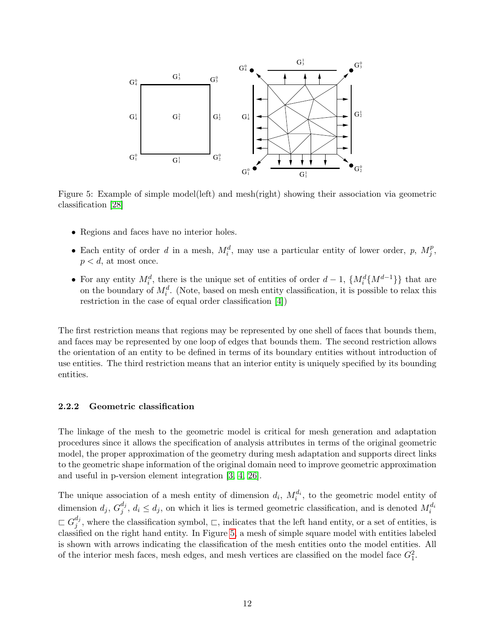<span id="page-11-1"></span>

Figure 5: Example of simple model(left) and mesh(right) showing their association via geometric classification [\[28\]](#page-88-9)

- Regions and faces have no interior holes.
- Each entity of order d in a mesh,  $M_i^d$ , may use a particular entity of lower order, p,  $M_j^p$  $_j^p,$  $p < d$ , at most once.
- For any entity  $M_i^d$ , there is the unique set of entities of order  $d-1$ ,  $\{M_i^d\{M^{d-1}\}\}\$  that are on the boundary of  $M_i^d$ . (Note, based on mesh entity classification, it is possible to relax this restriction in the case of equal order classification [\[4\]](#page-87-0))

The first restriction means that regions may be represented by one shell of faces that bounds them, and faces may be represented by one loop of edges that bounds them. The second restriction allows the orientation of an entity to be defined in terms of its boundary entities without introduction of use entities. The third restriction means that an interior entity is uniquely specified by its bounding entities.

#### <span id="page-11-0"></span>2.2.2 Geometric classification

The linkage of the mesh to the geometric model is critical for mesh generation and adaptation procedures since it allows the specification of analysis attributes in terms of the original geometric model, the proper approximation of the geometry during mesh adaptation and supports direct links to the geometric shape information of the original domain need to improve geometric approximation and useful in p-version element integration [\[3,](#page-87-8) [4,](#page-87-0) [26\]](#page-88-10).

The unique association of a mesh entity of dimension  $d_i$ ,  $M_i^{d_i}$ , to the geometric model entity of dimension  $d_j$ ,  $G_j^{d_j}$  $j^{d_j}$ ,  $d_i \leq d_j$ , on which it lies is termed geometric classification, and is denoted  $M_i^{d_i}$  $\sqsubset G_{j}^{d_j}$  $j^{u_j}$ , where the classification symbol,  $\Box$ , indicates that the left hand entity, or a set of entities, is classified on the right hand entity. In Figure [5,](#page-11-1) a mesh of simple square model with entities labeled is shown with arrows indicating the classification of the mesh entities onto the model entities. All of the interior mesh faces, mesh edges, and mesh vertices are classified on the model face  $G_1^2$ .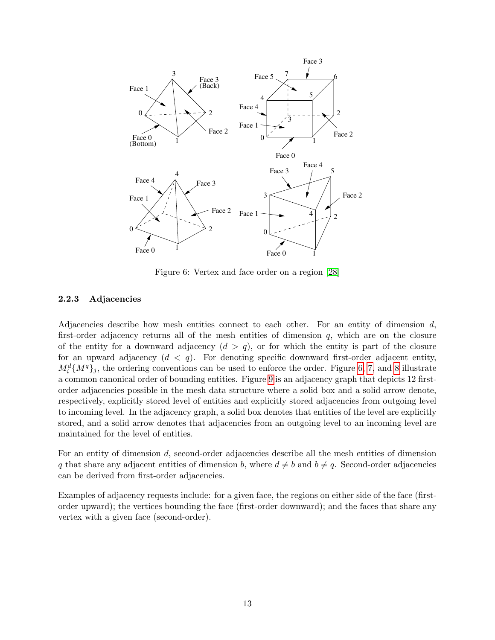

<span id="page-12-1"></span>Figure 6: Vertex and face order on a region [\[28\]](#page-88-9)

#### <span id="page-12-0"></span>2.2.3 Adjacencies

Adjacencies describe how mesh entities connect to each other. For an entity of dimension  $d$ , first-order adjacency returns all of the mesh entities of dimension  $q$ , which are on the closure of the entity for a downward adjacency  $(d > q)$ , or for which the entity is part of the closure for an upward adjacency  $(d < q)$ . For denoting specific downward first-order adjacent entity,  $M_i^d \{M^q\}_j$ , the ordering conventions can be used to enforce the order. Figure [6,](#page-12-1) [7,](#page-13-0) and [8](#page-13-1) illustrate a common canonical order of bounding entities. Figure [9](#page-13-2) is an adjacency graph that depicts 12 firstorder adjacencies possible in the mesh data structure where a solid box and a solid arrow denote, respectively, explicitly stored level of entities and explicitly stored adjacencies from outgoing level to incoming level. In the adjacency graph, a solid box denotes that entities of the level are explicitly stored, and a solid arrow denotes that adjacencies from an outgoing level to an incoming level are maintained for the level of entities.

For an entity of dimension d, second-order adjacencies describe all the mesh entities of dimension q that share any adjacent entities of dimension b, where  $d \neq b$  and  $b \neq q$ . Second-order adjacencies can be derived from first-order adjacencies.

Examples of adjacency requests include: for a given face, the regions on either side of the face (firstorder upward); the vertices bounding the face (first-order downward); and the faces that share any vertex with a given face (second-order).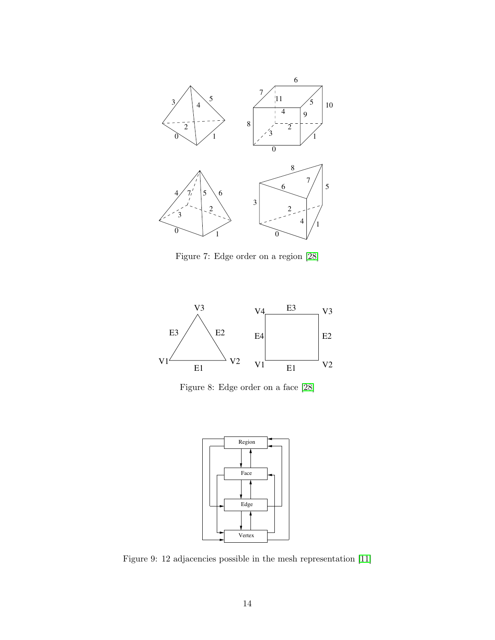

<span id="page-13-0"></span>Figure 7: Edge order on a region [\[28\]](#page-88-9)



Figure 8: Edge order on a face [\[28\]](#page-88-9)

<span id="page-13-2"></span><span id="page-13-1"></span>

Figure 9: 12 adjacencies possible in the mesh representation [\[11\]](#page-87-10)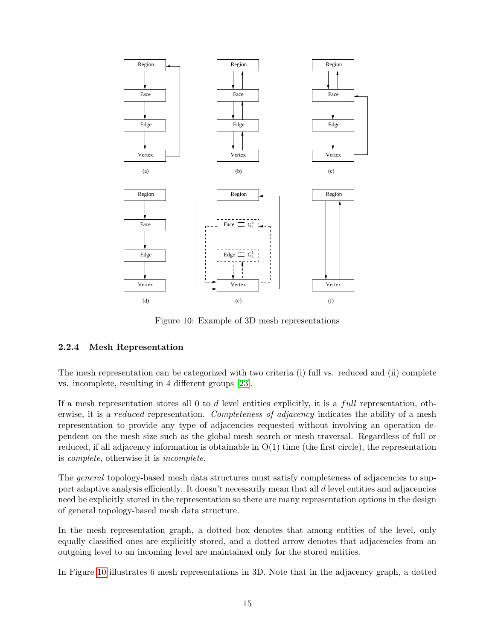

<span id="page-14-1"></span>Figure 10: Example of 3D mesh representations

## <span id="page-14-0"></span>2.2.4 Mesh Representation

The mesh representation can be categorized with two criteria (i) full vs. reduced and (ii) complete vs. incomplete, resulting in 4 different groups [\[23\]](#page-88-6).

If a mesh representation stores all 0 to  $d$  level entities explicitly, it is a full representation, otherwise, it is a *reduced* representation. Completeness of adjacency indicates the ability of a mesh representation to provide any type of adjacencies requested without involving an operation dependent on the mesh size such as the global mesh search or mesh traversal. Regardless of full or reduced, if all adjacency information is obtainable in  $O(1)$  time (the first circle), the representation is complete, otherwise it is incomplete.

The *general* topology-based mesh data structures must satisfy completeness of adjacencies to support adaptive analysis efficiently. It doesn't necessarily mean that all d level entities and adjacencies need be explicitly stored in the representation so there are many representation options in the design of general topology-based mesh data structure.

In the mesh representation graph, a dotted box denotes that among entities of the level, only equally classified ones are explicitly stored, and a dotted arrow denotes that adjacencies from an outgoing level to an incoming level are maintained only for the stored entities.

In Figure [10](#page-14-1) illustrates 6 mesh representations in 3D. Note that in the adjacency graph, a dotted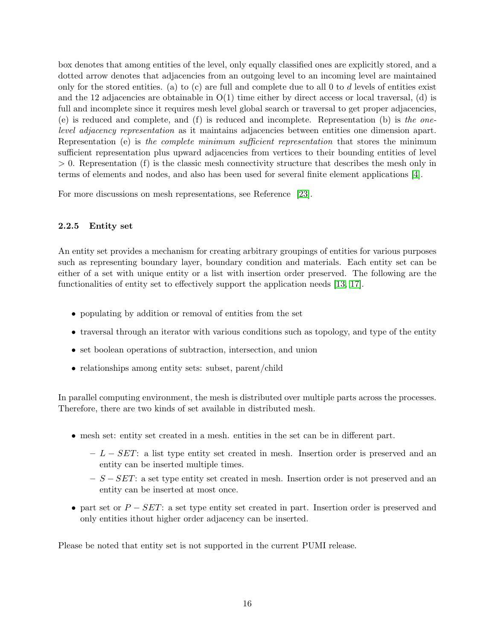box denotes that among entities of the level, only equally classified ones are explicitly stored, and a dotted arrow denotes that adjacencies from an outgoing level to an incoming level are maintained only for the stored entities. (a) to (c) are full and complete due to all 0 to d levels of entities exist and the 12 adjacencies are obtainable in  $O(1)$  time either by direct access or local traversal, (d) is full and incomplete since it requires mesh level global search or traversal to get proper adjacencies, (e) is reduced and complete, and (f) is reduced and incomplete. Representation (b) is the onelevel adjacency representation as it maintains adjacencies between entities one dimension apart. Representation (e) is the complete minimum sufficient representation that stores the minimum sufficient representation plus upward adjacencies from vertices to their bounding entities of level  $> 0$ . Representation (f) is the classic mesh connectivity structure that describes the mesh only in terms of elements and nodes, and also has been used for several finite element applications [\[4\]](#page-87-0).

For more discussions on mesh representations, see Reference [\[23\]](#page-88-6).

#### <span id="page-15-0"></span>2.2.5 Entity set

An entity set provides a mechanism for creating arbitrary groupings of entities for various purposes such as representing boundary layer, boundary condition and materials. Each entity set can be either of a set with unique entity or a list with insertion order preserved. The following are the functionalities of entity set to effectively support the application needs [\[13,](#page-87-11) [17\]](#page-88-12).

- populating by addition or removal of entities from the set
- traversal through an iterator with various conditions such as topology, and type of the entity
- set boolean operations of subtraction, intersection, and union
- relationships among entity sets: subset, parent/child

In parallel computing environment, the mesh is distributed over multiple parts across the processes. Therefore, there are two kinds of set available in distributed mesh.

- mesh set: entity set created in a mesh. entities in the set can be in different part.
	- $-L SET$ : a list type entity set created in mesh. Insertion order is preserved and an entity can be inserted multiple times.
	- $S SET$ : a set type entity set created in mesh. Insertion order is not preserved and an entity can be inserted at most once.
- part set or  $P SET$ : a set type entity set created in part. Insertion order is preserved and only entities ithout higher order adjacency can be inserted.

Please be noted that entity set is not supported in the current PUMI release.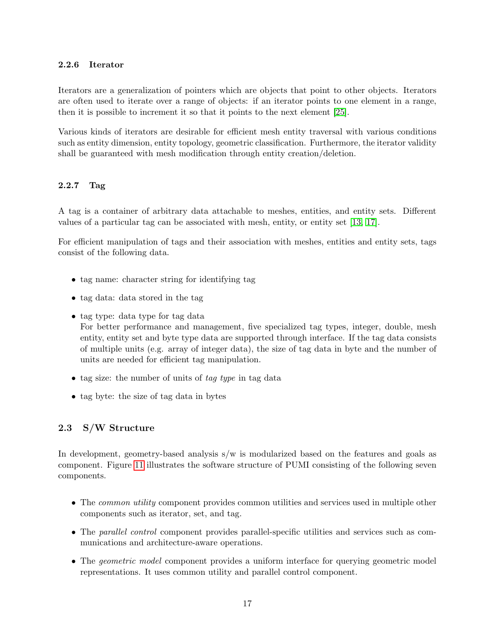#### <span id="page-16-0"></span>2.2.6 Iterator

Iterators are a generalization of pointers which are objects that point to other objects. Iterators are often used to iterate over a range of objects: if an iterator points to one element in a range, then it is possible to increment it so that it points to the next element [\[25\]](#page-88-13).

Various kinds of iterators are desirable for efficient mesh entity traversal with various conditions such as entity dimension, entity topology, geometric classification. Furthermore, the iterator validity shall be guaranteed with mesh modification through entity creation/deletion.

## <span id="page-16-1"></span>2.2.7 Tag

A tag is a container of arbitrary data attachable to meshes, entities, and entity sets. Different values of a particular tag can be associated with mesh, entity, or entity set [\[13,](#page-87-11) [17\]](#page-88-12).

For efficient manipulation of tags and their association with meshes, entities and entity sets, tags consist of the following data.

- tag name: character string for identifying tag
- tag data: data stored in the tag
- tag type: data type for tag data

For better performance and management, five specialized tag types, integer, double, mesh entity, entity set and byte type data are supported through interface. If the tag data consists of multiple units (e.g. array of integer data), the size of tag data in byte and the number of units are needed for efficient tag manipulation.

- tag size: the number of units of tag type in tag data
- tag byte: the size of tag data in bytes

## <span id="page-16-2"></span>2.3 S/W Structure

In development, geometry-based analysis s/w is modularized based on the features and goals as component. Figure [11](#page-17-0) illustrates the software structure of PUMI consisting of the following seven components.

- The *common utility* component provides common utilities and services used in multiple other components such as iterator, set, and tag.
- The *parallel control* component provides parallel-specific utilities and services such as communications and architecture-aware operations.
- The *geometric model* component provides a uniform interface for querying geometric model representations. It uses common utility and parallel control component.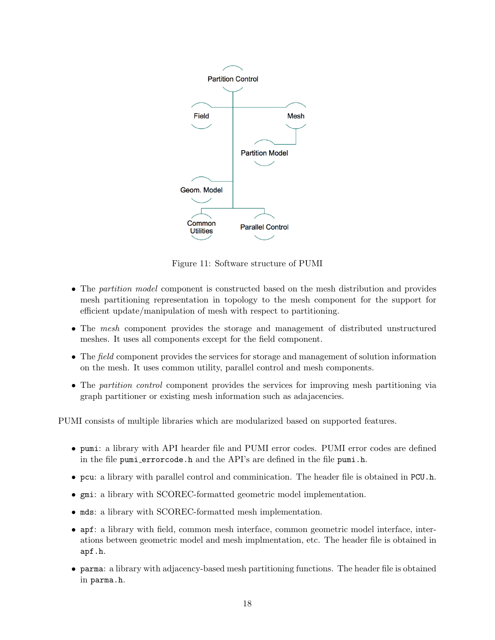

<span id="page-17-0"></span>Figure 11: Software structure of PUMI

- The partition model component is constructed based on the mesh distribution and provides mesh partitioning representation in topology to the mesh component for the support for efficient update/manipulation of mesh with respect to partitioning.
- The mesh component provides the storage and management of distributed unstructured meshes. It uses all components except for the field component.
- The field component provides the services for storage and management of solution information on the mesh. It uses common utility, parallel control and mesh components.
- The partition control component provides the services for improving mesh partitioning via graph partitioner or existing mesh information such as adajacencies.

PUMI consists of multiple libraries which are modularized based on supported features.

- pumi: a library with API hearder file and PUMI error codes. PUMI error codes are defined in the file pumi errorcode.h and the API's are defined in the file pumi.h.
- pcu: a library with parallel control and comminication. The header file is obtained in PCU.h.
- gmi: a library with SCOREC-formatted geometric model implementation.
- mds: a library with SCOREC-formatted mesh implementation.
- apf: a library with field, common mesh interface, common geometric model interface, interations between geometric model and mesh implmentation, etc. The header file is obtained in apf.h.
- parma: a library with adjacency-based mesh partitioning functions. The header file is obtained in parma.h.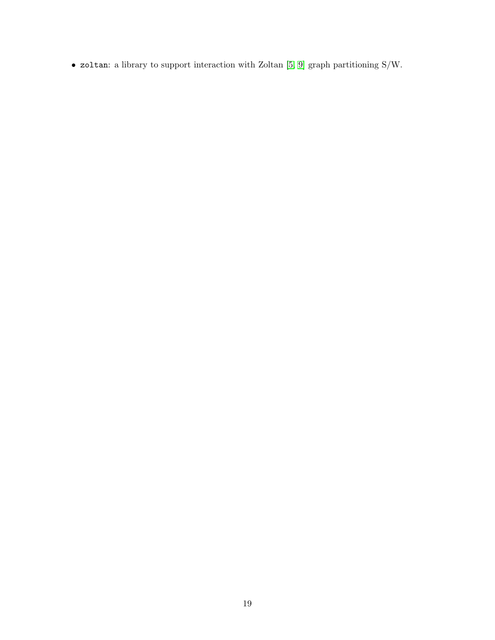• zoltan: a library to support interaction with Zoltan [\[5,](#page-87-12) [9\]](#page-87-13) graph partitioning S/W.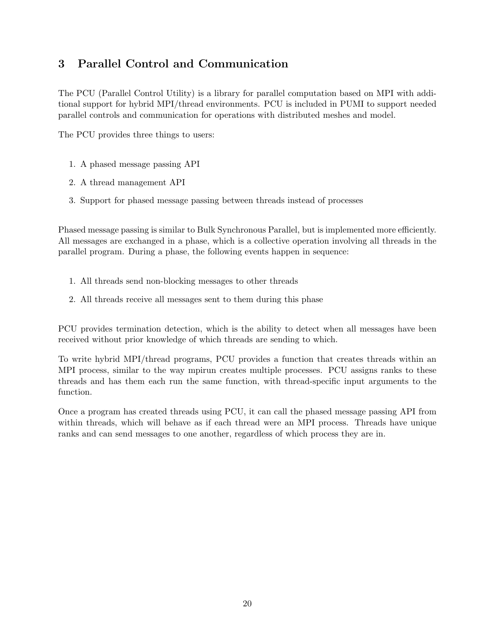# <span id="page-19-0"></span>3 Parallel Control and Communication

The PCU (Parallel Control Utility) is a library for parallel computation based on MPI with additional support for hybrid MPI/thread environments. PCU is included in PUMI to support needed parallel controls and communication for operations with distributed meshes and model.

The PCU provides three things to users:

- 1. A phased message passing API
- 2. A thread management API
- 3. Support for phased message passing between threads instead of processes

Phased message passing is similar to Bulk Synchronous Parallel, but is implemented more efficiently. All messages are exchanged in a phase, which is a collective operation involving all threads in the parallel program. During a phase, the following events happen in sequence:

- 1. All threads send non-blocking messages to other threads
- 2. All threads receive all messages sent to them during this phase

PCU provides termination detection, which is the ability to detect when all messages have been received without prior knowledge of which threads are sending to which.

To write hybrid MPI/thread programs, PCU provides a function that creates threads within an MPI process, similar to the way mpirun creates multiple processes. PCU assigns ranks to these threads and has them each run the same function, with thread-specific input arguments to the function.

Once a program has created threads using PCU, it can call the phased message passing API from within threads, which will behave as if each thread were an MPI process. Threads have unique ranks and can send messages to one another, regardless of which process they are in.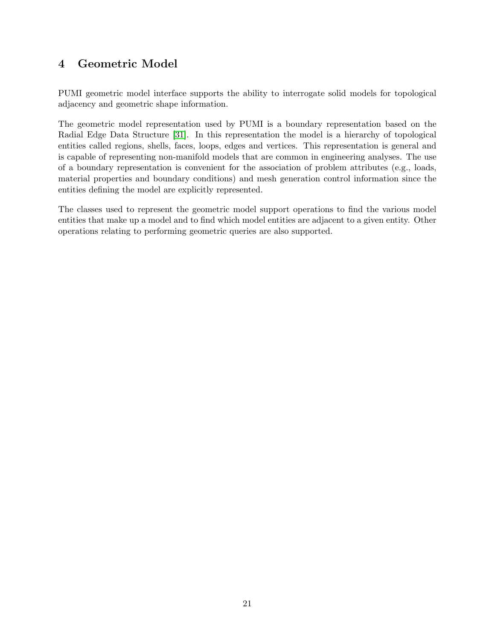# <span id="page-20-0"></span>4 Geometric Model

PUMI geometric model interface supports the ability to interrogate solid models for topological adjacency and geometric shape information.

The geometric model representation used by PUMI is a boundary representation based on the Radial Edge Data Structure [\[31\]](#page-88-8). In this representation the model is a hierarchy of topological entities called regions, shells, faces, loops, edges and vertices. This representation is general and is capable of representing non-manifold models that are common in engineering analyses. The use of a boundary representation is convenient for the association of problem attributes (e.g., loads, material properties and boundary conditions) and mesh generation control information since the entities defining the model are explicitly represented.

The classes used to represent the geometric model support operations to find the various model entities that make up a model and to find which model entities are adjacent to a given entity. Other operations relating to performing geometric queries are also supported.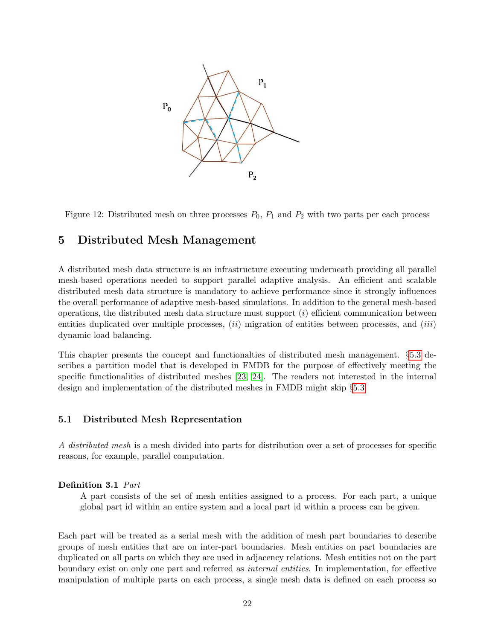<span id="page-21-2"></span>

Figure 12: Distributed mesh on three processes  $P_0$ ,  $P_1$  and  $P_2$  with two parts per each process

# <span id="page-21-0"></span>5 Distributed Mesh Management

A distributed mesh data structure is an infrastructure executing underneath providing all parallel mesh-based operations needed to support parallel adaptive analysis. An efficient and scalable distributed mesh data structure is mandatory to achieve performance since it strongly influences the overall performance of adaptive mesh-based simulations. In addition to the general mesh-based operations, the distributed mesh data structure must support  $(i)$  efficient communication between entities duplicated over multiple processes,  $(ii)$  migration of entities between processes, and  $(iii)$ dynamic load balancing.

This chapter presents the concept and functionalties of distributed mesh management. §[5.3](#page-26-1) describes a partition model that is developed in FMDB for the purpose of effectively meeting the specific functionalities of distributed meshes [\[23,](#page-88-6) [24\]](#page-88-7). The readers not interested in the internal design and implementation of the distributed meshes in FMDB might skip §[5.3](#page-26-1)

#### <span id="page-21-1"></span>5.1 Distributed Mesh Representation

A distributed mesh is a mesh divided into parts for distribution over a set of processes for specific reasons, for example, parallel computation.

#### Definition 3.1 Part

A part consists of the set of mesh entities assigned to a process. For each part, a unique global part id within an entire system and a local part id within a process can be given.

Each part will be treated as a serial mesh with the addition of mesh part boundaries to describe groups of mesh entities that are on inter-part boundaries. Mesh entities on part boundaries are duplicated on all parts on which they are used in adjacency relations. Mesh entities not on the part boundary exist on only one part and referred as internal entities. In implementation, for effective manipulation of multiple parts on each process, a single mesh data is defined on each process so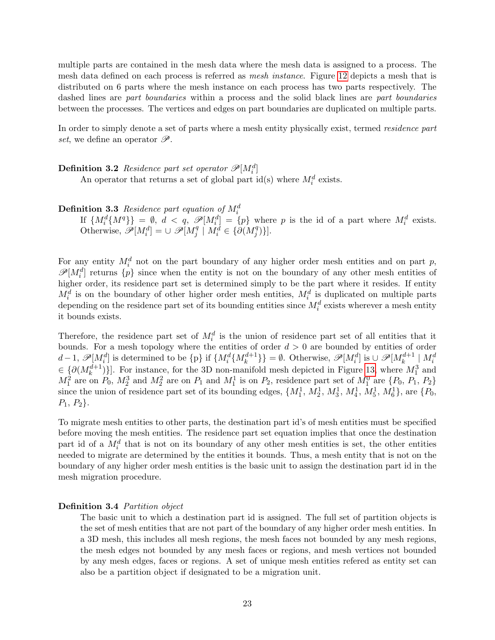multiple parts are contained in the mesh data where the mesh data is assigned to a process. The mesh data defined on each process is referred as mesh instance. Figure [12](#page-21-2) depicts a mesh that is distributed on 6 parts where the mesh instance on each process has two parts respectively. The dashed lines are part boundaries within a process and the solid black lines are part boundaries between the processes. The vertices and edges on part boundaries are duplicated on multiple parts.

In order to simply denote a set of parts where a mesh entity physically exist, termed *residence part* set, we define an operator  $\mathscr{P}.$ 

**Definition 3.2** Residence part set operator  $\mathscr{P}[M_i^d]$ 

An operator that returns a set of global part id(s) where  $M_i^d$  exists.

**Definition 3.3** Residence part equation of  $M_i^d$ <br>
If  $\{M_i^d\{M^q\}\} = [0, d < q, \mathcal{P}[M_i^d] = \{p\}$  where p is the id of a part where  $M_i^d$  exists. Otherwise,  $\widetilde{\mathscr{P}}[M_i^d] = \cup \ \mathscr{P}[M_j^d]$  $j^q \mid M_i^d \in \{ \partial (M_j^q) \}$  $_{j}^{q})\}.$ 

For any entity  $M_i^d$  not on the part boundary of any higher order mesh entities and on part p,  $\mathscr{P}[M_i^d]$  returns  $\{p\}$  since when the entity is not on the boundary of any other mesh entities of higher order, its residence part set is determined simply to be the part where it resides. If entity  $M_i^d$  is on the boundary of other higher order mesh entities,  $M_i^d$  is duplicated on multiple parts depending on the residence part set of its bounding entities since  $M_i^d$  exists wherever a mesh entity it bounds exists.

Therefore, the residence part set of  $M_i^d$  is the union of residence part set of all entities that it bounds. For a mesh topology where the entities of order  $d > 0$  are bounded by entities of order  $d-1$ ,  $\mathscr{P}[M_i^d]$  is determined to be  $\{p\}$  if  $\{M_i^d\{M_k^{d+1}\}\} = \emptyset$ . Otherwise,  $\mathscr{P}[M_i^d]$  is  $\cup \mathscr{P}[M_k^{d+1} | M_i^d]$  $\in \{ \partial (M_k^{d+1}) \}$ . For instance, for the 3D non-manifold mesh depicted in Figure [13,](#page-23-3) where  $M_1^3$  and  $M_1^2$  are on  $P_0$ ,  $M_2^3$  and  $M_2^2$  are on  $P_1$  and  $M_1^1$  is on  $P_2$ , residence part set of  $M_1^0$  are  $\{P_0, P_1, P_2\}$ since the union of residence part set of its bounding edges,  $\{M_1^1, M_2^1, M_3^1, M_4^1, M_5^1, M_6^1\}$ , are  $\{P_0,$  $P_1, P_2$ .

To migrate mesh entities to other parts, the destination part id's of mesh entities must be specified before moving the mesh entities. The residence part set equation implies that once the destination part id of a  $M_i^d$  that is not on its boundary of any other mesh entities is set, the other entities needed to migrate are determined by the entities it bounds. Thus, a mesh entity that is not on the boundary of any higher order mesh entities is the basic unit to assign the destination part id in the mesh migration procedure.

#### Definition 3.4 Partition object

The basic unit to which a destination part id is assigned. The full set of partition objects is the set of mesh entities that are not part of the boundary of any higher order mesh entities. In a 3D mesh, this includes all mesh regions, the mesh faces not bounded by any mesh regions, the mesh edges not bounded by any mesh faces or regions, and mesh vertices not bounded by any mesh edges, faces or regions. A set of unique mesh entities refered as entity set can also be a partition object if designated to be a migration unit.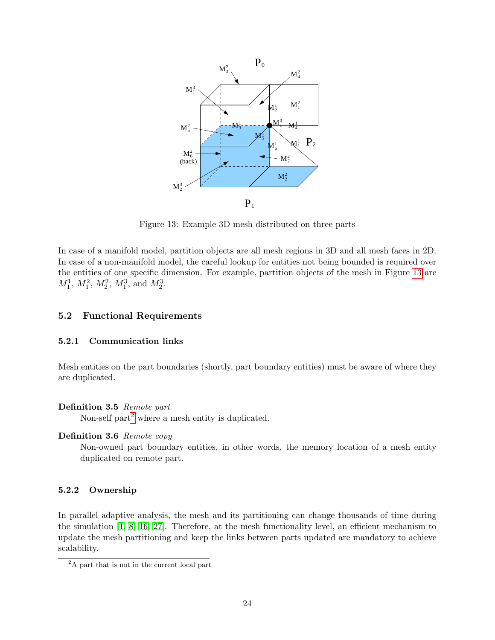

<span id="page-23-3"></span>Figure 13: Example 3D mesh distributed on three parts

In case of a manifold model, partition objects are all mesh regions in 3D and all mesh faces in 2D. In case of a non-manifold model, the careful lookup for entities not being bounded is required over the entities of one specific dimension. For example, partition objects of the mesh in Figure [13](#page-23-3) are  $M_1^1, M_1^2, M_2^2, M_1^3$ , and  $M_2^3$ .

#### <span id="page-23-0"></span>5.2 Functional Requirements

#### <span id="page-23-1"></span>5.2.1 Communication links

Mesh entities on the part boundaries (shortly, part boundary entities) must be aware of where they are duplicated.

#### Definition 3.5 Remote part

Non-self part<sup>[2](#page-23-4)</sup> where a mesh entity is duplicated.

#### Definition 3.6 Remote copy

Non-owned part boundary entities, in other words, the memory location of a mesh entity duplicated on remote part.

#### <span id="page-23-2"></span>5.2.2 Ownership

In parallel adaptive analysis, the mesh and its partitioning can change thousands of time during the simulation [\[1,](#page-87-14) [8,](#page-87-4) [16,](#page-88-2) [27\]](#page-88-14). Therefore, at the mesh functionality level, an efficient mechanism to update the mesh partitioning and keep the links between parts updated are mandatory to achieve scalability.

<span id="page-23-4"></span><sup>&</sup>lt;sup>2</sup>A part that is not in the current local part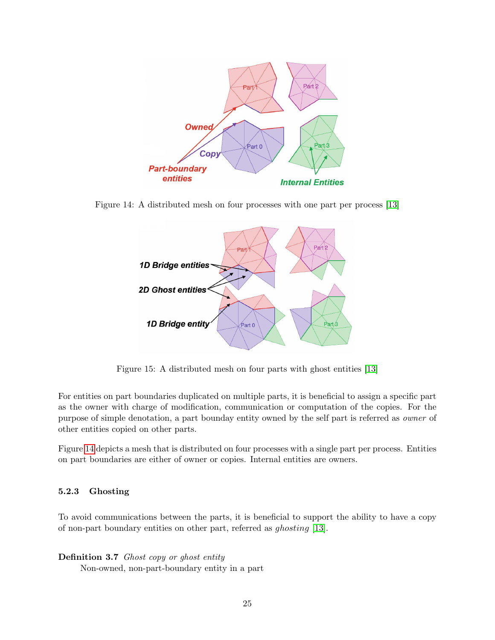

Figure 14: A distributed mesh on four processes with one part per process [\[13\]](#page-87-11)

<span id="page-24-1"></span>

<span id="page-24-2"></span>Figure 15: A distributed mesh on four parts with ghost entities [\[13\]](#page-87-11)

For entities on part boundaries duplicated on multiple parts, it is beneficial to assign a specific part as the owner with charge of modification, communication or computation of the copies. For the purpose of simple denotation, a part bounday entity owned by the self part is referred as owner of other entities copied on other parts.

Figure [14](#page-24-1) depicts a mesh that is distributed on four processes with a single part per process. Entities on part boundaries are either of owner or copies. Internal entities are owners.

#### <span id="page-24-0"></span>5.2.3 Ghosting

To avoid communications between the parts, it is beneficial to support the ability to have a copy of non-part boundary entities on other part, referred as ghosting [\[13\]](#page-87-11).

#### Definition 3.7 Ghost copy or ghost entity

Non-owned, non-part-boundary entity in a part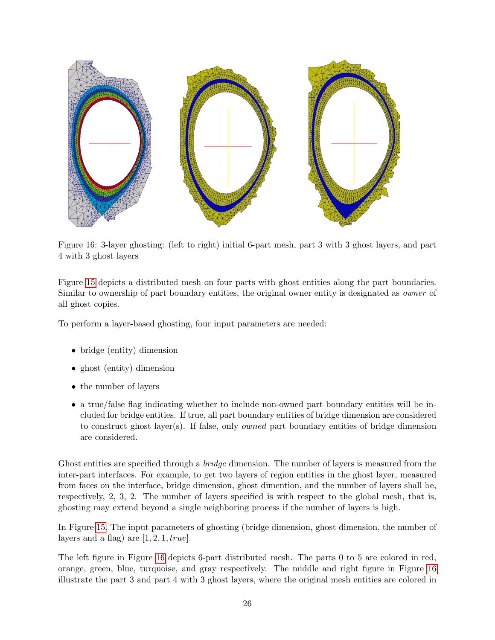

<span id="page-25-0"></span>Figure 16: 3-layer ghosting: (left to right) initial 6-part mesh, part 3 with 3 ghost layers, and part 4 with 3 ghost layers

Figure [15](#page-24-2) depicts a distributed mesh on four parts with ghost entities along the part boundaries. Similar to ownership of part boundary entities, the original owner entity is designated as owner of all ghost copies.

To perform a layer-based ghosting, four input parameters are needed:

- bridge (entity) dimension
- ghost (entity) dimension
- the number of layers
- a true/false flag indicating whether to include non-owned part boundary entities will be included for bridge entities. If true, all part boundary entities of bridge dimension are considered to construct ghost layer(s). If false, only owned part boundary entities of bridge dimension are considered.

Ghost entities are specified through a *bridge* dimension. The number of layers is measured from the inter-part interfaces. For example, to get two layers of region entities in the ghost layer, measured from faces on the interface, bridge dimension, ghost dimention, and the number of layers shall be, respectively, 2, 3, 2. The number of layers specified is with respect to the global mesh, that is, ghosting may extend beyond a single neighboring process if the number of layers is high.

In Figure [15,](#page-24-2) The input parameters of ghosting (bridge dimension, ghost dimension, the number of layers and a flag) are  $[1, 2, 1, true]$ .

The left figure in Figure [16](#page-25-0) depicts 6-part distributed mesh. The parts 0 to 5 are colored in red, orange, green, blue, turquoise, and gray respectively. The middle and right figure in Figure [16](#page-25-0) illustrate the part 3 and part 4 with 3 ghost layers, where the original mesh entities are colored in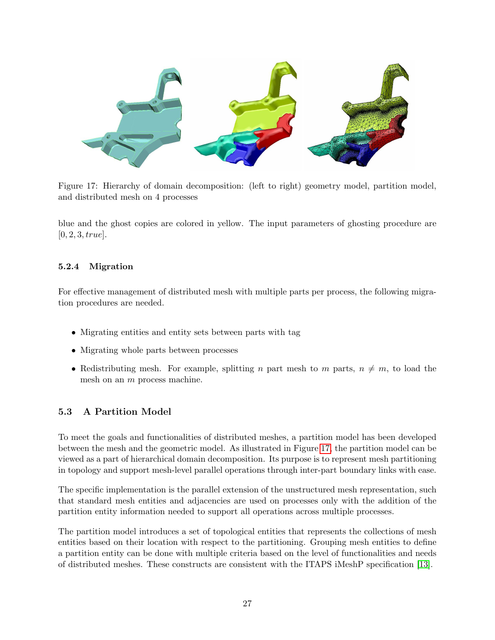

Figure 17: Hierarchy of domain decomposition: (left to right) geometry model, partition model, and distributed mesh on 4 processes

<span id="page-26-2"></span>blue and the ghost copies are colored in yellow. The input parameters of ghosting procedure are  $[0, 2, 3, true].$ 

## <span id="page-26-0"></span>5.2.4 Migration

For effective management of distributed mesh with multiple parts per process, the following migration procedures are needed.

- Migrating entities and entity sets between parts with tag
- Migrating whole parts between processes
- Redistributing mesh. For example, splitting n part mesh to m parts,  $n \neq m$ , to load the mesh on an m process machine.

## <span id="page-26-1"></span>5.3 A Partition Model

To meet the goals and functionalities of distributed meshes, a partition model has been developed between the mesh and the geometric model. As illustrated in Figure [17,](#page-26-2) the partition model can be viewed as a part of hierarchical domain decomposition. Its purpose is to represent mesh partitioning in topology and support mesh-level parallel operations through inter-part boundary links with ease.

The specific implementation is the parallel extension of the unstructured mesh representation, such that standard mesh entities and adjacencies are used on processes only with the addition of the partition entity information needed to support all operations across multiple processes.

The partition model introduces a set of topological entities that represents the collections of mesh entities based on their location with respect to the partitioning. Grouping mesh entities to define a partition entity can be done with multiple criteria based on the level of functionalities and needs of distributed meshes. These constructs are consistent with the ITAPS iMeshP specification [\[13\]](#page-87-11).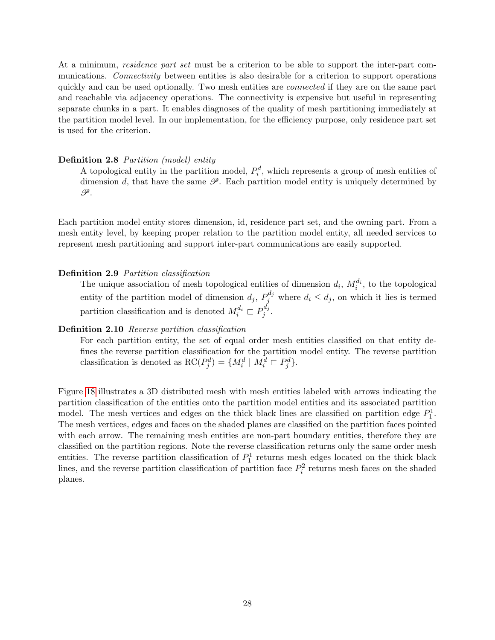At a minimum, *residence part set* must be a criterion to be able to support the inter-part communications. Connectivity between entities is also desirable for a criterion to support operations quickly and can be used optionally. Two mesh entities are *connected* if they are on the same part and reachable via adjacency operations. The connectivity is expensive but useful in representing separate chunks in a part. It enables diagnoses of the quality of mesh partitioning immediately at the partition model level. In our implementation, for the efficiency purpose, only residence part set is used for the criterion.

#### Definition 2.8 Partition (model) entity

A topological entity in the partition model,  $P_i^d$ , which represents a group of mesh entities of dimension d, that have the same  $\mathscr{P}$ . Each partition model entity is uniquely determined by  $\mathscr{P}.$ 

Each partition model entity stores dimension, id, residence part set, and the owning part. From a mesh entity level, by keeping proper relation to the partition model entity, all needed services to represent mesh partitioning and support inter-part communications are easily supported.

#### Definition 2.9 Partition classification

The unique association of mesh topological entities of dimension  $d_i$ ,  $M_i^{d_i}$ , to the topological entity of the partition model of dimension  $d_j$ ,  $P_j^{d_j}$  where  $d_i \leq d_j$ , on which it lies is termed partition classification and is denoted  $M_i^{d_i} \subset P_j^{d_j}$  $\int\limits_{j}^{a_j}$  .

#### Definition 2.10 Reverse partition classification

For each partition entity, the set of equal order mesh entities classified on that entity defines the reverse partition classification for the partition model entity. The reverse partition classification is denoted as  $\operatorname{RC}(P_j^d) = \{M_i^d \mid M_i^d \sqsubset P_j^d\}.$ 

Figure [18](#page-28-0) illustrates a 3D distributed mesh with mesh entities labeled with arrows indicating the partition classification of the entities onto the partition model entities and its associated partition model. The mesh vertices and edges on the thick black lines are classified on partition edge  $P_1^1$ . The mesh vertices, edges and faces on the shaded planes are classified on the partition faces pointed with each arrow. The remaining mesh entities are non-part boundary entities, therefore they are classified on the partition regions. Note the reverse classification returns only the same order mesh entities. The reverse partition classification of  $P_1^1$  returns mesh edges located on the thick black lines, and the reverse partition classification of partition face  $P_i^2$  returns mesh faces on the shaded planes.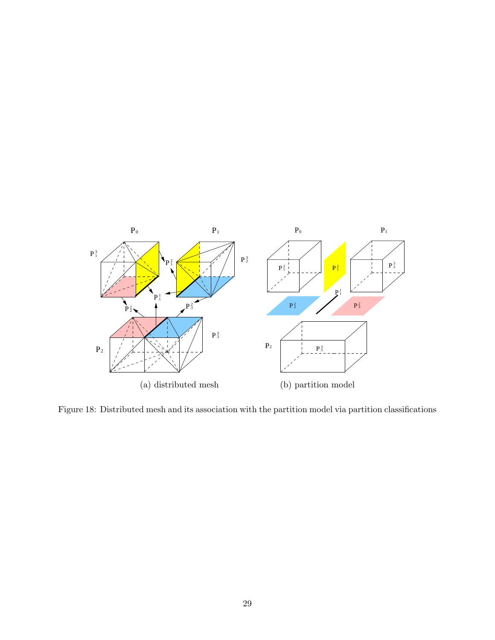

<span id="page-28-0"></span>Figure 18: Distributed mesh and its association with the partition model via partition classifications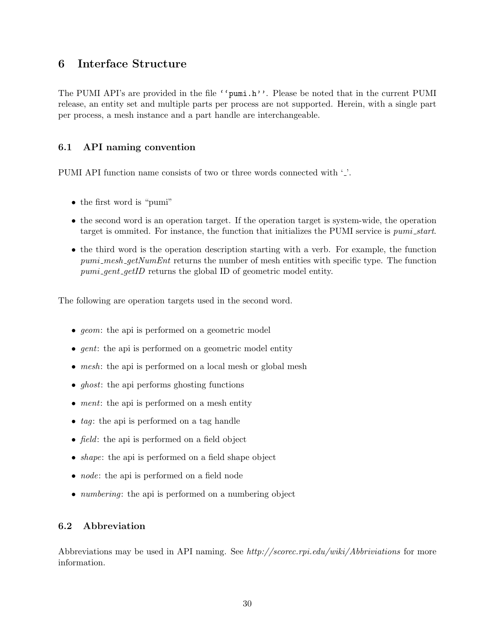# <span id="page-29-0"></span>6 Interface Structure

The PUMI API's are provided in the file ''pumi.h''. Please be noted that in the current PUMI release, an entity set and multiple parts per process are not supported. Herein, with a single part per process, a mesh instance and a part handle are interchangeable.

## <span id="page-29-1"></span>6.1 API naming convention

PUMI API function name consists of two or three words connected with '...

- the first word is "pumi"
- the second word is an operation target. If the operation target is system-wide, the operation target is ommited. For instance, the function that initializes the PUMI service is *pumi\_start*.
- the third word is the operation description starting with a verb. For example, the function pumi\_mesh\_getNumEnt returns the number of mesh entities with specific type. The function  $pumi\_gent\_getID$  returns the global ID of geometric model entity.

The following are operation targets used in the second word.

- *geom*: the api is performed on a geometric model
- *gent*: the api is performed on a geometric model entity
- mesh: the api is performed on a local mesh or global mesh
- *ghost*: the api performs ghosting functions
- *ment*: the api is performed on a mesh entity
- tag: the api is performed on a tag handle
- *field*: the api is performed on a field object
- *shape*: the api is performed on a field shape object
- *node*: the api is performed on a field node
- *numbering*: the api is performed on a numbering object

## <span id="page-29-2"></span>6.2 Abbreviation

Abbreviations may be used in API naming. See http://scorec.rpi.edu/wiki/Abbriviations for more information.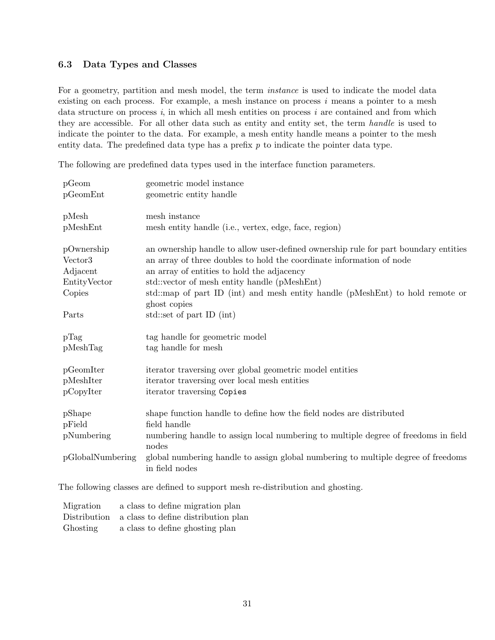## <span id="page-30-0"></span>6.3 Data Types and Classes

For a geometry, partition and mesh model, the term instance is used to indicate the model data existing on each process. For example, a mesh instance on process  $i$  means a pointer to a mesh data structure on process  $i$ , in which all mesh entities on process  $i$  are contained and from which they are accessible. For all other data such as entity and entity set, the term handle is used to indicate the pointer to the data. For example, a mesh entity handle means a pointer to the mesh entity data. The predefined data type has a prefix  $p$  to indicate the pointer data type.

The following are predefined data types used in the interface function parameters.

| pGeom               | geometric model instance                                                                                     |
|---------------------|--------------------------------------------------------------------------------------------------------------|
| pGeomEnt            | geometric entity handle                                                                                      |
| pMesh               | mesh instance                                                                                                |
| pMeshEnt            | mesh entity handle (i.e., vertex, edge, face, region)                                                        |
| pOwnership          | an ownership handle to allow user-defined ownership rule for part boundary entities                          |
| Vector <sub>3</sub> | an array of three doubles to hold the coordinate information of node                                         |
| Adjacent            | an array of entities to hold the adjacency                                                                   |
| EntityVector        | std::vector of mesh entity handle (pMeshEnt)                                                                 |
| Copies              | std::map of part ID (int) and mesh entity handle (pMeshEnt) to hold remote or<br>ghost copies                |
| Parts               | std::set of part ID (int)                                                                                    |
| pTag                | tag handle for geometric model                                                                               |
| pMeshTag            | tag handle for mesh                                                                                          |
| pGeomIter           | iterator traversing over global geometric model entities                                                     |
| pMeshIter           | iterator traversing over local mesh entities                                                                 |
| pCopyIter           | iterator traversing Copies                                                                                   |
| pShape              | shape function handle to define how the field nodes are distributed                                          |
| pField              | field handle                                                                                                 |
| pNumbering          | numbering handle to assign local numbering to multiple degree of freedoms in field                           |
| pGlobalNumbering    | nodes<br>global numbering handle to assign global numbering to multiple degree of freedoms<br>in field nodes |

The following classes are defined to support mesh re-distribution and ghosting.

| Migration | a class to define migration plan                 |
|-----------|--------------------------------------------------|
|           | Distribution a class to define distribution plan |
| Ghosting  | a class to define ghosting plan                  |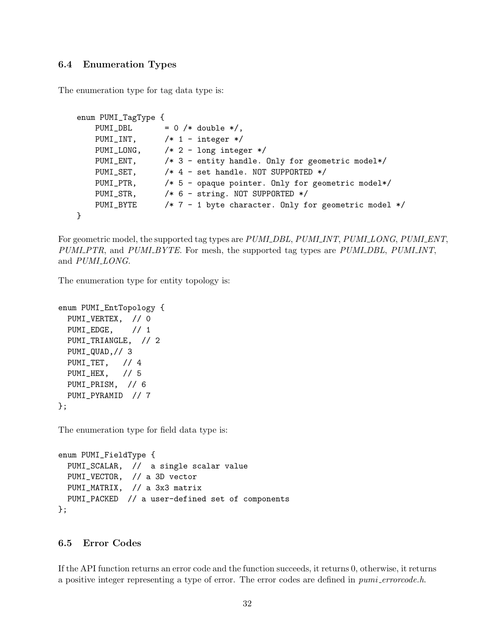## <span id="page-31-0"></span>6.4 Enumeration Types

The enumeration type for tag data type is:

```
enum PUMI_TagType {
   PUMI_DBL = 0 /* double */,
   PUMI_INT, /* 1 - integer */PUMI_LONG, /* 2 - long integer */
   PUMI_ENT, /* 3 - entity handle. Only for geometric model*/
   PUMI_SET, /* 4 - set handle. NOT SUPPORTED */
   PUMI_PTR, /* 5 - opaque pointer. Only for geometric model*/
   PUMI_STR, /* 6 - string. NOT SUPPORTED */
   PUMI_BYTE /* 7 - 1 byte character. Only for geometric model */
}
```
For geometric model, the supported tag types are PUMI DBL, PUMI INT, PUMI LONG, PUMI ENT, PUMI PTR, and PUMI BYTE. For mesh, the supported tag types are PUMI DBL, PUMI INT, and PUMI\_LONG.

The enumeration type for entity topology is:

```
enum PUMI_EntTopology {
 PUMI_VERTEX, // 0
 PUMI_EDGE, // 1
 PUMI_TRIANGLE, // 2
 PUMI_QUAD,// 3
 PUMI_TET, // 4
 PUMI_HEX, // 5
 PUMI_PRISM, // 6
 PUMI_PYRAMID // 7
};
```
The enumeration type for field data type is:

```
enum PUMI_FieldType {
 PUMI_SCALAR, // a single scalar value
 PUMI_VECTOR, // a 3D vector
 PUMI_MATRIX, // a 3x3 matrix
 PUMI_PACKED // a user-defined set of components
};
```
## <span id="page-31-1"></span>6.5 Error Codes

If the API function returns an error code and the function succeeds, it returns 0, otherwise, it returns a positive integer representing a type of error. The error codes are defined in *pumi\_errorcode.h.*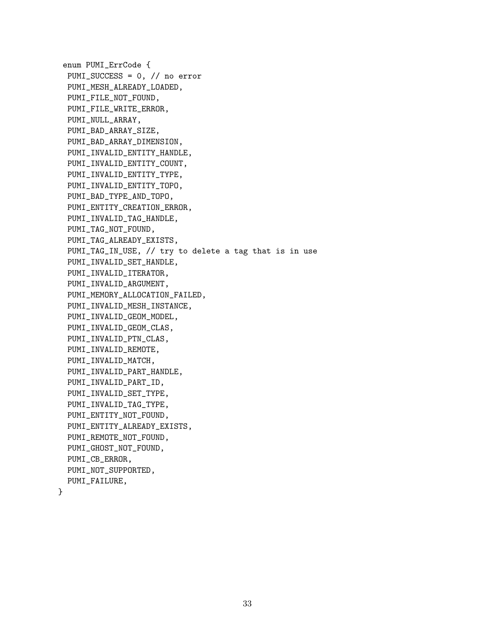enum PUMI\_ErrCode { PUMI\_SUCCESS = 0, // no error PUMI\_MESH\_ALREADY\_LOADED, PUMI\_FILE\_NOT\_FOUND, PUMI\_FILE\_WRITE\_ERROR, PUMI\_NULL\_ARRAY, PUMI\_BAD\_ARRAY\_SIZE, PUMI\_BAD\_ARRAY\_DIMENSION, PUMI\_INVALID\_ENTITY\_HANDLE, PUMI\_INVALID\_ENTITY\_COUNT, PUMI\_INVALID\_ENTITY\_TYPE, PUMI\_INVALID\_ENTITY\_TOPO, PUMI\_BAD\_TYPE\_AND\_TOPO, PUMI\_ENTITY\_CREATION\_ERROR, PUMI\_INVALID\_TAG\_HANDLE, PUMI\_TAG\_NOT\_FOUND, PUMI\_TAG\_ALREADY\_EXISTS, PUMI\_TAG\_IN\_USE, // try to delete a tag that is in use PUMI\_INVALID\_SET\_HANDLE, PUMI\_INVALID\_ITERATOR, PUMI\_INVALID\_ARGUMENT, PUMI\_MEMORY\_ALLOCATION\_FAILED, PUMI\_INVALID\_MESH\_INSTANCE, PUMI\_INVALID\_GEOM\_MODEL, PUMI\_INVALID\_GEOM\_CLAS, PUMI\_INVALID\_PTN\_CLAS, PUMI\_INVALID\_REMOTE, PUMI\_INVALID\_MATCH, PUMI\_INVALID\_PART\_HANDLE, PUMI\_INVALID\_PART\_ID, PUMI\_INVALID\_SET\_TYPE, PUMI\_INVALID\_TAG\_TYPE, PUMI\_ENTITY\_NOT\_FOUND, PUMI\_ENTITY\_ALREADY\_EXISTS, PUMI\_REMOTE\_NOT\_FOUND, PUMI\_GHOST\_NOT\_FOUND, PUMI\_CB\_ERROR, PUMI\_NOT\_SUPPORTED, PUMI\_FAILURE,

}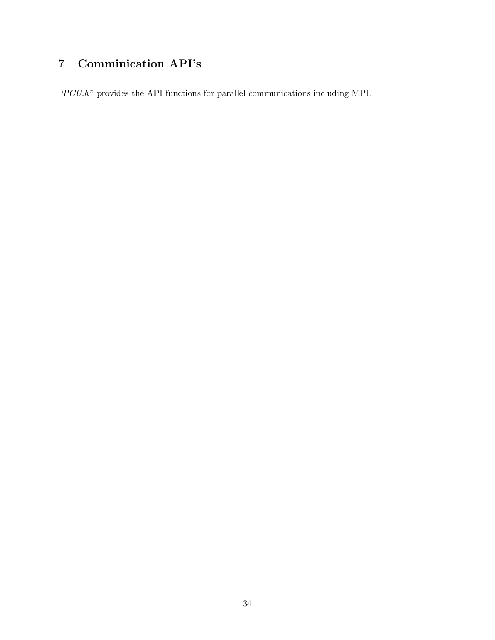# <span id="page-33-0"></span>7 Comminication API's

 $\emph{``PCU.h''}$  provides the API functions for parallel communications including MPI.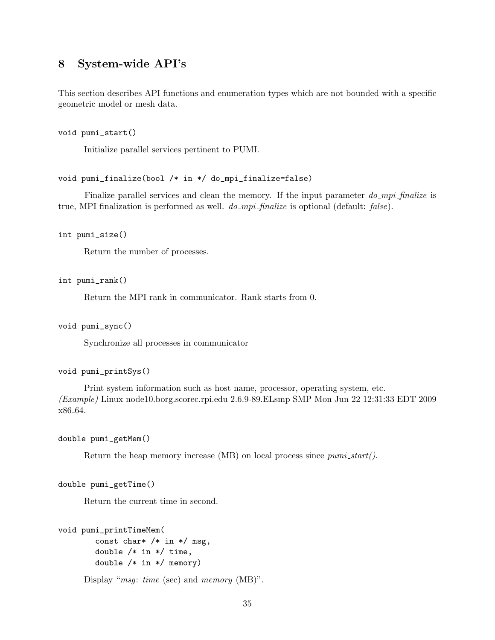# <span id="page-34-0"></span>8 System-wide API's

This section describes API functions and enumeration types which are not bounded with a specific geometric model or mesh data.

void pumi\_start()

Initialize parallel services pertinent to PUMI.

#### void pumi\_finalize(bool /\* in \*/ do\_mpi\_finalize=false)

Finalize parallel services and clean the memory. If the input parameter  $do_{mpi}$ -finalize is true, MPI finalization is performed as well.  $do_{mpi}$ -finalize is optional (default: false).

int pumi\_size()

Return the number of processes.

int pumi\_rank()

Return the MPI rank in communicator. Rank starts from 0.

void pumi\_sync()

Synchronize all processes in communicator

```
void pumi_printSys()
```
Print system information such as host name, processor, operating system, etc. (Example) Linux node10.borg.scorec.rpi.edu 2.6.9-89.ELsmp SMP Mon Jun 22 12:31:33 EDT 2009 x86 64.

double pumi\_getMem()

Return the heap memory increase (MB) on local process since  $pumi\_start()$ .

double pumi\_getTime()

Return the current time in second.

```
void pumi_printTimeMem(
        const char* /* in */ msg,
        double /* in */ time,
        double /* in */ memory)
```
Display "msg: time (sec) and memory (MB)".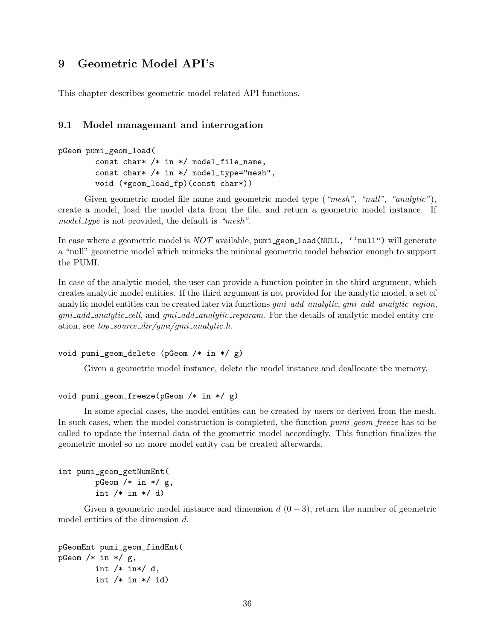# <span id="page-35-0"></span>9 Geometric Model API's

This chapter describes geometric model related API functions.

#### <span id="page-35-1"></span>9.1 Model managemant and interrogation

```
pGeom pumi_geom_load(
        const char* /* in */ model_file_name,
        const char* /* in */ model_type="mesh",
        void (*geom_load_fp)(const char*))
```
Given geometric model file name and geometric model type ("mesh", "null", "analytic"), create a model, load the model data from the file, and return a geometric model instance. If model\_type is not provided, the default is "mesh".

In case where a geometric model is  $NOT$  available, pumi geom load (NULL, 'null") will generate a "null" geometric model which mimicks the minimal geometric model behavior enough to support the PUMI.

In case of the analytic model, the user can provide a function pointer in the third argument, which creates analytic model entities. If the third argument is not provided for the analytic model, a set of analytic model entities can be created later via functions  $qmi\_add\_analytic$ ,  $qmi\_add\_analytic$ , region, gmi add analytic cell, and gmi add analytic reparam. For the details of analytic model entity creation, see  $top\_source\_dir/qmi/qmi\_analytic.h$ .

```
void pumi_geom_delete (pGeom /* in */ g)
```
Given a geometric model instance, delete the model instance and deallocate the memory.

#### void pumi\_geom\_freeze(pGeom /\* in \*/ g)

In some special cases, the model entities can be created by users or derived from the mesh. In such cases, when the model construction is completed, the function pumi geom freeze has to be called to update the internal data of the geometric model accordingly. This function finalizes the geometric model so no more model entity can be created afterwards.

```
int pumi_geom_getNumEnt(
        pGeom /* in */ g,
        int /* in */ d)
```
Given a geometric model instance and dimension  $d(0-3)$ , return the number of geometric model entities of the dimension d.

```
pGeomEnt pumi_geom_findEnt(
pGeom /* in */ g,
        int /* in*/ d,
        int /* in */ id)
```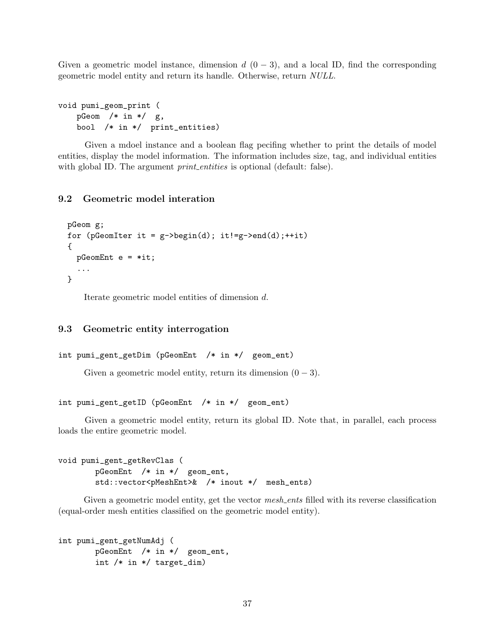Given a geometric model instance, dimension  $d(0-3)$ , and a local ID, find the corresponding geometric model entity and return its handle. Otherwise, return NULL.

```
void pumi_geom_print (
   pGeom /* in */ g,
   bool /* in */ print_entities)
```
Given a mdoel instance and a boolean flag pecifing whether to print the details of model entities, display the model information. The information includes size, tag, and individual entities with global ID. The argument *print\_entities* is optional (default: false).

### 9.2 Geometric model interation

```
pGeom g;
for (pGeomIter it = g->begin(d); it!=g->end(d); ++it)
{
  pGeomEnt e = *it;
  ...
}
```
Iterate geometric model entities of dimension d.

## 9.3 Geometric entity interrogation

```
int pumi_gent_getDim (pGeomEnt /* in */ geom_ent)
```
Given a geometric model entity, return its dimension  $(0 - 3)$ .

int pumi\_gent\_getID (pGeomEnt /\* in \*/ geom\_ent)

Given a geometric model entity, return its global ID. Note that, in parallel, each process loads the entire geometric model.

```
void pumi_gent_getRevClas (
       pGeomEnt /* in */ geom_ent,
       std::vector<pMeshEnt>& /* inout */ mesh_ents)
```
Given a geometric model entity, get the vector mesh ents filled with its reverse classification (equal-order mesh entities classified on the geometric model entity).

```
int pumi_gent_getNumAdj (
       pGeomEnt /* in */ geom_ent,
       int /* in */ target_dim)
```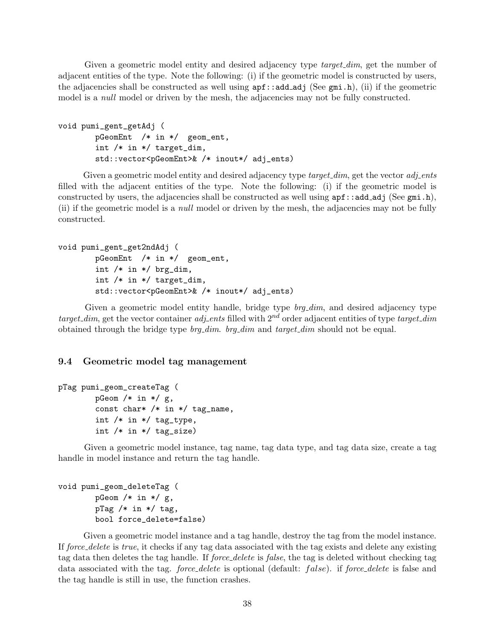Given a geometric model entity and desired adjacency type *target\_dim*, get the number of adjacent entities of the type. Note the following: (i) if the geometric model is constructed by users, the adjacencies shall be constructed as well using  $\text{apf}$ : add adj (See gmi.h), (ii) if the geometric model is a *null* model or driven by the mesh, the adjacencies may not be fully constructed.

```
void pumi_gent_getAdj (
        pGeomEnt /* in */ geom_ent,
        int /* in */ target_dim,
        std::vector<pGeomEnt>& /* inout*/ adj_ents)
```
Given a geometric model entity and desired adjacency type *target\_dim*, get the vector *adj\_ents* filled with the adjacent entities of the type. Note the following: (i) if the geometric model is constructed by users, the adjacencies shall be constructed as well using  $\text{apf}$ :  $\text{add}_\text{ad}$  (See gmi.h), (ii) if the geometric model is a null model or driven by the mesh, the adjacencies may not be fully constructed.

```
void pumi_gent_get2ndAdj (
        pGeomEnt /* in */ geom_ent,
        int /* in */ brg_dim,
        int /* in */ target_dim,
        std::vector<pGeomEnt>& /* inout*/ adj_ents)
```
Given a geometric model entity handle, bridge type brg\_dim, and desired adjacency type target dim, get the vector container adjection filled with  $2^{nd}$  order adjacent entities of type target dim obtained through the bridge type  $b$ rg\_dim.  $b$ rg\_dim and  $target\_dim$  should not be equal.

### 9.4 Geometric model tag management

```
pTag pumi_geom_createTag (
        pGeom /* in */ g,
        const char* /* in */ tag_name,
        int /* in */ tag_type,
        int /* in */ tag_size)
```
Given a geometric model instance, tag name, tag data type, and tag data size, create a tag handle in model instance and return the tag handle.

```
void pumi_geom_deleteTag (
        pGeom /* in */ g,
        pTag /* in */ tag,
        bool force_delete=false)
```
Given a geometric model instance and a tag handle, destroy the tag from the model instance. If force delete is true, it checks if any tag data associated with the tag exists and delete any existing tag data then deletes the tag handle. If *force delete* is *false*, the tag is deleted without checking tag data associated with the tag. force delete is optional (default:  $false$ ). if force delete is false and the tag handle is still in use, the function crashes.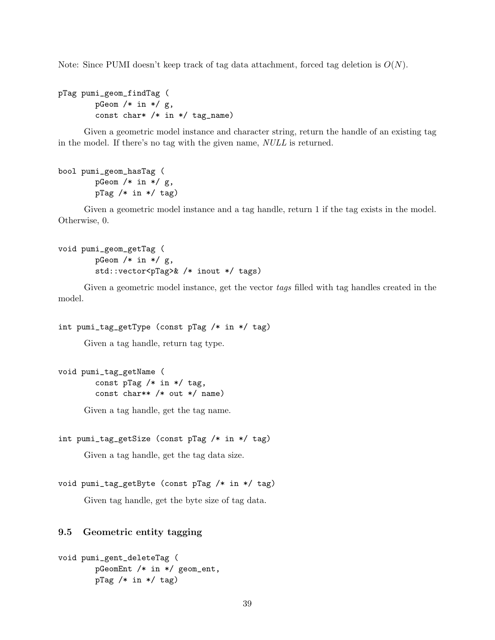Note: Since PUMI doesn't keep track of tag data attachment, forced tag deletion is  $O(N)$ .

```
pTag pumi_geom_findTag (
        pGeom /* in */ g,
        const char* /* in */ tag_name)
```
Given a geometric model instance and character string, return the handle of an existing tag in the model. If there's no tag with the given name, NULL is returned.

```
bool pumi_geom_hasTag (
        pGeom /* in */ g,
        pTag /* in */ tag)
```
Given a geometric model instance and a tag handle, return 1 if the tag exists in the model. Otherwise, 0.

```
void pumi_geom_getTag (
        pGeom /* in */ g,
        std::vector<pTag>& /* inout */ tags)
```
Given a geometric model instance, get the vector tags filled with tag handles created in the model.

```
int pumi_tag_getType (const pTag /* in */ tag)
```
Given a tag handle, return tag type.

void pumi\_tag\_getName ( const pTag  $/*$  in  $*/$  tag, const char\*\* /\* out \*/ name)

Given a tag handle, get the tag name.

```
int pumi_tag_getSize (const pTag /* in */ tag)
```
Given a tag handle, get the tag data size.

```
void pumi_tag_getByte (const pTag /* in */ tag)
```
Given tag handle, get the byte size of tag data.

## 9.5 Geometric entity tagging

```
void pumi_gent_deleteTag (
        pGeomEnt /* in */ geom_ent,
        pTag /* in */ tag)
```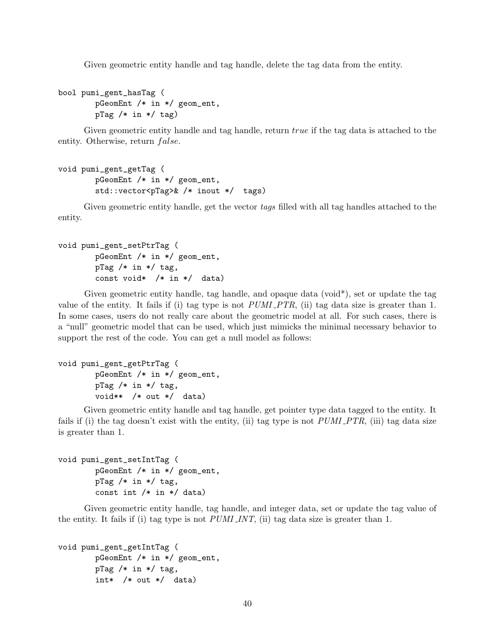Given geometric entity handle and tag handle, delete the tag data from the entity.

bool pumi\_gent\_hasTag ( pGeomEnt /\* in \*/ geom\_ent,  $pTag / * in * / tag)$ 

Given geometric entity handle and tag handle, return true if the tag data is attached to the entity. Otherwise, return *false*.

```
void pumi_gent_getTag (
        pGeomEnt /* in */ geom_ent,
        std::vector<pTag>& /* inout */ tags)
```
Given geometric entity handle, get the vector tags filled with all tag handles attached to the entity.

```
void pumi_gent_setPtrTag (
        pGeomEnt /* in */ geom_ent,
        pTag / * in * / tag,
        const void* /* in */ data)
```
Given geometric entity handle, tag handle, and opaque data (void\*), set or update the tag value of the entity. It fails if (i) tag type is not  $PUMI$ - $PTR$ , (ii) tag data size is greater than 1. In some cases, users do not really care about the geometric model at all. For such cases, there is a "null" geometric model that can be used, which just mimicks the minimal necessary behavior to support the rest of the code. You can get a null model as follows:

```
void pumi_gent_getPtrTag (
        pGeomEnt /* in */ geom_ent,
       pTag /* in */ tag,
        void** /* out */ data)
```
Given geometric entity handle and tag handle, get pointer type data tagged to the entity. It fails if (i) the tag doesn't exist with the entity, (ii) tag type is not  $PUMLPTR$ , (iii) tag data size is greater than 1.

```
void pumi_gent_setIntTag (
        pGeomEnt /* in */ geom_ent,
        pTag / * in * / tag,
        const int /* in */ data)
```
Given geometric entity handle, tag handle, and integer data, set or update the tag value of the entity. It fails if (i) tag type is not *PUMI INT*, (ii) tag data size is greater than 1.

```
void pumi_gent_getIntTag (
        pGeomEnt /* in */ geom_ent,
       pTag /* in */ tag,
        int* /* out */ data)
```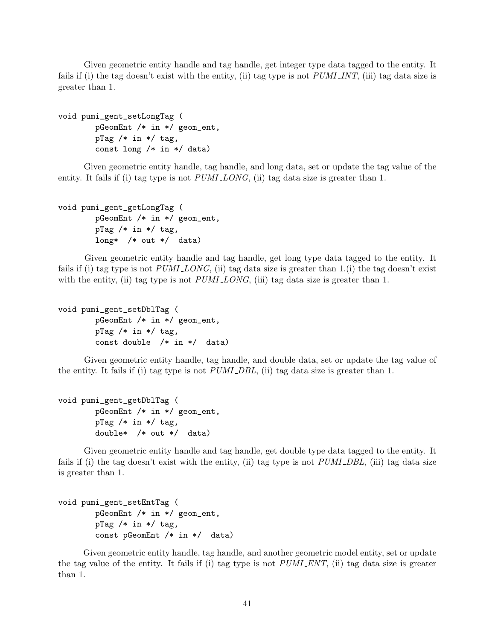Given geometric entity handle and tag handle, get integer type data tagged to the entity. It fails if (i) the tag doesn't exist with the entity, (ii) tag type is not  $PUMI_INT$ , (iii) tag data size is greater than 1.

```
void pumi_gent_setLongTag (
        pGeomEnt /* in */ geom_ent,
        pTag / * in * / tag,
        const long /* in */ data)
```
Given geometric entity handle, tag handle, and long data, set or update the tag value of the entity. It fails if (i) tag type is not *PUMI LONG*, (ii) tag data size is greater than 1.

```
void pumi_gent_getLongTag (
        pGeomEnt /* in */ geom_ent,
       pTag /* in */ tag,
        long* /* out */ data)
```
Given geometric entity handle and tag handle, get long type data tagged to the entity. It fails if (i) tag type is not  $PUMI\_{LONG}$ , (ii) tag data size is greater than 1.(i) the tag doesn't exist with the entity, (ii) tag type is not  $PUMI\_{LONG}$ , (iii) tag data size is greater than 1.

```
void pumi_gent_setDblTag (
        pGeomEnt /* in */ geom_ent,
       pTag /* in */ tag,
        const double /* in */ data)
```
Given geometric entity handle, tag handle, and double data, set or update the tag value of the entity. It fails if (i) tag type is not  $PUMLDBL$ , (ii) tag data size is greater than 1.

```
void pumi_gent_getDblTag (
        pGeomEnt /* in */ geom_ent,
       pTag /* in */ tag,
        double* /* out */ data)
```
Given geometric entity handle and tag handle, get double type data tagged to the entity. It fails if (i) the tag doesn't exist with the entity, (ii) tag type is not *PUMI\_DBL*, (iii) tag data size is greater than 1.

```
void pumi_gent_setEntTag (
        pGeomEnt /* in */ geom_ent,
        pTag / * in * / tag,
        const pGeomEnt /* in */ data)
```
Given geometric entity handle, tag handle, and another geometric model entity, set or update the tag value of the entity. It fails if (i) tag type is not PUMI ENT, (ii) tag data size is greater than 1.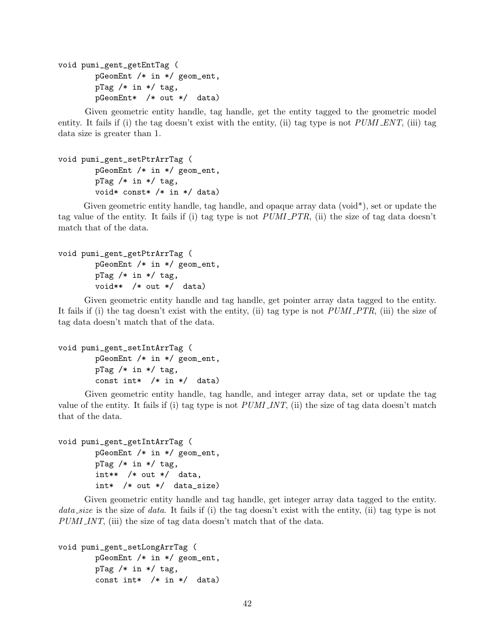void pumi\_gent\_getEntTag ( pGeomEnt /\* in \*/ geom\_ent, pTag  $/*$  in  $*/$  tag, pGeomEnt\* /\* out \*/ data)

Given geometric entity handle, tag handle, get the entity tagged to the geometric model entity. It fails if (i) the tag doesn't exist with the entity, (ii) tag type is not  $PUMI\_ENT$ , (iii) tag data size is greater than 1.

```
void pumi_gent_setPtrArrTag (
        pGeomEnt /* in */ geom_ent,
        pTag / * in * / tag,
        void* const* /* in */ data)
```
Given geometric entity handle, tag handle, and opaque array data (void\*), set or update the tag value of the entity. It fails if (i) tag type is not PUMI PTR, (ii) the size of tag data doesn't match that of the data.

```
void pumi_gent_getPtrArrTag (
        pGeomEnt /* in */ geom_ent,
       pTag /* in */ tag,
        void** /* out */ data)
```
Given geometric entity handle and tag handle, get pointer array data tagged to the entity. It fails if (i) the tag doesn't exist with the entity, (ii) tag type is not  $PUMLPTR$ , (iii) the size of tag data doesn't match that of the data.

```
void pumi_gent_setIntArrTag (
        pGeomEnt /* in */ geom_ent,
       pTag /* in */ tag,
        const int* /* in */ data)
```
Given geometric entity handle, tag handle, and integer array data, set or update the tag value of the entity. It fails if (i) tag type is not  $PUMLINKT$ , (ii) the size of tag data doesn't match that of the data.

```
void pumi_gent_getIntArrTag (
       pGeomEnt /* in */ geom_ent,
       pTag /* in */ tag,
       int** /* out */ data,
        int* /* out */ data_size)
```
Given geometric entity handle and tag handle, get integer array data tagged to the entity. data size is the size of data. It fails if (i) the tag doesn't exist with the entity, (ii) tag type is not PUMI INT, (iii) the size of tag data doesn't match that of the data.

```
void pumi_gent_setLongArrTag (
        pGeomEnt /* in */ geom_ent,
        pTag /* in */ tag,
        const int* /* in */ data)
```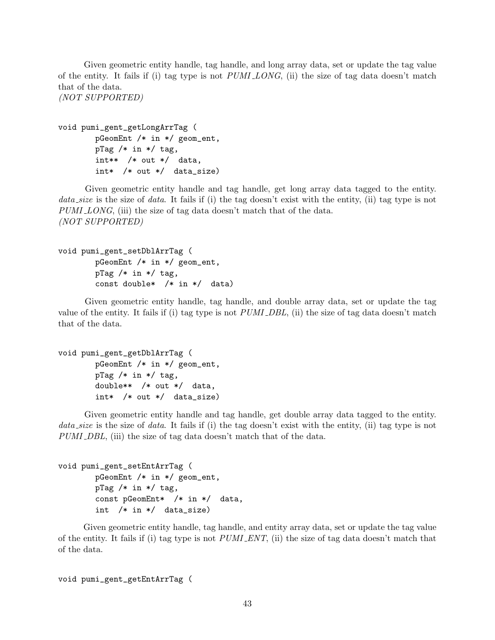Given geometric entity handle, tag handle, and long array data, set or update the tag value of the entity. It fails if (i) tag type is not  $PUMI\_{LONG}$ , (ii) the size of tag data doesn't match that of the data.

(NOT SUPPORTED)

```
void pumi_gent_getLongArrTag (
       pGeomEnt /* in */ geom_ent,
       pTag /* in */ tag,
        int** /* out */ data,
        int* /* out */ data_size)
```
Given geometric entity handle and tag handle, get long array data tagged to the entity. data size is the size of data. It fails if (i) the tag doesn't exist with the entity, (ii) tag type is not PUMI LONG, (iii) the size of tag data doesn't match that of the data. (NOT SUPPORTED)

```
void pumi_gent_setDblArrTag (
        pGeomEnt /* in */ geom_ent,
        pTag /* in */ tag,
        const double* /* in */ data)
```
Given geometric entity handle, tag handle, and double array data, set or update the tag value of the entity. It fails if (i) tag type is not  $PUMI$   $DBL$ , (ii) the size of tag data doesn't match that of the data.

```
void pumi_gent_getDblArrTag (
       pGeomEnt /* in */ geom_ent,
       pTag /* in */ tag,
       double** /* out */ data,
        int* /* out */ data_size)
```
Given geometric entity handle and tag handle, get double array data tagged to the entity. data size is the size of data. It fails if (i) the tag doesn't exist with the entity, (ii) tag type is not PUMI DBL, (iii) the size of tag data doesn't match that of the data.

```
void pumi_gent_setEntArrTag (
       pGeomEnt /* in */ geom_ent,
        pTag / * in * / tag,
        const pGeomEnt* /* in */ data,
        int /* in */ data_size)
```
Given geometric entity handle, tag handle, and entity array data, set or update the tag value of the entity. It fails if (i) tag type is not  $PUMI\text{ }ENT$ , (ii) the size of tag data doesn't match that of the data.

void pumi\_gent\_getEntArrTag (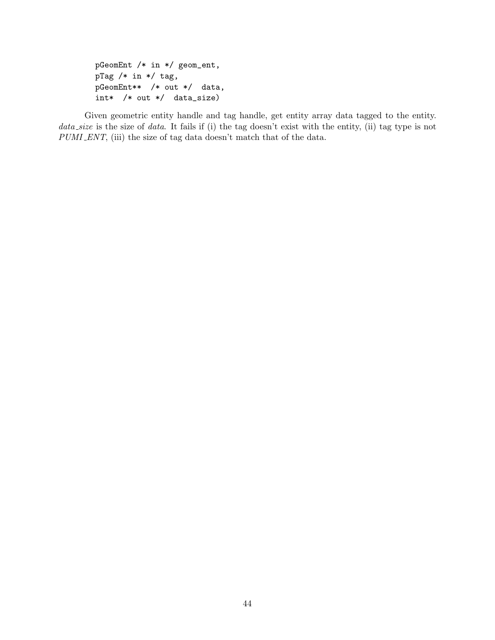```
pGeomEnt /* in */ geom_ent,
pTag /* in */ tag,
pGeomEnt** /* out */ data,
int* /* out */ data_size)
```
Given geometric entity handle and tag handle, get entity array data tagged to the entity. data size is the size of data. It fails if (i) the tag doesn't exist with the entity, (ii) tag type is not PUMI\_ENT, (iii) the size of tag data doesn't match that of the data.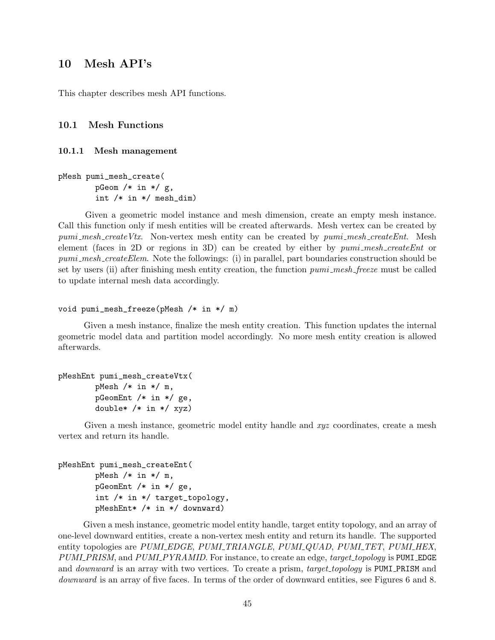## 10 Mesh API's

This chapter describes mesh API functions.

## 10.1 Mesh Functions

#### 10.1.1 Mesh management

pMesh pumi\_mesh\_create( pGeom  $/*$  in  $*/$  g, int /\* in \*/ mesh\_dim)

Given a geometric model instance and mesh dimension, create an empty mesh instance. Call this function only if mesh entities will be created afterwards. Mesh vertex can be created by  $pumi\_mesh\_createVtx.$  Non-vertex mesh entity can be created by  $pumi\_mesh\_createEnt.$  Mesh element (faces in 2D or regions in 3D) can be created by either by  $pumi$ -mesh-createEnt or pumi\_mesh\_createElem. Note the followings: (i) in parallel, part boundaries construction should be set by users (ii) after finishing mesh entity creation, the function *pumi\_mesh\_freeze* must be called to update internal mesh data accordingly.

```
void pumi_mesh_freeze(pMesh /* in */ m)
```
Given a mesh instance, finalize the mesh entity creation. This function updates the internal geometric model data and partition model accordingly. No more mesh entity creation is allowed afterwards.

```
pMeshEnt pumi_mesh_createVtx(
        pMesh /* in */ m,
        pGeomEnt /* in */ ge,
        double* /* in */ xyz)
```
Given a mesh instance, geometric model entity handle and xyz coordinates, create a mesh vertex and return its handle.

```
pMeshEnt pumi_mesh_createEnt(
        pMesh /* in */ m,
        pGeomEnt /* in */ ge,
        int /* in */ target_topology,
        pMeshEnt* /* in */ downward)
```
Given a mesh instance, geometric model entity handle, target entity topology, and an array of one-level downward entities, create a non-vertex mesh entity and return its handle. The supported entity topologies are PUMI\_EDGE, PUMI\_TRIANGLE, PUMI\_QUAD, PUMI\_TET, PUMI\_HEX, PUMI PRISM, and PUMI PYRAMID. For instance, to create an edge, target topology is PUMI EDGE and *downward* is an array with two vertices. To create a prism, *target\_topology* is PUMI\_PRISM and downward is an array of five faces. In terms of the order of downward entities, see Figures 6 and 8.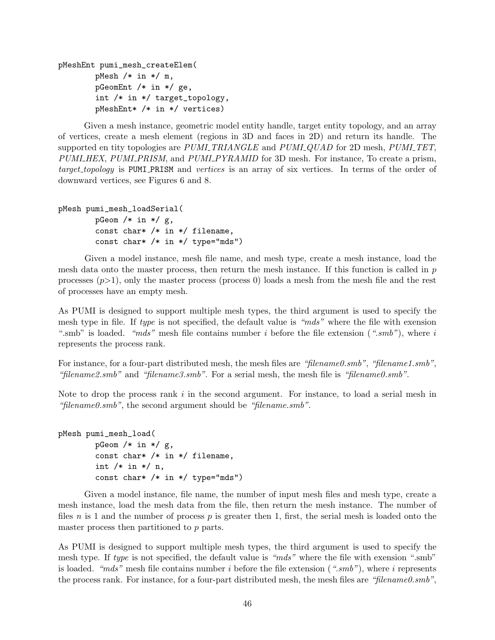```
pMeshEnt pumi_mesh_createElem(
        pMesh /* in */ m,
        pGeomEnt /* in */ ge,
        int /* in */ target_topology,
        pMeshEnt* /* in */ vertices)
```
Given a mesh instance, geometric model entity handle, target entity topology, and an array of vertices, create a mesh element (regions in 3D and faces in 2D) and return its handle. The supported en tity topologies are PUMLTRIANGLE and PUMLQUAD for 2D mesh, PUMLTET, PUMI\_HEX, PUMI\_PRISM, and PUMI\_PYRAMID for 3D mesh. For instance, To create a prism, target\_topology is PUMI\_PRISM and vertices is an array of six vertices. In terms of the order of downward vertices, see Figures 6 and 8.

```
pMesh pumi_mesh_loadSerial(
        pGeom /* in */ g,
        const char* /* in */ filename,
        const char* /* in */ type="mds")
```
Given a model instance, mesh file name, and mesh type, create a mesh instance, load the mesh data onto the master process, then return the mesh instance. If this function is called in  $p$ processes  $(p>1)$ , only the master process (process 0) loads a mesh from the mesh file and the rest of processes have an empty mesh.

As PUMI is designed to support multiple mesh types, the third argument is used to specify the mesh type in file. If type is not specified, the default value is "mds" where the file with exension ".smb" is loaded. "mds" mesh file contains number i before the file extension (".smb"), where i represents the process rank.

For instance, for a four-part distributed mesh, the mesh files are "filename0.smb", "filename1.smb", "filename2.smb" and "filename3.smb". For a serial mesh, the mesh file is "filename0.smb".

Note to drop the process rank  $i$  in the second argument. For instance, to load a serial mesh in "filename0.smb", the second argument should be "filename.smb".

```
pMesh pumi_mesh_load(
        pGeom /* in */ g,
        const char* /* in */ filename,
        int /* in */ n,
        const char* /* in */ type="mds")
```
Given a model instance, file name, the number of input mesh files and mesh type, create a mesh instance, load the mesh data from the file, then return the mesh instance. The number of files n is 1 and the number of process p is greater then 1, first, the serial mesh is loaded onto the master process then partitioned to p parts.

As PUMI is designed to support multiple mesh types, the third argument is used to specify the mesh type. If type is not specified, the default value is "mds" where the file with exension ".smb" is loaded. "mds" mesh file contains number i before the file extension (".smb"), where i represents the process rank. For instance, for a four-part distributed mesh, the mesh files are "filename0.smb",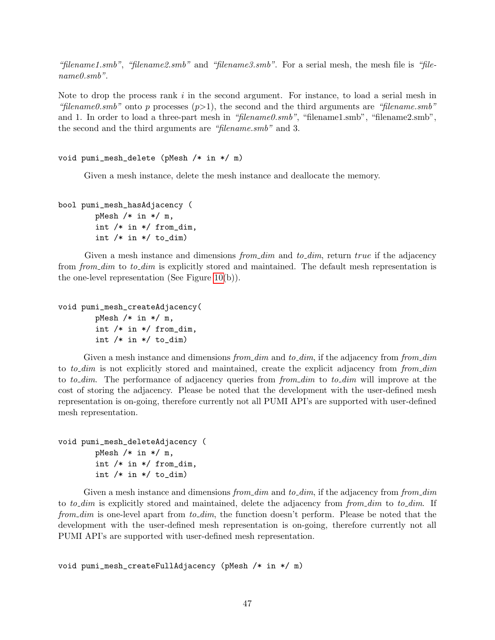"filename1.smb", "filename2.smb" and "filename3.smb". For a serial mesh, the mesh file is "filename0.smb".

Note to drop the process rank  $i$  in the second argument. For instance, to load a serial mesh in "filename0.smb" onto p processes  $(p>1)$ , the second and the third arguments are "filename.smb" and 1. In order to load a three-part mesh in "filename0.smb", "filename1.smb", "filename2.smb", the second and the third arguments are "filename.smb" and 3.

```
void pumi_mesh_delete (pMesh /* in */ m)
```
Given a mesh instance, delete the mesh instance and deallocate the memory.

```
bool pumi_mesh_hasAdjacency (
        pMesh /* in */ m,
        int /* in */ from_dim,
```
int  $/*$  in  $*/$  to\_dim)

Given a mesh instance and dimensions  $from\_dim$  and to  $dim$ , return true if the adjacency from from dim to to dim is explicitly stored and maintained. The default mesh representation is the one-level representation (See Figure [10\(](#page-14-0)b)).

```
void pumi_mesh_createAdjacency(
```
pMesh  $/*$  in  $*/$  m, int /\* in \*/ from\_dim, int  $/*$  in  $*/$  to\_dim)

Given a mesh instance and dimensions from dim and to dim, if the adjacency from from dim to to-dim is not explicitly stored and maintained, create the explicit adjacency from from dim to to dim. The performance of adjacency queries from from dim to to dim will improve at the cost of storing the adjacency. Please be noted that the development with the user-defined mesh representation is on-going, therefore currently not all PUMI API's are supported with user-defined mesh representation.

```
void pumi_mesh_deleteAdjacency (
        pMesh /* in */ m,
        int /* in */ from_dim,
        int /* in */ to_dim)
```
Given a mesh instance and dimensions from dim and to dim, if the adjacency from from dim to to-dim is explicitly stored and maintained, delete the adjacency from from  $\dim$  to to-dim. If from  $dim$  is one-level apart from  $to\_dim$ , the function doesn't perform. Please be noted that the development with the user-defined mesh representation is on-going, therefore currently not all PUMI API's are supported with user-defined mesh representation.

void pumi\_mesh\_createFullAdjacency (pMesh /\* in \*/ m)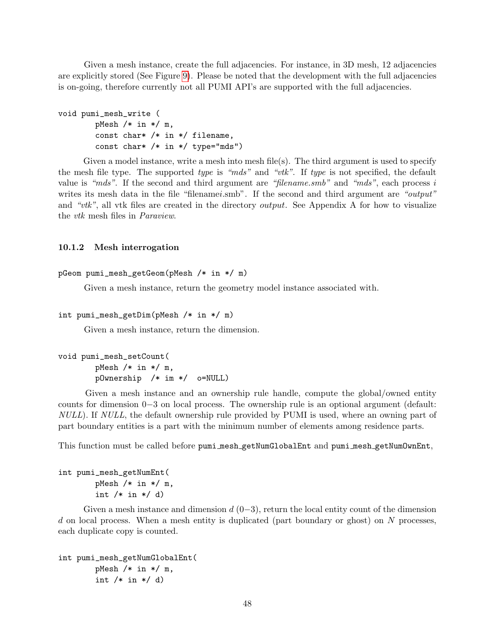Given a mesh instance, create the full adjacencies. For instance, in 3D mesh, 12 adjacencies are explicitly stored (See Figure [9\)](#page-13-0). Please be noted that the development with the full adjacencies is on-going, therefore currently not all PUMI API's are supported with the full adjacencies.

```
void pumi_mesh_write (
        pMesh /* in */ m,
        const char* /* in */ filename,
        const char* /* in */ type="mds")
```
Given a model instance, write a mesh into mesh file(s). The third argument is used to specify the mesh file type. The supported type is "mds" and "vtk". If type is not specified, the default value is "mds". If the second and third argument are "filename.smb" and "mds", each process  $i$ writes its mesh data in the file "filenamei.smb". If the second and third argument are "output" and "vtk", all vtk files are created in the directory *output*. See Appendix A for how to visualize the vtk mesh files in Paraview.

#### 10.1.2 Mesh interrogation

```
pGeom pumi_mesh_getGeom(pMesh /* in */ m)
```
Given a mesh instance, return the geometry model instance associated with.

```
int pumi_mesh_getDim(pMesh /* in */ m)
```
Given a mesh instance, return the dimension.

```
void pumi_mesh_setCount(
       pMesh /* in */ m,
       pOwnership /* im */ o=NULL)
```
Given a mesh instance and an ownership rule handle, compute the global/owned entity counts for dimension 0−3 on local process. The ownership rule is an optional argument (default: NULL). If NULL, the default ownership rule provided by PUMI is used, where an owning part of part boundary entities is a part with the minimum number of elements among residence parts.

This function must be called before pumi mesh getNumGlobalEnt and pumi mesh getNumOwnEnt,

```
int pumi_mesh_getNumEnt(
        pMesh /* in */ m,
        int /* in */ d)
```
Given a mesh instance and dimension  $d(0-3)$ , return the local entity count of the dimension d on local process. When a mesh entity is duplicated (part boundary or ghost) on N processes, each duplicate copy is counted.

```
int pumi_mesh_getNumGlobalEnt(
        pMesh /* in */ m,
        int /* in */ d)
```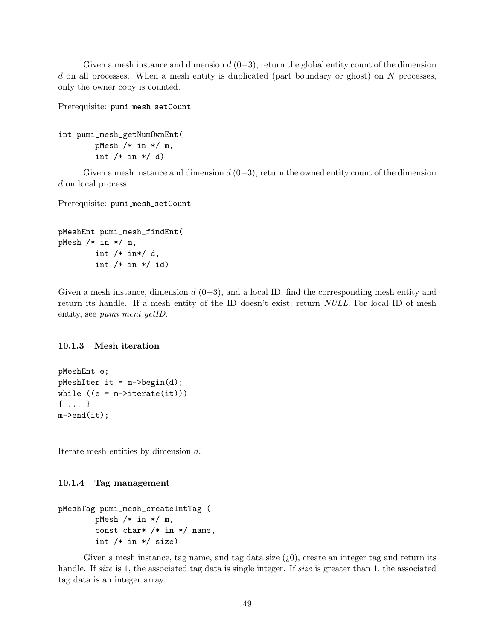Given a mesh instance and dimension  $d(0-3)$ , return the global entity count of the dimension  $d$  on all processes. When a mesh entity is duplicated (part boundary or ghost) on  $N$  processes, only the owner copy is counted.

Prerequisite: pumi\_mesh\_setCount

```
int pumi_mesh_getNumOwnEnt(
        pMesh /* in */ m,
        int /* in */ d)
```
Given a mesh instance and dimension  $d(0-3)$ , return the owned entity count of the dimension d on local process.

Prerequisite: pumi\_mesh\_setCount

```
pMeshEnt pumi_mesh_findEnt(
pMesh /* in */ m,
        int /* in*/ d,
        int /* in */ id)
```
Given a mesh instance, dimension  $d(0-3)$ , and a local ID, find the corresponding mesh entity and return its handle. If a mesh entity of the ID doesn't exist, return NULL. For local ID of mesh entity, see *pumi\_ment\_getID*.

#### 10.1.3 Mesh iteration

pMeshEnt e;  $p$ MeshIter it = m->begin(d); while  $((e = m - \times)$ iterate $(it))$ { ... }  $m$ ->end(it);

Iterate mesh entities by dimension d.

#### 10.1.4 Tag management

```
pMeshTag pumi_mesh_createIntTag (
        pMesh /* in */ m,
        const char* /* in */ name,
        int /* in */ size)
```
Given a mesh instance, tag name, and tag data size  $(i,0)$ , create an integer tag and return its handle. If size is 1, the associated tag data is single integer. If size is greater than 1, the associated tag data is an integer array.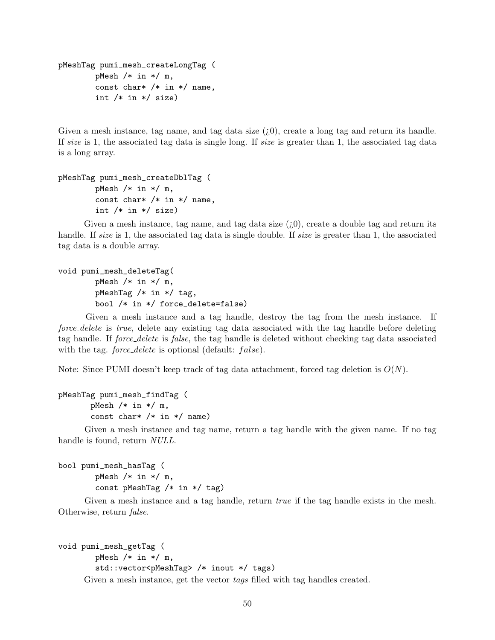```
pMeshTag pumi_mesh_createLongTag (
        pMesh /* in */ m,
        const char* /* in */ name,
        int /* in */ size)
```
Given a mesh instance, tag name, and tag data size  $(i,0)$ , create a long tag and return its handle. If size is 1, the associated tag data is single long. If size is greater than 1, the associated tag data is a long array.

```
pMeshTag pumi_mesh_createDblTag (
        pMesh /* in */ m,
        const char* /* in */ name,
        int /* in */ size)
```
Given a mesh instance, tag name, and tag data size  $(i,0)$ , create a double tag and return its handle. If size is 1, the associated tag data is single double. If size is greater than 1, the associated tag data is a double array.

```
void pumi_mesh_deleteTag(
        pMesh /* in */ m,
        pMeshTag /* in */ tag,
        bool /* in */ force_delete=false)
```
Given a mesh instance and a tag handle, destroy the tag from the mesh instance. If force delete is true, delete any existing tag data associated with the tag handle before deleting tag handle. If force delete is false, the tag handle is deleted without checking tag data associated with the tag. *force\_delete* is optional (default:  $false$ ).

Note: Since PUMI doesn't keep track of tag data attachment, forced tag deletion is  $O(N)$ .

```
pMeshTag pumi_mesh_findTag (
       pMesh /* in */ m,
       const char* /* in */ name)
```
Given a mesh instance and tag name, return a tag handle with the given name. If no tag handle is found, return  $NULL$ .

```
bool pumi_mesh_hasTag (
        pMesh /* in */ m,
        const pMeshTag /* in */ tag)
```
Given a mesh instance and a tag handle, return *true* if the tag handle exists in the mesh. Otherwise, return false.

```
void pumi_mesh_getTag (
```

```
pMesh /* in */ m,
```

```
std::vector<pMeshTag> /* inout */ tags)
```
Given a mesh instance, get the vector tags filled with tag handles created.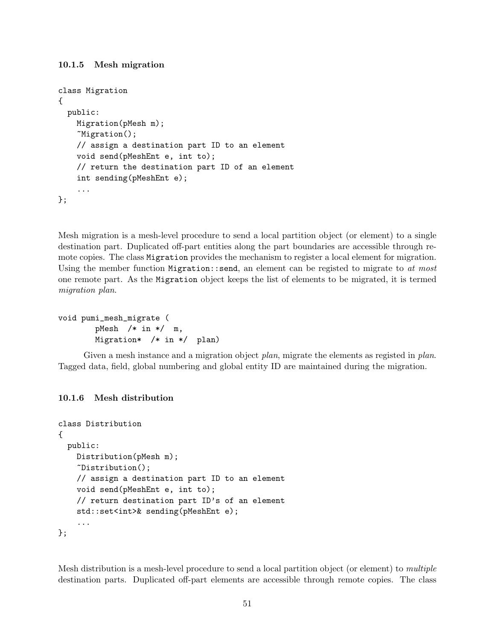## 10.1.5 Mesh migration

```
class Migration
{
 public:
    Migration(pMesh m);
    ~Migration();
    // assign a destination part ID to an element
    void send(pMeshEnt e, int to);
    // return the destination part ID of an element
    int sending(pMeshEnt e);
    ...
};
```
Mesh migration is a mesh-level procedure to send a local partition object (or element) to a single destination part. Duplicated off-part entities along the part boundaries are accessible through remote copies. The class Migration provides the mechanism to register a local element for migration. Using the member function Migration: send, an element can be registed to migrate to at most one remote part. As the Migration object keeps the list of elements to be migrated, it is termed migration plan.

```
void pumi_mesh_migrate (
       pMesh /* in */ m,
       Migration* /* in */ plan)
```
Given a mesh instance and a migration object plan, migrate the elements as registed in plan. Tagged data, field, global numbering and global entity ID are maintained during the migration.

## 10.1.6 Mesh distribution

```
class Distribution
{
 public:
   Distribution(pMesh m);
    ~Distribution();
    // assign a destination part ID to an element
    void send(pMeshEnt e, int to);
    // return destination part ID's of an element
    std::set<int>& sending(pMeshEnt e);
    ...
};
```
Mesh distribution is a mesh-level procedure to send a local partition object (or element) to multiple destination parts. Duplicated off-part elements are accessible through remote copies. The class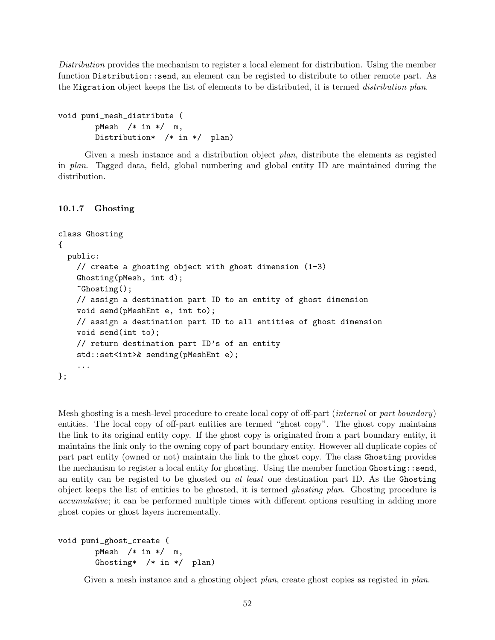Distribution provides the mechanism to register a local element for distribution. Using the member function Distribution::send, an element can be registed to distribute to other remote part. As the Migration object keeps the list of elements to be distributed, it is termed distribution plan.

```
void pumi_mesh_distribute (
       pMesh /* in */ m,
       Distribution* /* in */ plan)
```
Given a mesh instance and a distribution object *plan*, distribute the elements as registed in plan. Tagged data, field, global numbering and global entity ID are maintained during the distribution.

#### 10.1.7 Ghosting

```
class Ghosting
{
 public:
    // create a ghosting object with ghost dimension (1-3)
    Ghosting(pMesh, int d);
    ~Ghosting();
    // assign a destination part ID to an entity of ghost dimension
    void send(pMeshEnt e, int to);
    // assign a destination part ID to all entities of ghost dimension
    void send(int to);
    // return destination part ID's of an entity
    std::set<int>& sending(pMeshEnt e);
    ...
};
```
Mesh ghosting is a mesh-level procedure to create local copy of off-part *(internal or part boundary)* entities. The local copy of off-part entities are termed "ghost copy". The ghost copy maintains the link to its original entity copy. If the ghost copy is originated from a part boundary entity, it maintains the link only to the owning copy of part boundary entity. However all duplicate copies of part part entity (owned or not) maintain the link to the ghost copy. The class Ghosting provides the mechanism to register a local entity for ghosting. Using the member function Ghosting::send, an entity can be registed to be ghosted on at least one destination part ID. As the Ghosting object keeps the list of entities to be ghosted, it is termed ghosting plan. Ghosting procedure is accumulative; it can be performed multiple times with different options resulting in adding more ghost copies or ghost layers incrementally.

```
void pumi_ghost_create (
       pMesh /* in */ m,
       Ghosting* /* in */ plan)
```
Given a mesh instance and a ghosting object *plan*, create ghost copies as registed in *plan*.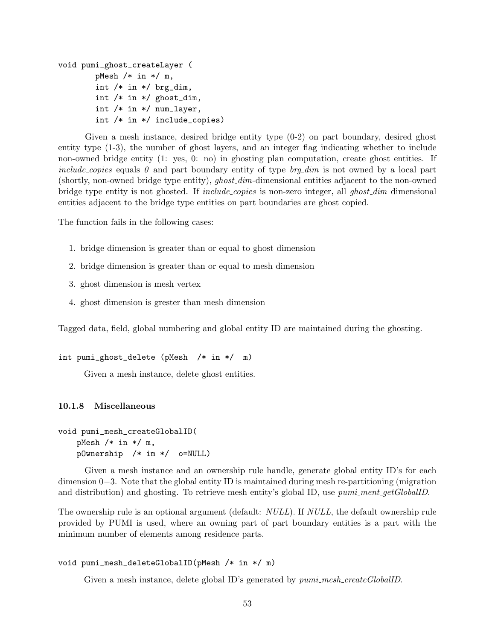```
void pumi_ghost_createLayer (
        pMesh /* in */ m,
        int /* in */ brg_dim,
        int /* in */ ghost_dim,
        int /* in */ num_layer,
        int /* in */ include_copies)
```
Given a mesh instance, desired bridge entity type (0-2) on part boundary, desired ghost entity type (1-3), the number of ghost layers, and an integer flag indicating whether to include non-owned bridge entity (1: yes, 0: no) in ghosting plan computation, create ghost entities. If *include copies* equals  $\theta$  and part boundary entity of type  $b$ rg dim is not owned by a local part (shortly, non-owned bridge type entity), *ghost\_dim*-dimensional entities adjacent to the non-owned bridge type entity is not ghosted. If *include copies* is non-zero integer, all ghost dimensional entities adjacent to the bridge type entities on part boundaries are ghost copied.

The function fails in the following cases:

- 1. bridge dimension is greater than or equal to ghost dimension
- 2. bridge dimension is greater than or equal to mesh dimension
- 3. ghost dimension is mesh vertex
- 4. ghost dimension is grester than mesh dimension

Tagged data, field, global numbering and global entity ID are maintained during the ghosting.

```
int pumi_ghost_delete (pMesh /* in */ m)
```
Given a mesh instance, delete ghost entities.

#### 10.1.8 Miscellaneous

```
void pumi_mesh_createGlobalID(
   pMesh /* in */ m,
   pOwnership /* im */ o=NULL)
```
Given a mesh instance and an ownership rule handle, generate global entity ID's for each dimension 0−3. Note that the global entity ID is maintained during mesh re-partitioning (migration and distribution) and ghosting. To retrieve mesh entity's global ID, use pumi\_ment\_getGlobalID.

The ownership rule is an optional argument (default: *NULL*). If *NULL*, the default ownership rule provided by PUMI is used, where an owning part of part boundary entities is a part with the minimum number of elements among residence parts.

#### void pumi\_mesh\_deleteGlobalID(pMesh /\* in \*/ m)

Given a mesh instance, delete global ID's generated by  $pumi\_mesh\_createGlobalID$ .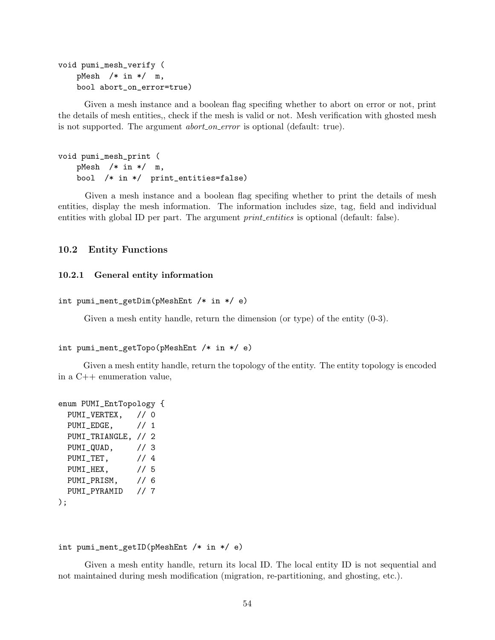```
void pumi_mesh_verify (
   pMesh /* in */ m,
   bool abort_on_error=true)
```
Given a mesh instance and a boolean flag specifing whether to abort on error or not, print the details of mesh entities,, check if the mesh is valid or not. Mesh verification with ghosted mesh is not supported. The argument *abort\_on\_error* is optional (default: true).

```
void pumi_mesh_print (
   pMesh /* in */ m,
   bool /* in */ print_entities=false)
```
Given a mesh instance and a boolean flag specifing whether to print the details of mesh entities, display the mesh information. The information includes size, tag, field and individual entities with global ID per part. The argument *print\_entities* is optional (default: false).

#### 10.2 Entity Functions

## 10.2.1 General entity information

```
int pumi_ment_getDim(pMeshEnt /* in */ e)
```
Given a mesh entity handle, return the dimension (or type) of the entity  $(0-3)$ .

```
int pumi_ment_getTopo(pMeshEnt /* in */ e)
```
Given a mesh entity handle, return the topology of the entity. The entity topology is encoded in a C++ enumeration value,

```
enum PUMI_EntTopology {
 PUMI_VERTEX, // 0
 PUMI_EDGE, // 1
 PUMI_TRIANGLE, // 2
 PUMI_QUAD, // 3
 PUMI_TET, // 4
 PUMI_HEX, // 5
 PUMI_PRISM, // 6
 PUMI_PYRAMID // 7
);
```
#### int pumi\_ment\_getID(pMeshEnt /\* in \*/ e)

Given a mesh entity handle, return its local ID. The local entity ID is not sequential and not maintained during mesh modification (migration, re-partitioning, and ghosting, etc.).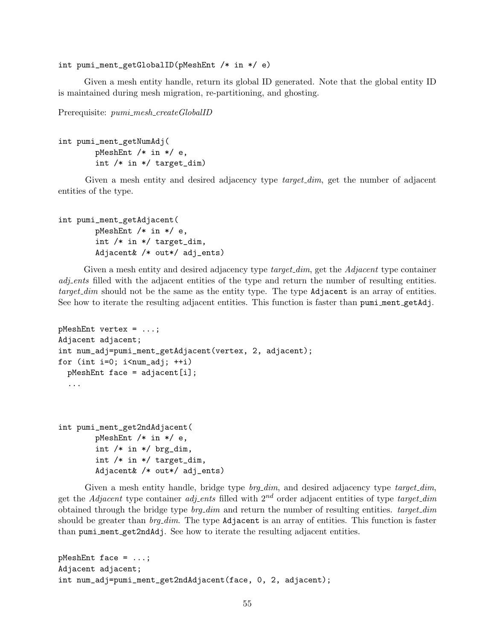int pumi\_ment\_getGlobalID(pMeshEnt /\* in \*/ e)

Given a mesh entity handle, return its global ID generated. Note that the global entity ID is maintained during mesh migration, re-partitioning, and ghosting.

Prerequisite:  $pumi\_mesh\_createGlobalID$ 

```
int pumi_ment_getNumAdj(
       pMeshEnt /* in */ e,
        int /* in */ target_dim)
```
Given a mesh entity and desired adjacency type *target\_dim*, get the number of adjacent entities of the type.

```
int pumi_ment_getAdjacent(
       pMeshEnt /* in */ e,
        int /* in */ target_dim,
        Adjacent& /* out*/ adj_ents)
```
Given a mesh entity and desired adjacency type *target dim*, get the *Adjacent* type container adjecture filled with the adjacent entities of the type and return the number of resulting entities.  $target\_dim$  should not be the same as the entity type. The type  $Adjacent$  is an array of entities. See how to iterate the resulting adjacent entities. This function is faster than pumi ment getAdj.

```
pMeshEnt vertex = ...;
Adjacent adjacent;
int num_adj=pumi_ment_getAdjacent(vertex, 2, adjacent);
for (int i=0; i < num_adj; +i)
  pMeshEnt face = adjacent[i];
  ...
int pumi_ment_get2ndAdjacent(
        pMeshEnt /* in */ e,
        int /* in */ brg_dim,
        int /* in */ target_dim,
        Adjacent& /* out*/ adj_ents)
```
Given a mesh entity handle, bridge type  $b r q_d dim$ , and desired adjacency type  $t \text{arget\_dim}$ , get the Adjacent type container adjected with  $2^{nd}$  order adjacent entities of type target\_dim obtained through the bridge type  $brq\_dim$  and return the number of resulting entities.  $target\_dim$ should be greater than  $brq\_dim$ . The type Adjacent is an array of entities. This function is faster than pumi ment get2ndAdj. See how to iterate the resulting adjacent entities.

```
pMeshEnt face = ...;
Adjacent adjacent;
int num_adj=pumi_ment_get2ndAdjacent(face, 0, 2, adjacent);
```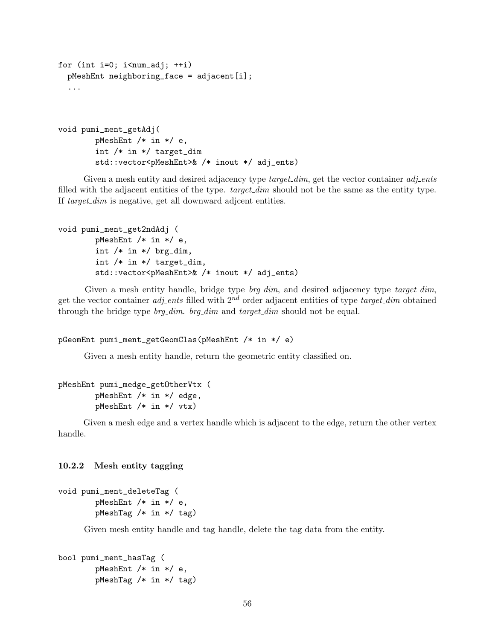```
for (int i=0; i<num_adj; ++i)
 pMeshEnt neighboring_face = adjacent[i];
  ...
void pumi_ment_getAdj(
        pMeshEnt /* in */ e,
        int /* in */ target_dim
        std::vector<pMeshEnt>& /* inout */ adj_ents)
```
Given a mesh entity and desired adjacency type  $target\_dim$ , get the vector container  $adj.ents$ filled with the adjacent entities of the type. target\_dim should not be the same as the entity type. If target\_dim is negative, get all downward adjecent entities.

```
void pumi_ment_get2ndAdj (
        pMeshEnt /* in */ e,
        int /* in */ brg_dim,
        int /* in */ target_dim,
        std::vector<pMeshEnt>& /* inout */ adj_ents)
```
Given a mesh entity handle, bridge type  $\textit{brg\_dim}$ , and desired adjacency type  $\textit{target\_dim}$ , get the vector container *adj-ents* filled with  $2^{nd}$  order adjacent entities of type *target\_dim* obtained through the bridge type *brg\_dim. brg\_dim* and *target\_dim* should not be equal.

```
pGeomEnt pumi_ment_getGeomClas(pMeshEnt /* in */ e)
```
Given a mesh entity handle, return the geometric entity classified on.

```
pMeshEnt pumi_medge_getOtherVtx (
        pMeshEnt /* in */ edge,
        pMeshEnt /* in */ vtx)
```
Given a mesh edge and a vertex handle which is adjacent to the edge, return the other vertex handle.

## 10.2.2 Mesh entity tagging

```
void pumi_ment_deleteTag (
        pMeshEnt /* in */ e,
        pMeshTag /* in */ tag)
```
Given mesh entity handle and tag handle, delete the tag data from the entity.

```
bool pumi_ment_hasTag (
        pMeshEnt /* in */ e,
        pMeshTag /* in */ tag)
```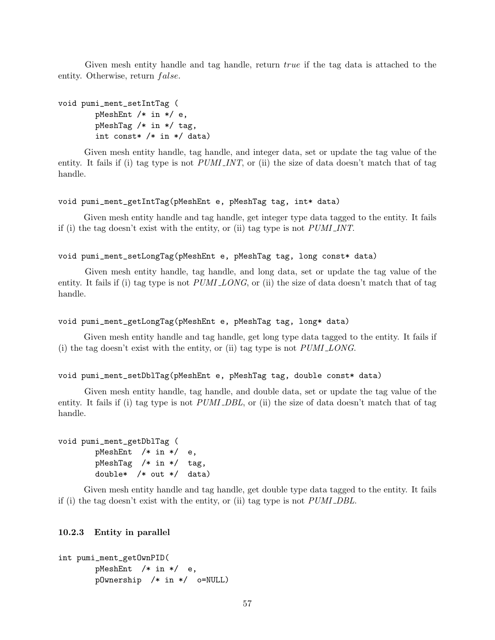Given mesh entity handle and tag handle, return true if the tag data is attached to the entity. Otherwise, return  $false$ .

```
void pumi_ment_setIntTag (
        pMeshEnt /* in */ e,
        pMeshTag /* in */ tag,
        int const* /* in */ data)
```
Given mesh entity handle, tag handle, and integer data, set or update the tag value of the entity. It fails if (i) tag type is not  $PUMI(NT)$ , or (ii) the size of data doesn't match that of tag handle.

#### void pumi\_ment\_getIntTag(pMeshEnt e, pMeshTag tag, int\* data)

Given mesh entity handle and tag handle, get integer type data tagged to the entity. It fails if (i) the tag doesn't exist with the entity, or (ii) tag type is not  $PUMI_INT$ .

```
void pumi_ment_setLongTag(pMeshEnt e, pMeshTag tag, long const* data)
```
Given mesh entity handle, tag handle, and long data, set or update the tag value of the entity. It fails if (i) tag type is not  $PUMLONG$ , or (ii) the size of data doesn't match that of tag handle.

#### void pumi\_ment\_getLongTag(pMeshEnt e, pMeshTag tag, long\* data)

Given mesh entity handle and tag handle, get long type data tagged to the entity. It fails if (i) the tag doesn't exist with the entity, or (ii) tag type is not  $PUMI\_LONG$ .

#### void pumi\_ment\_setDblTag(pMeshEnt e, pMeshTag tag, double const\* data)

Given mesh entity handle, tag handle, and double data, set or update the tag value of the entity. It fails if (i) tag type is not *PUMI DBL*, or (ii) the size of data doesn't match that of tag handle.

```
void pumi_ment_getDblTag (
       pMeshEnt /* in */ e,
       pMeshTag /* in */ tag,
       double* /* out */ data)
```
Given mesh entity handle and tag handle, get double type data tagged to the entity. It fails if (i) the tag doesn't exist with the entity, or (ii) tag type is not PUMI DBL.

### 10.2.3 Entity in parallel

```
int pumi_ment_getOwnPID(
       pMeshEnt /* in */ e,
       pOwnership /* in */ o=NULL)
```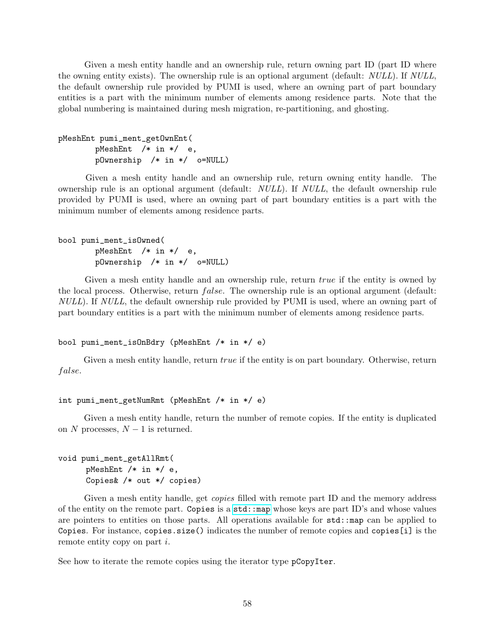Given a mesh entity handle and an ownership rule, return owning part ID (part ID where the owning entity exists). The ownership rule is an optional argument (default: NULL). If NULL, the default ownership rule provided by PUMI is used, where an owning part of part boundary entities is a part with the minimum number of elements among residence parts. Note that the global numbering is maintained during mesh migration, re-partitioning, and ghosting.

```
pMeshEnt pumi_ment_getOwnEnt(
       pMeshEnt /* in */ e,
       pOwnership /* in */ o=NULL)
```
Given a mesh entity handle and an ownership rule, return owning entity handle. The ownership rule is an optional argument (default: NULL). If NULL, the default ownership rule provided by PUMI is used, where an owning part of part boundary entities is a part with the minimum number of elements among residence parts.

```
bool pumi_ment_isOwned(
       pMeshEnt /* in */ e,
       pOwnership /* in */ o=NULL)
```
Given a mesh entity handle and an ownership rule, return *true* if the entity is owned by the local process. Otherwise, return *false*. The ownership rule is an optional argument (default: NULL). If NULL, the default ownership rule provided by PUMI is used, where an owning part of part boundary entities is a part with the minimum number of elements among residence parts.

```
bool pumi_ment_isOnBdry (pMeshEnt /* in */ e)
```
Given a mesh entity handle, return *true* if the entity is on part boundary. Otherwise, return false.

```
int pumi_ment_getNumRmt (pMeshEnt /* in */ e)
```
Given a mesh entity handle, return the number of remote copies. If the entity is duplicated on N processes,  $N-1$  is returned.

```
void pumi_ment_getAllRmt(
      pMeshEnt /* in */ e,
      Copies& /* out */ copies)
```
Given a mesh entity handle, get *copies* filled with remote part ID and the memory address of the entity on the remote part. Copies is a [std::map](http://www.cplusplus.com/reference/map/map/) whose keys are part ID's and whose values are pointers to entities on those parts. All operations available for std::map can be applied to Copies. For instance, copies.size() indicates the number of remote copies and copies[i] is the remote entity copy on part *i*.

See how to iterate the remote copies using the iterator type pCopyIter.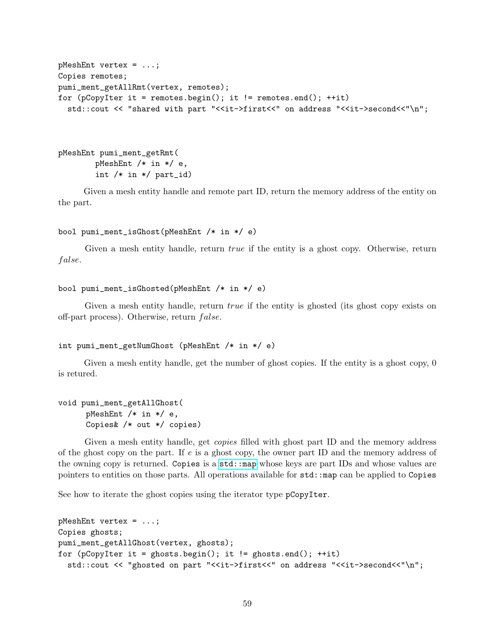```
pMeshEnt vertex = ...;
Copies remotes;
pumi_ment_getAllRmt(vertex, remotes);
for (pCopyIter it = remotes.begin(); it != remotes.end(); ++it)
  std::cout << "shared with part "<<it->first<<" on address "<<it->second<<"\n";
```

```
pMeshEnt pumi_ment_getRmt(
        pMeshEnt /* in */ e,
        int /* in */ part_id)
```
Given a mesh entity handle and remote part ID, return the memory address of the entity on the part.

```
bool pumi_ment_isGhost(pMeshEnt /* in */ e)
```
Given a mesh entity handle, return *true* if the entity is a ghost copy. Otherwise, return false.

```
bool pumi_ment_isGhosted(pMeshEnt /* in */ e)
```
Given a mesh entity handle, return *true* if the entity is ghosted (its ghost copy exists on off-part process). Otherwise, return *false*.

```
int pumi_ment_getNumGhost (pMeshEnt /* in */ e)
```
Given a mesh entity handle, get the number of ghost copies. If the entity is a ghost copy, 0 is retured.

```
void pumi_ment_getAllGhost(
      pMeshEnt /* in */ e,
      Copies& /* out */ copies)
```
Given a mesh entity handle, get *copies* filled with ghost part ID and the memory address of the ghost copy on the part. If  $e$  is a ghost copy, the owner part ID and the memory address of the owning copy is returned. Copies is a std: map whose keys are part IDs and whose values are pointers to entities on those parts. All operations available for std::map can be applied to Copies

See how to iterate the ghost copies using the iterator type pCopyIter.

```
pMeshEnt vertex = ...;
Copies ghosts;
pumi_ment_getAllGhost(vertex, ghosts);
for (pCopyIter it = ghosts.begin(); it != ghosts.end(); ++it)
  std::cout << "ghosted on part "<<it->first<<" on address "<<it->second<<"\n";
```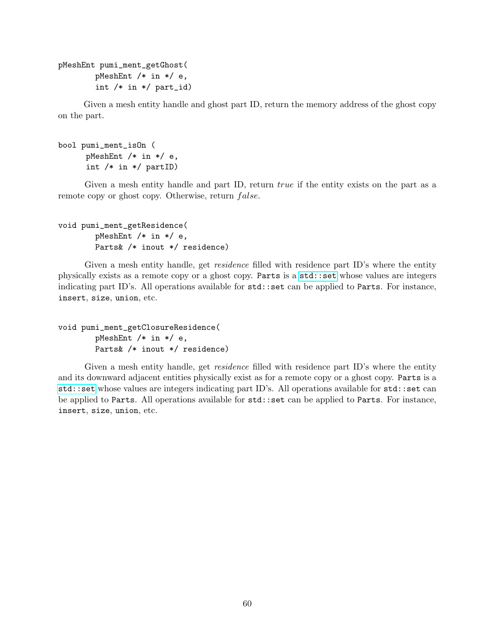```
pMeshEnt pumi_ment_getGhost(
        pMeshEnt /* in */ e,
        int /* in */ part_id)
```
Given a mesh entity handle and ghost part ID, return the memory address of the ghost copy on the part.

```
bool pumi_ment_isOn (
      pMeshEnt /* in */ e,
      int /* in */ partID)
```
Given a mesh entity handle and part ID, return *true* if the entity exists on the part as a remote copy or ghost copy. Otherwise, return  $false$ .

```
void pumi_ment_getResidence(
        pMeshEnt /* in */ e,
        Parts& /* inout */ residence)
```
Given a mesh entity handle, get *residence* filled with residence part ID's where the entity physically exists as a remote copy or a ghost copy. Parts is a [std::set](http://www.cplusplus.com/reference/set/set/) whose values are integers indicating part ID's. All operations available for std::set can be applied to Parts. For instance, insert, size, union, etc.

```
void pumi_ment_getClosureResidence(
        pMeshEnt /* in */ e,
        Parts& /* inout */ residence)
```
Given a mesh entity handle, get *residence* filled with residence part ID's where the entity and its downward adjacent entities physically exist as for a remote copy or a ghost copy. Parts is a [std::set](http://www.cplusplus.com/reference/set/set/) whose values are integers indicating part ID's. All operations available for std::set can be applied to Parts. All operations available for std::set can be applied to Parts. For instance, insert, size, union, etc.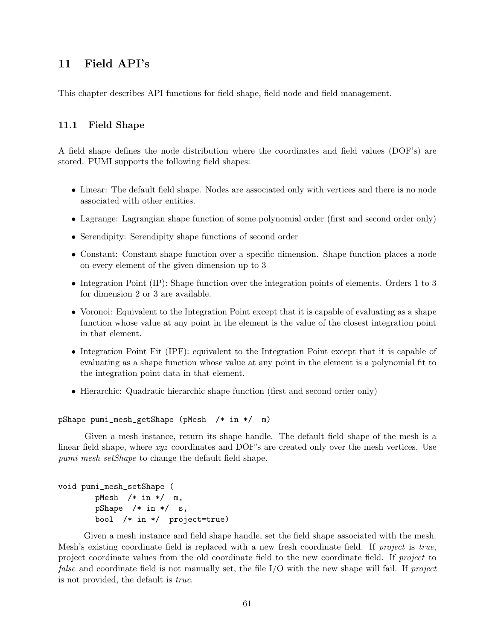## 11 Field API's

This chapter describes API functions for field shape, field node and field management.

## <span id="page-60-0"></span>11.1 Field Shape

A field shape defines the node distribution where the coordinates and field values (DOF's) are stored. PUMI supports the following field shapes:

- Linear: The default field shape. Nodes are associated only with vertices and there is no node associated with other entities.
- Lagrange: Lagrangian shape function of some polynomial order (first and second order only)
- Serendipity: Serendipity shape functions of second order
- Constant: Constant shape function over a specific dimension. Shape function places a node on every element of the given dimension up to 3
- Integration Point (IP): Shape function over the integration points of elements. Orders 1 to 3 for dimension 2 or 3 are available.
- Voronoi: Equivalent to the Integration Point except that it is capable of evaluating as a shape function whose value at any point in the element is the value of the closest integration point in that element.
- Integration Point Fit (IPF): equivalent to the Integration Point except that it is capable of evaluating as a shape function whose value at any point in the element is a polynomial fit to the integration point data in that element.
- Hierarchic: Quadratic hierarchic shape function (first and second order only)

#### pShape pumi\_mesh\_getShape (pMesh /\* in \*/ m)

Given a mesh instance, return its shape handle. The default field shape of the mesh is a linear field shape, where xyz coordinates and DOF's are created only over the mesh vertices. Use pumi\_mesh\_setShape to change the default field shape.

```
void pumi_mesh_setShape (
       pMesh /* in */ m,
       pShape /* in */ s,
       bool /* in */ project=true)
```
Given a mesh instance and field shape handle, set the field shape associated with the mesh. Mesh's existing coordinate field is replaced with a new fresh coordinate field. If project is true, project coordinate values from the old coordinate field to the new coordinate field. If project to false and coordinate field is not manually set, the file I/O with the new shape will fail. If project is not provided, the default is true.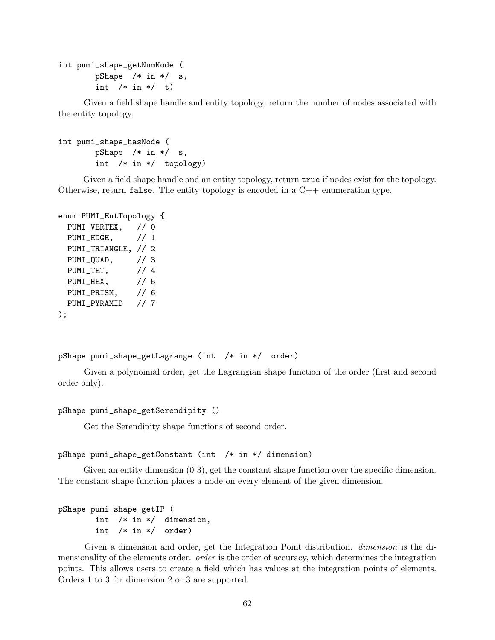```
int pumi_shape_getNumNode (
       pShape /* in */ s,
       int /* in */ t)
```
Given a field shape handle and entity topology, return the number of nodes associated with the entity topology.

```
int pumi_shape_hasNode (
       pShape /* in */ s,
       int /* in */ topology)
```
Given a field shape handle and an entity topology, return  $true$  if nodes exist for the topology. Otherwise, return false. The entity topology is encoded in a  $C++$  enumeration type.

```
enum PUMI_EntTopology {
 PUMI_VERTEX, // 0
 PUMI_EDGE, // 1
 PUMI_TRIANGLE, // 2
 PUMI_QUAD, // 3
 PUMI_TET, // 4
 PUMI_HEX, // 5
 PUMI_PRISM, // 6
 PUMI_PYRAMID // 7
);
```

```
pShape pumi_shape_getLagrange (int /* in */ order)
```
Given a polynomial order, get the Lagrangian shape function of the order (first and second order only).

```
pShape pumi_shape_getSerendipity ()
```
Get the Serendipity shape functions of second order.

```
pShape pumi_shape_getConstant (int /* in */ dimension)
```
Given an entity dimension  $(0-3)$ , get the constant shape function over the specific dimension. The constant shape function places a node on every element of the given dimension.

```
pShape pumi_shape_getIP (
       int /* in */ dimension,
       int /* in */ order)
```
Given a dimension and order, get the Integration Point distribution. *dimension* is the dimensionality of the elements order. *order* is the order of accuracy, which determines the integration points. This allows users to create a field which has values at the integration points of elements. Orders 1 to 3 for dimension 2 or 3 are supported.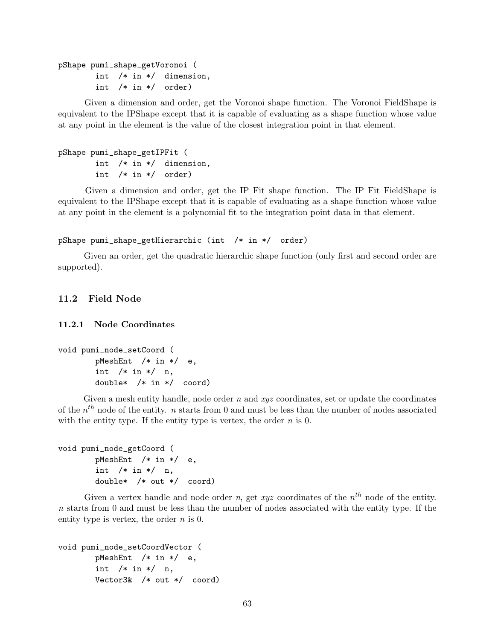pShape pumi\_shape\_getVoronoi ( int /\* in \*/ dimension, int /\* in \*/ order)

Given a dimension and order, get the Voronoi shape function. The Voronoi FieldShape is equivalent to the IPShape except that it is capable of evaluating as a shape function whose value at any point in the element is the value of the closest integration point in that element.

```
pShape pumi_shape_getIPFit (
       int /* in */ dimension,
       int /* in */ order)
```
Given a dimension and order, get the IP Fit shape function. The IP Fit FieldShape is equivalent to the IPShape except that it is capable of evaluating as a shape function whose value at any point in the element is a polynomial fit to the integration point data in that element.

```
pShape pumi_shape_getHierarchic (int /* in */ order)
```
Given an order, get the quadratic hierarchic shape function (only first and second order are supported).

## 11.2 Field Node

11.2.1 Node Coordinates

```
void pumi_node_setCoord (
       pMeshEnt /* in */ e,
       int /* in */ n,
       double* /* in */ coord)
```
Given a mesh entity handle, node order  $n$  and  $xyz$  coordinates, set or update the coordinates of the  $n^{th}$  node of the entity. *n* starts from 0 and must be less than the number of nodes associated with the entity type. If the entity type is vertex, the order  $n$  is 0.

```
void pumi_node_getCoord (
       pMeshEnt /* in */ e,
       int /* in */ n,
       double* /* out */ coord)
```
Given a vertex handle and node order n, get xyz coordinates of the  $n<sup>th</sup>$  node of the entity.  $n$  starts from 0 and must be less than the number of nodes associated with the entity type. If the entity type is vertex, the order  $n$  is 0.

```
void pumi_node_setCoordVector (
       pMeshEnt /* in */ e,
       int /* in */ n,
       Vector3& /* out */ coord)
```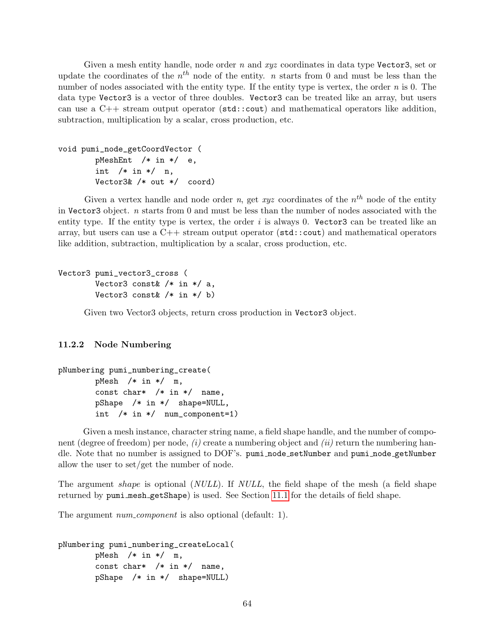Given a mesh entity handle, node order  $n$  and  $xyz$  coordinates in data type Vector3, set or update the coordinates of the  $n^{th}$  node of the entity. *n* starts from 0 and must be less than the number of nodes associated with the entity type. If the entity type is vertex, the order  $n$  is 0. The data type Vector3 is a vector of three doubles. Vector3 can be treated like an array, but users can use a  $C_{++}$  stream output operator ( $\text{std}$ :: $\text{cout}$ ) and mathematical operators like addition, subtraction, multiplication by a scalar, cross production, etc.

```
void pumi_node_getCoordVector (
       pMeshEnt /* in */ e,
       int /* in */ n,
       Vector3& /* out */ coord)
```
Given a vertex handle and node order n, get xyz coordinates of the  $n<sup>th</sup>$  node of the entity in Vector3 object.  $n$  starts from 0 and must be less than the number of nodes associated with the entity type. If the entity type is vertex, the order  $i$  is always 0. Vector3 can be treated like an array, but users can use a  $C_{++}$  stream output operator ( $\text{std}$ : cout) and mathematical operators like addition, subtraction, multiplication by a scalar, cross production, etc.

```
Vector3 pumi_vector3_cross (
        Vector3 const /* in */ a,
        Vector3 const& /* in */ b)
```
Given two Vector3 objects, return cross production in Vector3 object.

## 11.2.2 Node Numbering

```
pNumbering pumi_numbering_create(
       pMesh /* in */ m,
       const char* /* in */ name,
       pShape /* in */ shape=NULL,
       int /* in */ num_component=1)
```
Given a mesh instance, character string name, a field shape handle, and the number of component (degree of freedom) per node,  $(i)$  create a numbering object and  $(ii)$  return the numbering handle. Note that no number is assigned to DOF's. pumi node setNumber and pumi node getNumber allow the user to set/get the number of node.

The argument *shape* is optional (*NULL*). If *NULL*, the field shape of the mesh (a field shape returned by pumi mesh getShape) is used. See Section [11.1](#page-60-0) for the details of field shape.

The argument *num\_component* is also optional (default: 1).

```
pNumbering pumi_numbering_createLocal(
       pMesh /* in */ m,
       const char* /* in */ name,
       pShape /* in */ shape=NULL)
```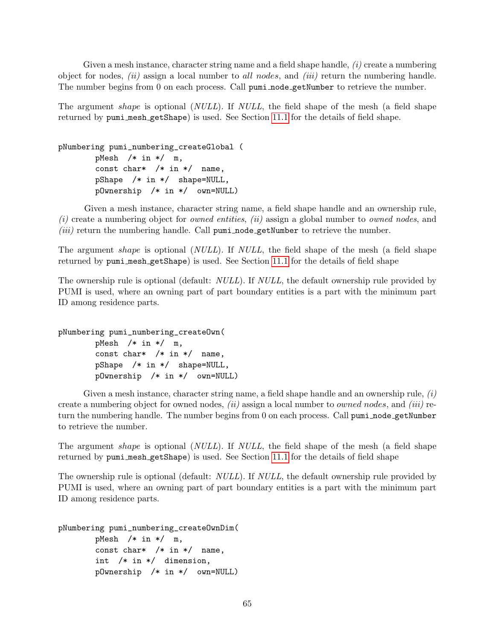Given a mesh instance, character string name and a field shape handle,  $(i)$  create a numbering object for nodes,  $(ii)$  assign a local number to all nodes, and  $(iii)$  return the numbering handle. The number begins from 0 on each process. Call pumi node getNumber to retrieve the number.

The argument shape is optional (NULL). If NULL, the field shape of the mesh (a field shape returned by pumi mesh getShape) is used. See Section [11.1](#page-60-0) for the details of field shape.

pNumbering pumi\_numbering\_createGlobal ( pMesh /\* in \*/ m, const char\* /\* in \*/ name, pShape /\* in \*/ shape=NULL, pOwnership /\* in \*/ own=NULL)

Given a mesh instance, character string name, a field shape handle and an ownership rule,  $(i)$  create a numbering object for *owned entities*,  $(ii)$  assign a global number to *owned nodes*, and  $(iii)$  return the numbering handle. Call  $pumi\_node\_getNumber$  to retrieve the number.

The argument *shape* is optional (*NULL*). If *NULL*, the field shape of the mesh (a field shape returned by pumi mesh getShape) is used. See Section [11.1](#page-60-0) for the details of field shape

The ownership rule is optional (default: *NULL*). If *NULL*, the default ownership rule provided by PUMI is used, where an owning part of part boundary entities is a part with the minimum part ID among residence parts.

pNumbering pumi\_numbering\_createOwn( pMesh  $/*$  in  $*/$  m, const char\*  $/*$  in \*/ name, pShape /\* in \*/ shape=NULL, pOwnership /\* in \*/ own=NULL)

Given a mesh instance, character string name, a field shape handle and an ownership rule,  $(i)$ create a numbering object for owned nodes,  $(ii)$  assign a local number to *owned nodes*, and  $(iii)$  return the numbering handle. The number begins from 0 on each process. Call pumi node getNumber to retrieve the number.

The argument shape is optional (NULL). If NULL, the field shape of the mesh (a field shape returned by pumi mesh getShape) is used. See Section [11.1](#page-60-0) for the details of field shape

The ownership rule is optional (default: *NULL*). If *NULL*, the default ownership rule provided by PUMI is used, where an owning part of part boundary entities is a part with the minimum part ID among residence parts.

```
pNumbering pumi_numbering_createOwnDim(
       pMesh /* in */ m,
       const char* /* in */ name,
```

```
int /* in */ dimension,
pOwnership /* in */ own=NULL)
```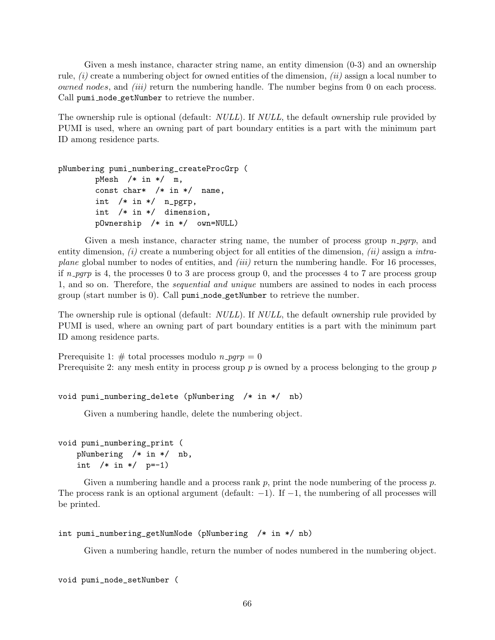Given a mesh instance, character string name, an entity dimension (0-3) and an ownership rule,  $(i)$  create a numbering object for owned entities of the dimension,  $(ii)$  assign a local number to owned nodes, and *(iii)* return the numbering handle. The number begins from 0 on each process. Call pumi node getNumber to retrieve the number.

The ownership rule is optional (default: *NULL*). If *NULL*, the default ownership rule provided by PUMI is used, where an owning part of part boundary entities is a part with the minimum part ID among residence parts.

```
pNumbering pumi_numbering_createProcGrp (
       pMesh /* in */ m,
       const char* /* in */ name,
       int /* in */ n_pgrp,
       int /* in */ dimension,
       pOwnership /* in */ own=NULL)
```
Given a mesh instance, character string name, the number of process group  $n$ -pgrp, and entity dimension,  $(i)$  create a numbering object for all entities of the dimension,  $(ii)$  assign a *intraplane* global number to nodes of entities, and *(iii)* return the numbering handle. For 16 processes, if  $n$ -pgrp is 4, the processes 0 to 3 are process group 0, and the processes 4 to 7 are process group 1, and so on. Therefore, the sequential and unique numbers are assined to nodes in each process group (start number is 0). Call pumi node getNumber to retrieve the number.

The ownership rule is optional (default: *NULL*). If *NULL*, the default ownership rule provided by PUMI is used, where an owning part of part boundary entities is a part with the minimum part ID among residence parts.

Prerequisite 1: # total processes modulo  $n$ -pqrp = 0 Prerequisite 2: any mesh entity in process group  $p$  is owned by a process belonging to the group  $p$ 

```
void pumi_numbering_delete (pNumbering /* in */ nb)
```
Given a numbering handle, delete the numbering object.

```
void pumi_numbering_print (
   pNumbering /* in */ nb,
   int /* in */ p=-1)
```
Given a numbering handle and a process rank  $p$ , print the node numbering of the process  $p$ . The process rank is an optional argument (default:  $-1$ ). If  $-1$ , the numbering of all processes will be printed.

```
int pumi_numbering_getNumNode (pNumbering /* in */ nb)
```
Given a numbering handle, return the number of nodes numbered in the numbering object.

```
void pumi_node_setNumber (
```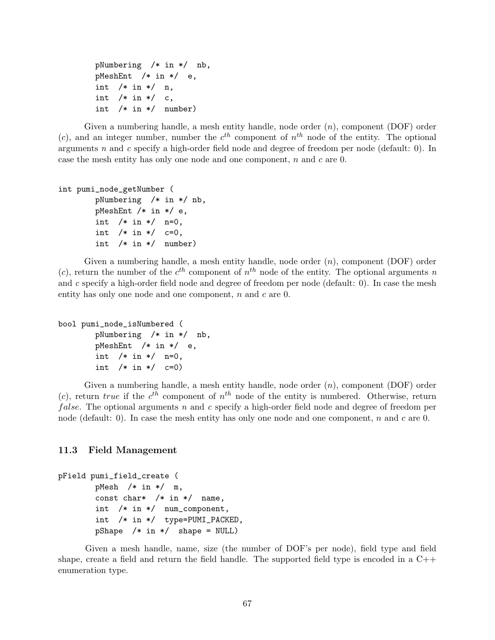```
pNumbering /* in */ nb,
pMeshEnt /* in */ e,
int /* in */ n,
int /* in */ c,
int /* in */ number)
```
Given a numbering handle, a mesh entity handle, node order  $(n)$ , component (DOF) order (c), and an integer number, number the  $c^{th}$  component of  $n^{th}$  node of the entity. The optional arguments  $n$  and  $c$  specify a high-order field node and degree of freedom per node (default: 0). In case the mesh entity has only one node and one component, n and c are 0.

```
int pumi_node_getNumber (
       pNumbering /* in */ nb,
       pMeshEnt /* in */ e,
        int /* in */ n=0,
        int /* in */ c=0,
        int /* in */ number)
```
Given a numbering handle, a mesh entity handle, node order  $(n)$ , component  $(DOF)$  order (c), return the number of the  $c^{th}$  component of  $n^{th}$  node of the entity. The optional arguments n and  $c$  specify a high-order field node and degree of freedom per node (default: 0). In case the mesh entity has only one node and one component, n and c are 0.

```
bool pumi_node_isNumbered (
       pNumbering /* in */ nb,
       pMeshEnt /* in */ e,
       int /* in */ n=0,
       int /* in */ c=0)
```
Given a numbering handle, a mesh entity handle, node order  $(n)$ , component  $(DOF)$  order (c), return true if the  $c^{th}$  component of  $n^{th}$  node of the entity is numbered. Otherwise, return *false.* The optional arguments n and c specify a high-order field node and degree of freedom per node (default: 0). In case the mesh entity has only one node and one component, n and c are 0.

## 11.3 Field Management

```
pField pumi_field_create (
       pMesh /* in */ m,
       const char* /* in */ name,
       int /* in */ num_component,
        int /* in */ type=PUMI_PACKED,
       pShape /* in */ shape = NULL)
```
Given a mesh handle, name, size (the number of DOF's per node), field type and field shape, create a field and return the field handle. The supported field type is encoded in a C++ enumeration type.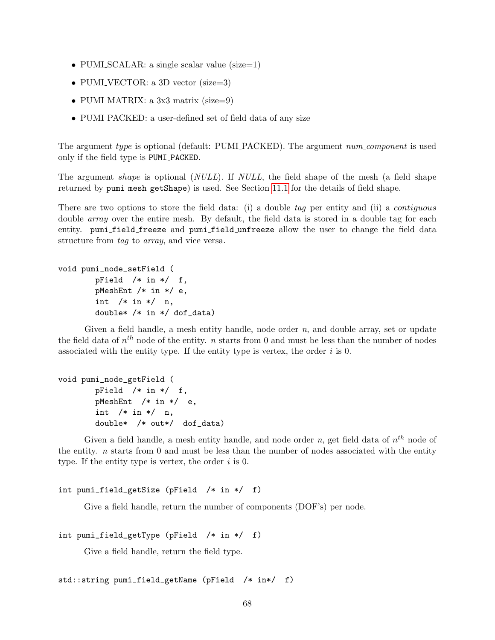- PUMLSCALAR: a single scalar value (size=1)
- PUMI\_VECTOR: a 3D vector (size=3)
- PUMI\_MATRIX: a 3x3 matrix (size=9)
- PUMI PACKED: a user-defined set of field data of any size

The argument type is optional (default: PUMI PACKED). The argument num-component is used only if the field type is PUMI PACKED.

The argument *shape* is optional (*NULL*). If *NULL*, the field shape of the mesh (a field shape returned by pumi mesh getShape) is used. See Section [11.1](#page-60-0) for the details of field shape.

There are two options to store the field data: (i) a double tag per entity and (ii) a *contiguous* double array over the entire mesh. By default, the field data is stored in a double tag for each entity. pumi field freeze and pumi field unfreeze allow the user to change the field data structure from tag to array, and vice versa.

```
void pumi_node_setField (
       pField /* in */ f,
       pMeshEnt /* in */ e,
       int /* in */ n,
       double* /* in */ dof_data)
```
Given a field handle, a mesh entity handle, node order  $n$ , and double array, set or update the field data of  $n^{th}$  node of the entity. *n* starts from 0 and must be less than the number of nodes associated with the entity type. If the entity type is vertex, the order  $i$  is 0.

```
void pumi_node_getField (
       pField /* in */ f,
       pMeshEnt /* in */ e,
       int /* in */ n,
       double* /* out*/ dof_data)
```
Given a field handle, a mesh entity handle, and node order n, get field data of  $n^{th}$  node of the entity.  $n$  starts from 0 and must be less than the number of nodes associated with the entity type. If the entity type is vertex, the order  $i$  is 0.

```
int pumi_field_getSize (pField /* in */ f)
```
Give a field handle, return the number of components (DOF's) per node.

```
int pumi_field_getType (pField /* in */ f)
```
Give a field handle, return the field type.

```
std::string pumi_field_getName (pField /* in*/ f)
```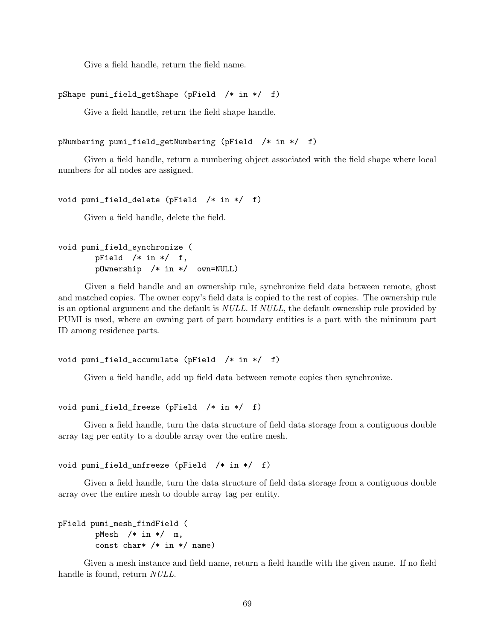Give a field handle, return the field name.

```
pShape pumi_field_getShape (pField /* in */ f)
```
Give a field handle, return the field shape handle.

```
pNumbering pumi_field_getNumbering (pField /* in */ f)
```
Given a field handle, return a numbering object associated with the field shape where local numbers for all nodes are assigned.

```
void pumi_field_delete (pField /* in */ f)
```
Given a field handle, delete the field.

```
void pumi_field_synchronize (
       pField /* in */ f,
       pOwnership /* in */ own=NULL)
```
Given a field handle and an ownership rule, synchronize field data between remote, ghost and matched copies. The owner copy's field data is copied to the rest of copies. The ownership rule is an optional argument and the default is NULL. If NULL, the default ownership rule provided by PUMI is used, where an owning part of part boundary entities is a part with the minimum part ID among residence parts.

```
void pumi_field_accumulate (pField /* in */ f)
```
Given a field handle, add up field data between remote copies then synchronize.

```
void pumi_field_freeze (pField /* in */ f)
```
Given a field handle, turn the data structure of field data storage from a contiguous double array tag per entity to a double array over the entire mesh.

```
void pumi_field_unfreeze (pField /* in */ f)
```
Given a field handle, turn the data structure of field data storage from a contiguous double array over the entire mesh to double array tag per entity.

```
pField pumi_mesh_findField (
       pMesh /* in */ m,
        const char* /* in */ name)
```
Given a mesh instance and field name, return a field handle with the given name. If no field handle is found, return NULL.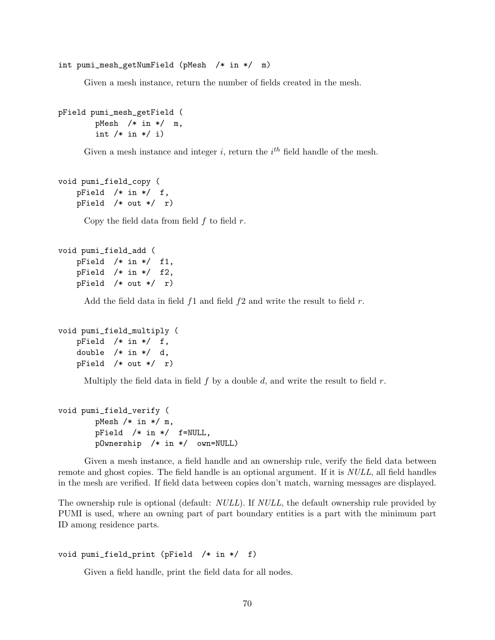int pumi\_mesh\_getNumField (pMesh /\* in \*/ m)

Given a mesh instance, return the number of fields created in the mesh.

```
pField pumi_mesh_getField (
       pMesh /* in */ m,
        int /* in */ i)
```
Given a mesh instance and integer i, return the  $i<sup>th</sup>$  field handle of the mesh.

```
void pumi_field_copy (
   pField /* in */ f,
   pField /* out */ r)
```
Copy the field data from field  $f$  to field  $r$ .

```
void pumi_field_add (
   pField /* in */ f1,
   pField /* in */ f2,
   pField /* out */ r)
```
Add the field data in field  $f_1$  and field  $f_2$  and write the result to field r.

```
void pumi_field_multiply (
   pField /* in */ f,
   double /* in */ d,
   pField /* out */ r)
```
Multiply the field data in field  $f$  by a double  $d$ , and write the result to field  $r$ .

```
void pumi_field_verify (
       pMesh /* in */ m,
       pField /* in */ f=NULL,
       pOwnership /* in */ own=NULL)
```
Given a mesh instance, a field handle and an ownership rule, verify the field data between remote and ghost copies. The field handle is an optional argument. If it is *NULL*, all field handles in the mesh are verified. If field data between copies don't match, warning messages are displayed.

The ownership rule is optional (default: *NULL*). If *NULL*, the default ownership rule provided by PUMI is used, where an owning part of part boundary entities is a part with the minimum part ID among residence parts.

#### void pumi\_field\_print (pField /\* in \*/ f)

Given a field handle, print the field data for all nodes.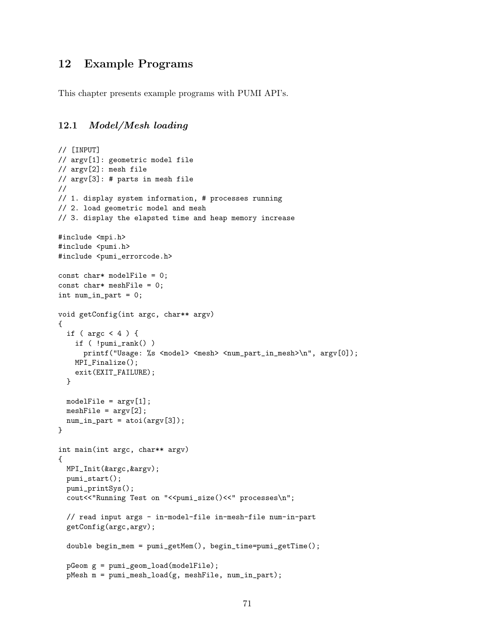# 12 Example Programs

This chapter presents example programs with PUMI API's.

## 12.1 Model/Mesh loading

```
// [INPUT]
// argv[1]: geometric model file
// argv[2]: mesh file
// argv[3]: # parts in mesh file
//
// 1. display system information, # processes running
// 2. load geometric model and mesh
// 3. display the elapsted time and heap memory increase
#include <mpi.h>
#include <pumi.h>
#include <pumi_errorcode.h>
const char* modelFile = 0;
const char* meshFile = 0;
int num_in_part = 0;
void getConfig(int argc, char** argv)
{
  if ( \arg c < 4 ) {
    if ( !pumi_rank() )
      printf("Usage: %s <model> <mesh> <num_part_in_mesh>\n", argv[0]);
    MPI_Finalize();
    exit(EXIT_FAILURE);
  }
 modelFile = argv[1];meshFile = \arg(v[2]);
 num_in-part = atoi(argv[3]);}
int main(int argc, char** argv)
{
  MPI_Init(&argc,&argv);
  pumi_start();
  pumi_printSys();
  cout<<"Running Test on "<<pumi_size()<<" processes\n";
  // read input args - in-model-file in-mesh-file num-in-part
  getConfig(argc,argv);
  double begin_mem = pumi_getMem(), begin_time=pumi_getTime();
  pGeom g = pumi_geom_load(modelFile);
  pMesh m = pumi_mesh_load(g, meshFile, num_in_part);
```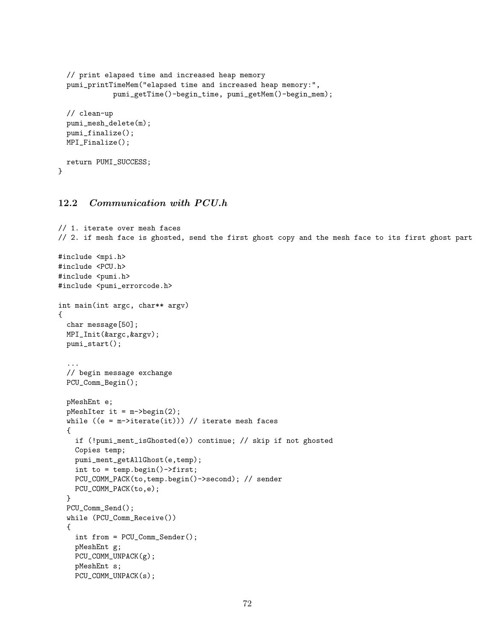```
// print elapsed time and increased heap memory
  pumi_printTimeMem("elapsed time and increased heap memory:",
             pumi_getTime()-begin_time, pumi_getMem()-begin_mem);
  // clean-up
  pumi_mesh_delete(m);
  pumi_finalize();
 MPI_Finalize();
 return PUMI_SUCCESS;
}
```
## 12.2 Communication with PCU.h

```
// 1. iterate over mesh faces
// 2. if mesh face is ghosted, send the first ghost copy and the mesh face to its first ghost part
#include <mpi.h>
#include <PCU.h>
#include <pumi.h>
#include <pumi_errorcode.h>
int main(int argc, char** argv)
{
  char message[50];
 MPI_Init(&argc,&argv);
  pumi_start();
  ...
  // begin message exchange
  PCU_Comm_Begin();
  pMeshEnt e;
  pMeshIter it = m->begin(2);
  while ((e = m-)iterate(it))) // iterate mesh faces
  {
    if (!pumi_ment_isGhosted(e)) continue; // skip if not ghosted
    Copies temp;
    pumi_ment_getAllGhost(e,temp);
    int to = temp.begin()->first;
    PCU_COMM_PACK(to,temp.begin()->second); // sender
    PCU_COMM_PACK(to,e);
  }
  PCU_Comm_Send();
  while (PCU_Comm_Receive())
  {
    int from = PCU_Comm_Sender();
    pMeshEnt g;
    PCU_COMM_UNPACK(g);
    pMeshEnt s;
    PCU_COMM_UNPACK(s);
```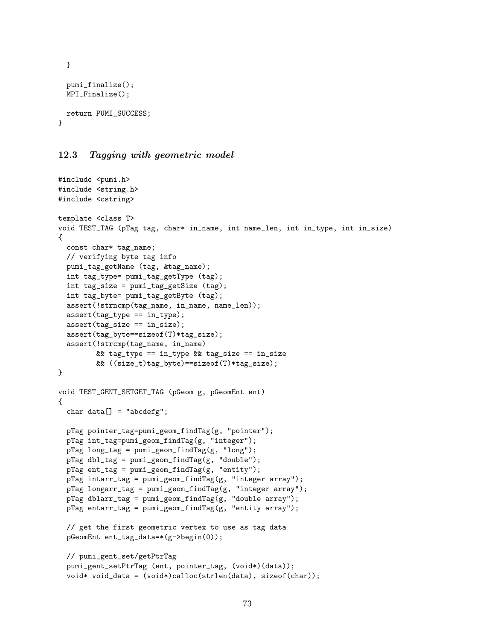```
}
 pumi_finalize();
 MPI_Finalize();
 return PUMI_SUCCESS;
}
```
#### 12.3 Tagging with geometric model

```
#include <pumi.h>
#include <string.h>
#include <cstring>
template <class T>
void TEST_TAG (pTag tag, char* in_name, int name_len, int in_type, int in_size)
{
 const char* tag_name;
  // verifying byte tag info
 pumi_tag_getName (tag, &tag_name);
 int tag_type= pumi_tag_getType (tag);
  int tag_size = pumi_tag_getSize (tag);
  int tag_byte= pumi_tag_getByte (tag);
  assert(!strncmp(tag_name, in_name, name_len));
  assert(tag_type == in_type);
  assert(tag_size == in_size);
  assert(tag_byte==sizeof(T)*tag_size);
 assert(!strcmp(tag_name, in_name)
         && tag_type == in_type && tag_size == in_size
         && ((size_t)tag_byte)==sizeof(T)*tag_size);
}
void TEST_GENT_SETGET_TAG (pGeom g, pGeomEnt ent)
{
 char data[] = "abcdefg";pTag pointer_tag=pumi_geom_findTag(g, "pointer");
  pTag int_tag=pumi_geom_findTag(g, "integer");
  pTag long\_tag = pumi\_geom\_findTag(g, "long");pTag dbl_tag = pumi_geom_findTag(g, "double");
  pTag ent_tag = pumi_geom_findTag(g, "entity");
  pTag intarr_tag = pumi_geom_findTag(g, "integer array");
 pTag longarr_tag = pumi_geom_findTag(g, "integer array");
  pTag dblarr_tag = pumi_geom_findTag(g, "double array");
 pTag entarr_tag = pumi_geom_findTag(g, "entity array");
  // get the first geometric vertex to use as tag data
  pGeomEnt ent_tag_data=*(g->begin(0));
  // pumi_gent_set/getPtrTag
  pumi_gent_setPtrTag (ent, pointer_tag, (void*)(data));
  void* void_data = (void*)calloc(strlen(data), sizeof(char));
```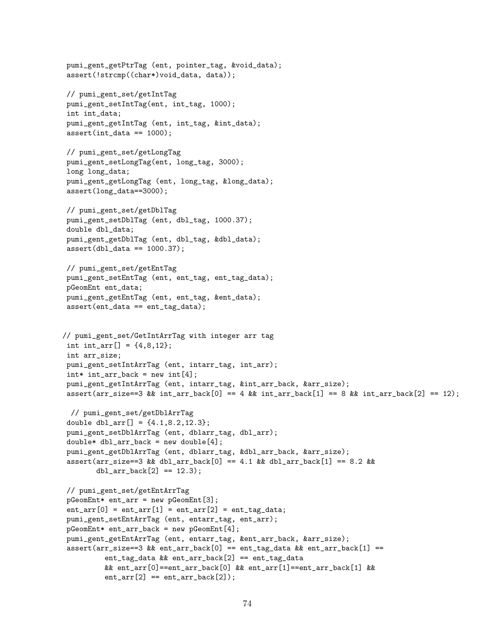```
pumi_gent_getPtrTag (ent, pointer_tag, &void_data);
 assert(!strcmp((char*)void_data, data));
 // pumi_gent_set/getIntTag
 pumi_gent_setIntTag(ent, int_tag, 1000);
 int int_data;
 pumi_gent_getIntTag (ent, int_tag, &int_data);
 assert(int_data == 1000);// pumi_gent_set/getLongTag
 pumi_gent_setLongTag(ent, long_tag, 3000);
 long long_data;
 pumi_gent_getLongTag (ent, long_tag, &long_data);
 assert(long_data==3000);
 // pumi_gent_set/getDblTag
 pumi_gent_setDblTag (ent, dbl_tag, 1000.37);
 double dbl_data;
 pumi_gent_getDblTag (ent, dbl_tag, &dbl_data);
 assert(dbl_data == 1000.37);
 // pumi_gent_set/getEntTag
 pumi_gent_setEntTag (ent, ent_tag, ent_tag_data);
 pGeomEnt ent_data;
 pumi_gent_getEntTag (ent, ent_tag, &ent_data);
 assert(ent_data == ent_tag_data);
// pumi_gent_set/GetIntArrTag with integer arr tag
 int int_{arr}[] = {4, 8, 12};int arr_size;
 pumi_gent_setIntArrTag (ent, intarr_tag, int_arr);
 int* int_arr_back = new int[4];pumi_gent_getIntArrTag (ent, intarr_tag, &int_arr_back, &arr_size);
 assert(arr_size==3 && int_arr_back[0] == 4 && int_arr_back[1] == 8 && int_arr_back[2] == 12);
 // pumi_gent_set/getDblArrTag
 double dbl_arr[] = \{4.1, 8.2, 12.3\};
 pumi_gent_setDblArrTag (ent, dblarr_tag, dbl_arr);
 double* dbl_arr_back = new double[4];
 pumi_gent_getDblArrTag (ent, dblarr_tag, &dbl_arr_back, &arr_size);
 assert(arr_size==3 && dbl_arr_back[0] == 4.1 && dbl_arr_back[1] == 8.2 &&
        db1_arr_back[2] == 12.3);// pumi_gent_set/getEntArrTag
 pGeomEnt* ent_arr = new pGeomEnt[3];
 ent_arr[0] = ent_arr[1] = ent_arr[2] = ent_tag_data;pumi_gent_setEntArrTag (ent, entarr_tag, ent_arr);
 pGeomEnt* ent_arr_back = new pGeomEnt[4];
 pumi_gent_getEntArrTag (ent, entarr_tag, &ent_arr_back, &arr_size);
 assert(arr_size==3 \& ent_arr_back[0] == ent_tag_data \& ent_arr_back[1] ==
          ent_tag_data && ent_arr_back[2] == ent_tag_data
          && ent_arr[0]==ent_arr_back[0] && ent_arr[1]==ent_arr_back[1] &&
          ent_arr[2] == ent_arr_back[2];
```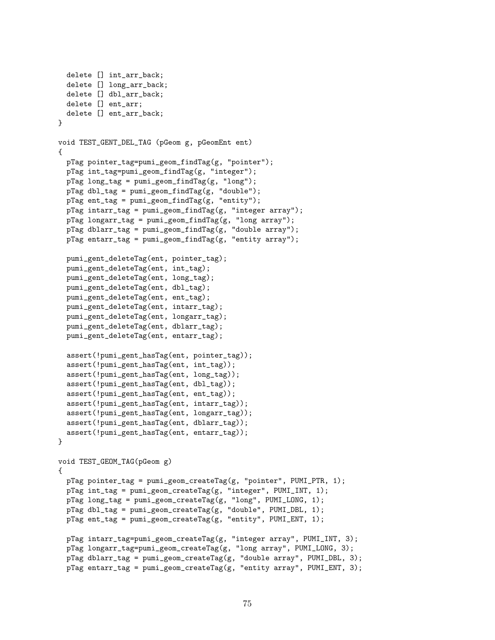```
delete [] int_arr_back;
  delete [] long_arr_back;
  delete [] dbl_arr_back;
  delete [] ent_arr;
  delete [] ent_arr_back;
}
void TEST_GENT_DEL_TAG (pGeom g, pGeomEnt ent)
{
  pTag pointer_tag=pumi_geom_findTag(g, "pointer");
  pTag int_tag=pumi_geom_findTag(g, "integer");
  pTag long_tag = pumi_geom_findTag(g, "long");
  pTag dbl_tag = pumi_geom_findTag(g, "double");
  pTag ent_tag = pumi_geom_findTag(g, "entity");
  pTag intarr_tag = pumi_geom_findTag(g, "integer array");
  pTag longarr_tag = pumi_geom_findTag(g, "long array");
  pTag dblarr_tag = pumi_geom_findTag(g, "double array");
  pTag entarr_tag = pumi_geom_findTag(g, "entity array");
  pumi_gent_deleteTag(ent, pointer_tag);
  pumi_gent_deleteTag(ent, int_tag);
  pumi_gent_deleteTag(ent, long_tag);
  pumi_gent_deleteTag(ent, dbl_tag);
  pumi_gent_deleteTag(ent, ent_tag);
  pumi_gent_deleteTag(ent, intarr_tag);
  pumi_gent_deleteTag(ent, longarr_tag);
  pumi_gent_deleteTag(ent, dblarr_tag);
  pumi_gent_deleteTag(ent, entarr_tag);
  assert(!pumi_gent_hasTag(ent, pointer_tag));
  assert(!pumi_gent_hasTag(ent, int_tag));
  assert(!pumi_gent_hasTag(ent, long_tag));
  assert(!pumi_gent_hasTag(ent, dbl_tag));
  assert(!pumi_gent_hasTag(ent, ent_tag));
  assert(!pumi_gent_hasTag(ent, intarr_tag));
  assert(!pumi_gent_hasTag(ent, longarr_tag));
  assert(!pumi_gent_hasTag(ent, dblarr_tag));
  assert(!pumi_gent_hasTag(ent, entarr_tag));
}
void TEST_GEOM_TAG(pGeom g)
{
 pTag pointer_tag = pumi_geom_createTag(g, "pointer", PUMI_PTR, 1);
  pTag int_tag = pumi_geom_createTag(g, "integer", PUMI_INT, 1);
  pTag long_tag = pumi_geom_createTag(g, "long", PUMI_LONG, 1);
  pTag dbl_tag = pumi_geom_createTag(g, "double", PUMI_DBL, 1);
  pTag ent_tag = pumi_geom_createTag(g, "entity", PUMI_ENT, 1);
  pTag intarr_tag=pumi_geom_createTag(g, "integer array", PUMI_INT, 3);
  pTag longarr_tag=pumi_geom_createTag(g, "long array", PUMI_LONG, 3);
  pTag dblarr_tag = pumi_geom_createTag(g, "double array", PUMI_DBL, 3);
  pTag entarr_tag = pumi_geom_createTag(g, "entity array", PUMI_ENT, 3);
```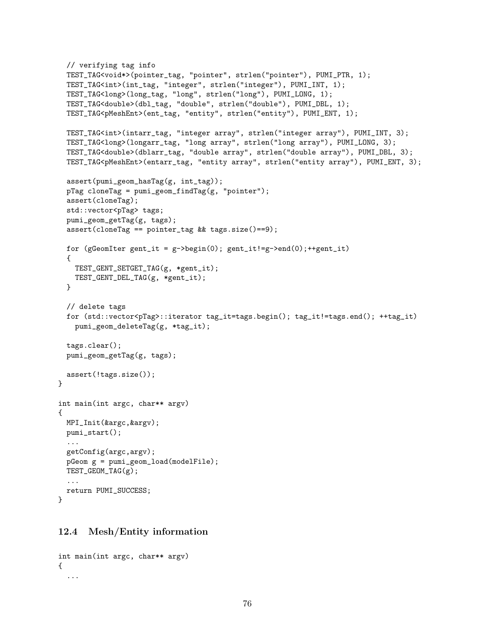```
// verifying tag info
  TEST_TAG<void*>(pointer_tag, "pointer", strlen("pointer"), PUMI_PTR, 1);
  TEST_TAG<int>(int_tag, "integer", strlen("integer"), PUMI_INT, 1);
  TEST_TAG<long>(long_tag, "long", strlen("long"), PUMI_LONG, 1);
  TEST_TAG<double>(dbl_tag, "double", strlen("double"), PUMI_DBL, 1);
  TEST_TAG<pMeshEnt>(ent_tag, "entity", strlen("entity"), PUMI_ENT, 1);
  TEST_TAG<int>(intarr_tag, "integer array", strlen("integer array"), PUMI_INT, 3);
  TEST_TAG<long>(longarr_tag, "long array", strlen("long array"), PUMI_LONG, 3);
  TEST_TAG<double>(dblarr_tag, "double array", strlen("double array"), PUMI_DBL, 3);
  TEST_TAG<pMeshEnt>(entarr_tag, "entity array", strlen("entity array"), PUMI_ENT, 3);
  assert(pumi_geom_hasTag(g, int_tag));
  pTag cloneTag = pumi\_geom\_findTag(g, "pointer");assert(cloneTag);
  std::vector<pTag> tags;
  pumi_geom_getTag(g, tags);
  assert(cloneTag == pointer_tag && tags.size()==9);
  for (gGeomIter gent_it = g->begin(0); gent_it!=g->end(0);++gent_it)
  {
   TEST_GENT_SETGET_TAG(g, *gent_it);
   TEST_GENT_DEL_TAG(g, *gent_it);
  }
  // delete tags
  for (std::vector<pTag>::iterator tag_it=tags.begin(); tag_it!=tags.end(); ++tag_it)
   pumi_geom_deleteTag(g, *tag_it);
  tags.clear();
 pumi_geom_getTag(g, tags);
 assert(!tags.size());
}
int main(int argc, char** argv)
{
 MPI_Init(&argc,&argv);
 pumi_start();
  ...
  getConfig(argc,argv);
  pGeom g = pumi_geom_load(modelFile);
 TEST_GEOM_TAG(g);
  ...
 return PUMI_SUCCESS;
```
#### 12.4 Mesh/Entity information

```
int main(int argc, char** argv)
{
  ...
```
}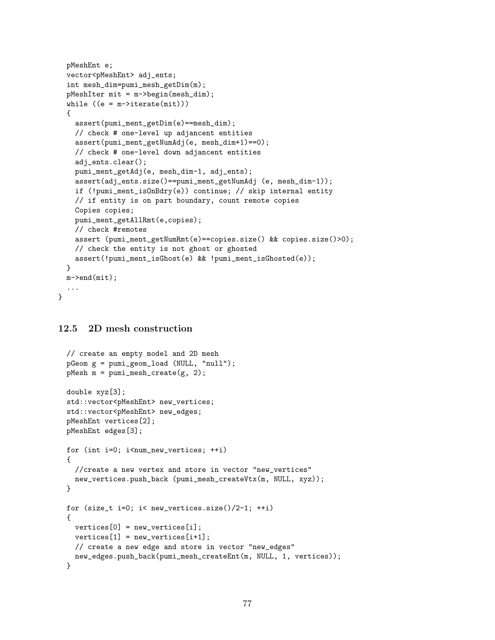```
pMeshEnt e;
  vector<pMeshEnt> adj_ents;
  int mesh_dim=pumi_mesh_getDim(m);
  pMeshIter mit = m->begin(mesh_dim);
  while ((e = m-)iterate(mit)){
   assert(pumi_ment_getDim(e)==mesh_dim);
   // check # one-level up adjancent entities
   assert(pumi_ment_getNumAdj(e, mesh_dim+1)==0);
   // check # one-level down adjancent entities
   adj_ents.clear();
   pumi_ment_getAdj(e, mesh_dim-1, adj_ents);
   assert(adj_ents.size()==pumi_ment_getNumAdj (e, mesh_dim-1));
   if (!pumi_ment_isOnBdry(e)) continue; // skip internal entity
   // if entity is on part boundary, count remote copies
   Copies copies;
   pumi_ment_getAllRmt(e,copies);
   // check #remotes
   assert (pumi_ment_getNumRmt(e)==copies.size() && copies.size()>0);
   // check the entity is not ghost or ghosted
   assert(!pumi_ment_isGhost(e) && !pumi_ment_isGhosted(e));
  }
 m->end(mit);
  ...
}
```
## 12.5 2D mesh construction

```
// create an empty model and 2D mesh
pGeom g = pumi_geom_load (NULL, "null");
pMesh m = pumi_mesh_create(g, 2);
double xyz[3];
std::vector<pMeshEnt> new_vertices;
std::vector<pMeshEnt> new_edges;
pMeshEnt vertices[2];
pMeshEnt edges[3];
for (int i=0; i<num_new_vertices; ++i)
{
  //create a new vertex and store in vector "new_vertices"
  new_vertices.push_back (pumi_mesh_createVtx(m, NULL, xyz));
}
for (size_t i=0; i< new_vertices.size()/2-1; ++i)
{
  vertices[0] = new_vertices[i];
  vertices[1] = new\_vertices[i+1];// create a new edge and store in vector "new_edges"
  new_edges.push_back(pumi_mesh_createEnt(m, NULL, 1, vertices));
}
```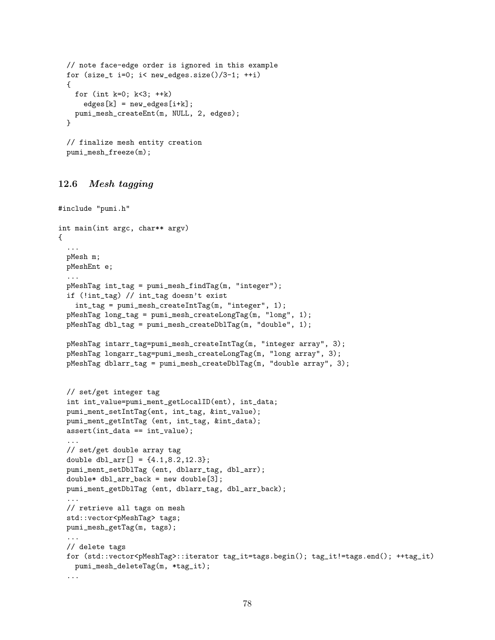```
// note face-edge order is ignored in this example
for (size_t i=0; i< new_edges.size()/3-1; ++i)
{
  for (int k=0; k<3; ++k)
    edges[k] = new_eedges[i+k];pumi_mesh_createEnt(m, NULL, 2, edges);
\mathbf{r}// finalize mesh entity creation
pumi_mesh_freeze(m);
```
#### 12.6 Mesh tagging

```
#include "pumi.h"
int main(int argc, char** argv)
{
  ...
 pMesh m;
 pMeshEnt e;
  ...
 pMeshTag int_tag = pumi_mesh_findTag(m, "integer");
  if (!int_tag) // int_tag doesn't exist
   int_tag = pumi_mesh_createIntTag(m, "integer", 1);
  pMeshTag long_tag = pumi_mesh_createLongTag(m, "long", 1);
  pMeshTag dbl_tag = pumi_mesh_createDblTag(m, "double", 1);
 pMeshTag intarr_tag=pumi_mesh_createIntTag(m, "integer array", 3);
 pMeshTag longarr_tag=pumi_mesh_createLongTag(m, "long array", 3);
  pMeshTag dblarr_tag = pumi_mesh_createDblTag(m, "double array", 3);
  // set/get integer tag
  int int_value=pumi_ment_getLocalID(ent), int_data;
  pumi_ment_setIntTag(ent, int_tag, &int_value);
 pumi_ment_getIntTag (ent, int_tag, &int_data);
  assert(int_data == int_value);
  ...
  // set/get double array tag
  double dbl_arr[] = \{4.1, 8.2, 12.3\};
  pumi_ment_setDblTag (ent, dblarr_tag, dbl_arr);
  double* dbl_arr_back = new double[3];
  pumi_ment_getDblTag (ent, dblarr_tag, dbl_arr_back);
  ...
  // retrieve all tags on mesh
  std::vector<pMeshTag> tags;
 pumi_mesh_getTag(m, tags);
  ...
 // delete tags
  for (std::vector<pMeshTag>::iterator tag_it=tags.begin(); tag_it!=tags.end(); ++tag_it)
   pumi_mesh_deleteTag(m, *tag_it);
  ...
```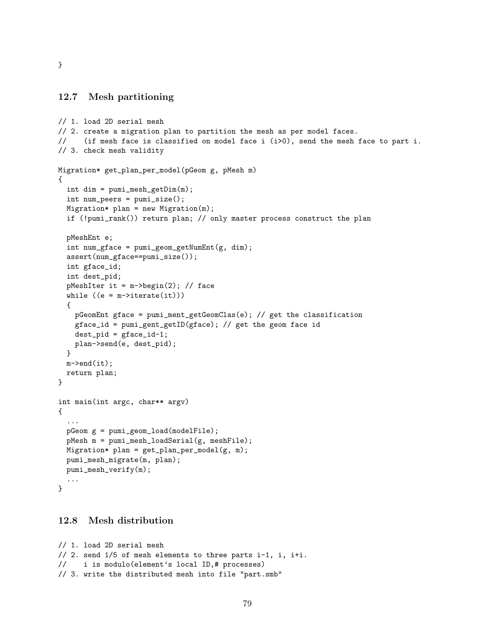}

#### 12.7 Mesh partitioning

```
// 1. load 2D serial mesh
// 2. create a migration plan to partition the mesh as per model faces.
// (if mesh face is classified on model face i (i>0), send the mesh face to part i.
// 3. check mesh validity
Migration* get_plan_per_model(pGeom g, pMesh m)
{
  int dim = pumi_mesh_getDim(m);
  int num_{peers} = pumi_size();Migration* plan = new Migration(m);
  if (!pumi_rank()) return plan; // only master process construct the plan
  pMeshEnt e;
  int num_gface = pumigeom\_getNumber(fg, dim);assert(num_gface==pumi_size());
  int gface_id;
  int dest_pid;
  pMeshIter it = m->begin(2); // face
  while ((e = m-)iterate(it)){
    pGeomEnt gface = pumi_ment_getGeomClas(e); // get the classification
    gface_id = pumi_gent_getID(gface); // get the geom face id
    dest\_pid = gface_id-1;plan->send(e, dest_pid);
  }
  m->end(it);
 return plan;
}
int main(int argc, char** argv)
{
  ...
  pGeom g = pumi_geom_load(modelFile);
  pMesh m = pumi_mesh_loadSerial(g, meshFile);
 Migration* plan = get\_plan\_per\_model(g, m);
  pumi_mesh_migrate(m, plan);
 pumi_mesh_verify(m);
  ...
}
```
#### 12.8 Mesh distribution

```
// 1. load 2D serial mesh
// 2. send 1/5 of mesh elements to three parts i-1, i, i+i.
// i is modulo(element's local ID,# processes)
// 3. write the distributed mesh into file "part.smb"
```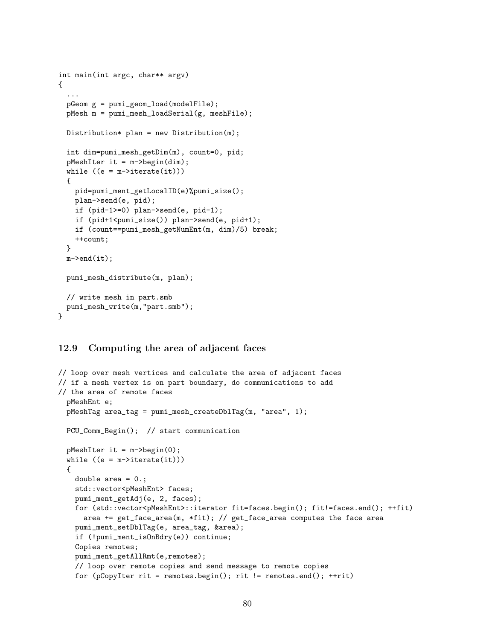```
int main(int argc, char** argv)
{
  ...
 pGeom g = pumi_geom_load(modelFile);
 pMesh m = pumi_mesh_loadSerial(g, meshFile);
 Distribution* plan = new Distribution(m);
  int dim=pumi_mesh_getDim(m), count=0, pid;
  pMeshIter it = m->begin(dim);
  while ((e = m-)iterate(it)){
   pid=pumi_ment_getLocalID(e)%pumi_size();
   plan->send(e, pid);
   if (pid-1>=0) plan->send(e, pid-1);
   if (pid+1<pumi_size()) plan->send(e, pid+1);
   if (count==pumi_mesh_getNumEnt(m, dim)/5) break;
   ++count;
 }
 m->end(it);
 pumi_mesh_distribute(m, plan);
 // write mesh in part.smb
 pumi_mesh_write(m,"part.smb");
}
```
#### 12.9 Computing the area of adjacent faces

```
// loop over mesh vertices and calculate the area of adjacent faces
// if a mesh vertex is on part boundary, do communications to add
// the area of remote faces
 pMeshEnt e;
 pMeshTag area_tag = pumi_mesh_createDblTag(m, "area", 1);
 PCU_Comm_Begin(); // start communication
 pMeshIter it = m->begin(0);
  while ((e = m-)iterate(it)){
   double area = 0.;
   std::vector<pMeshEnt> faces;
   pumi_ment_getAdj(e, 2, faces);
   for (std::vector<pMeshEnt>::iterator fit=faces.begin(); fit!=faces.end(); ++fit)
      area += get_face_area(m, *fit); // get_face_area computes the face area
   pumi_ment_setDblTag(e, area_tag, &area);
   if (!pumi_ment_isOnBdry(e)) continue;
   Copies remotes;
   pumi_ment_getAllRmt(e,remotes);
   // loop over remote copies and send message to remote copies
   for (pCopyIter rit = remotes.begin(); rit != remotes.end(); ++rit)
```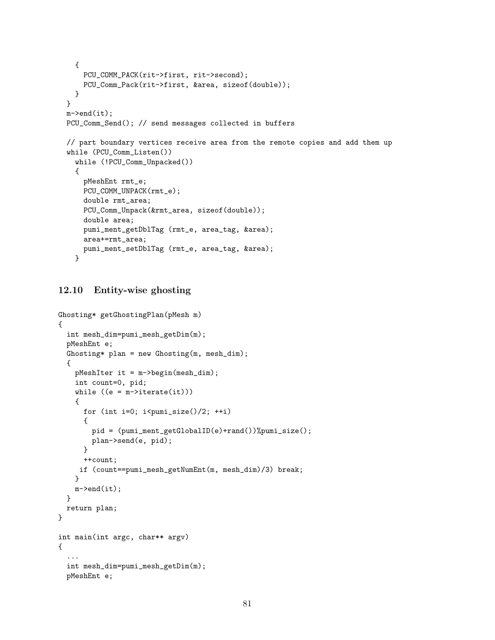```
{
    PCU_COMM_PACK(rit->first, rit->second);
    PCU_Comm_Pack(rit->first, &area, sizeof(double));
  }
}
m->end(it);
PCU_Comm_Send(); // send messages collected in buffers
// part boundary vertices receive area from the remote copies and add them up
while (PCU_Comm_Listen())
  while (!PCU_Comm_Unpacked())
  {
   pMeshEnt rmt_e;
   PCU_COMM_UNPACK(rmt_e);
    double rmt_area;
    PCU_Comm_Unpack(&rmt_area, sizeof(double));
    double area;
    pumi_ment_getDblTag (rmt_e, area_tag, &area);
    area+=rmt_area;
    pumi_ment_setDblTag (rmt_e, area_tag, &area);
  }
```
#### 12.10 Entity-wise ghosting

```
Ghosting* getGhostingPlan(pMesh m)
{
  int mesh_dim=pumi_mesh_getDim(m);
 pMeshEnt e;
 Ghosting* plan = new Ghosting(m, mesh_dim);
  {
   pMeshIter it = m->begin(mesh_dim);
   int count=0, pid;
   while ((e = m-)iterate(it)){
     for (int i=0; i<pumi_size()/2; ++i)
      {
       pid = (pumi_ment_getGlobalID(e)+rand())%pumi_size();
       plan->send(e, pid);
      }
     ++count;
    if (count==pumi_mesh_getNumEnt(m, mesh_dim)/3) break;
   }
   m->end(it);
 }
 return plan;
}
int main(int argc, char** argv)
{
  ...
  int mesh_dim=pumi_mesh_getDim(m);
 pMeshEnt e;
```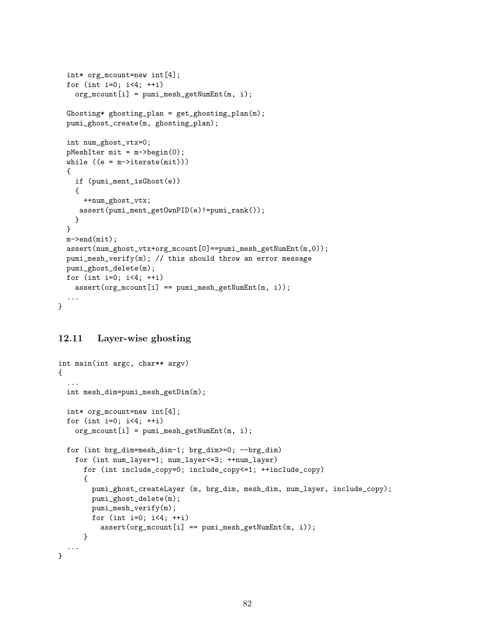```
int* org_mcount=new int[4];
  for (int i=0; i<4; ++i)
   org_mcount[i] = pumi_mesh_getNumEnt(m, i);
  Ghosting* ghosting_plan = get\_ghosting\_plan(m);pumi_ghost_create(m, ghosting_plan);
  int num_ghost_vtx=0;
  pMeshIter mit = m->begin(0);
  while ((e = m-)iterate(mit)){
   if (pumi_ment_isGhost(e))
    {
      ++num_ghost_vtx;
    assert(pumi_ment_getOwnPID(e)!=pumi_rank());
   }
  }
 m->end(mit);
  assert(num_ghost_vtx+org_mcount[0]==pumi_mesh_getNumEnt(m,0));
 pumi_mesh_verify(m); // this should throw an error message
 pumi_ghost_delete(m);
 for (int i=0; i<4; +i)
   assert(org\_mcount[i] == pumi\_mesh\_getNumEnt(m, i));...
}
```
## 12.11 Layer-wise ghosting

```
int main(int argc, char** argv)
{
  ...
  int mesh_dim=pumi_mesh_getDim(m);
  int* org_mcount=new int[4];
  for (int i=0; i<4; ++i)
    org_mcount[i] = pumi_mesh_getNumEnt(m, i);for (int brg_dim=mesh_dim-1; brg_dim>=0; --brg_dim)
    for (int num_layer=1; num_layer<=3; ++num_layer)
      for (int include_copy=0; include_copy<=1; ++include_copy)
      {
        pumi_ghost_createLayer (m, brg_dim, mesh_dim, num_layer, include_copy);
        pumi_ghost_delete(m);
        pumi_mesh_verify(m);
        for (int i=0; i<4; ++i)
          assert(org\_mcount[i] == pumi\_mesh\_getNumEnt(m, i));}
  ...
}
```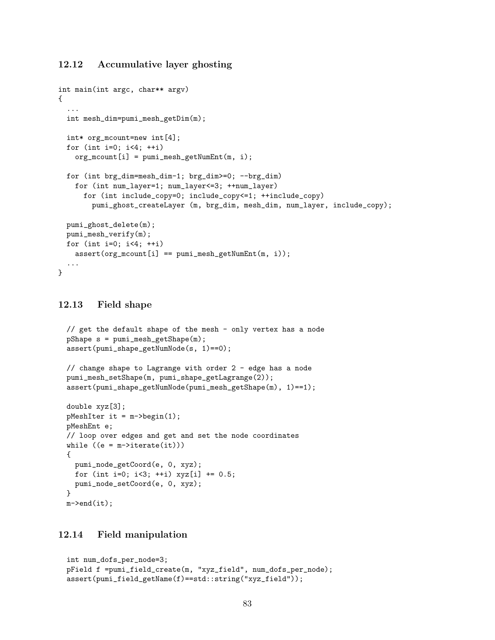### 12.12 Accumulative layer ghosting

```
int main(int argc, char** argv)
{
  ...
  int mesh_dim=pumi_mesh_getDim(m);
 int* org_mcount=new int[4];
  for (int i=0; i<4; +i)
   org_mcount[i] = pumi_mesh_getNumEnt(m, i);for (int brg_dim=mesh_dim-1; brg_dim>=0; --brg_dim)
   for (int num_layer=1; num_layer<=3; ++num_layer)
      for (int include_copy=0; include_copy<=1; ++include_copy)
        pumi_ghost_createLayer (m, brg_dim, mesh_dim, num_layer, include_copy);
 pumi_ghost_delete(m);
 pumi_mesh_verify(m);
  for (int i=0; i<4; ++i)
   assert(org\_mcount[i] == pumi\_mesh\_getNumEnt(m, i));...
}
```
#### 12.13 Field shape

```
// get the default shape of the mesh - only vertex has a node
pShape s = pumi_mesh_getShape(m);assert(pumi_shape_getNumNode(s, 1)==0);
// change shape to Lagrange with order 2 - edge has a node
pumi_mesh_setShape(m, pumi_shape_getLagrange(2));
assert(pumi_shape_getNumNode(pumi_mesh_getShape(m), 1)==1);
double xyz[3];
pMeshIter it = m->begin(1);
pMeshEnt e;
// loop over edges and get and set the node coordinates
while ((e = m-)iterate(it)){
  pumi_node_getCoord(e, 0, xyz);
  for (int i=0; i<3; ++i) xyz[i] += 0.5;
  pumi_node_setCoord(e, 0, xyz);
\mathbf{I}m->end(it);
```
#### 12.14 Field manipulation

```
int num_dofs_per_node=3;
pField f =pumi_field_create(m, "xyz_field", num_dofs_per_node);
assert(pumi_field_getName(f)==std::string("xyz_field"));
```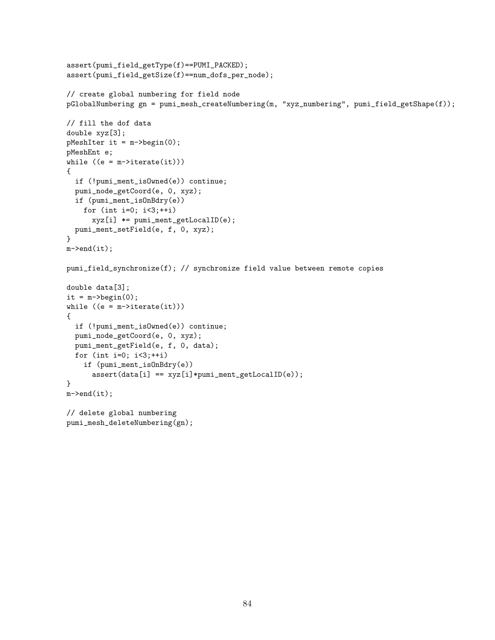```
assert(pumi_field_getType(f)==PUMI_PACKED);
assert(pumi_field_getSize(f)==num_dofs_per_node);
// create global numbering for field node
pGlobalNumbering gn = pumi_mesh_createNumbering(m, "xyz_numbering", pumi_field_getShape(f));
// fill the dof data
double xyz[3];
pMeshIter it = m->begin(0);
pMeshEnt e;
while ((e = m-)iterate(it)){
  if (!pumi_ment_isOwned(e)) continue;
  pumi_node_getCoord(e, 0, xyz);
  if (pumi_ment_isOnBdry(e))
   for (int i=0; i<3;++i)
     xyz[i] *= pumi_ment_getLocalID(e);
  pumi_ment_setField(e, f, 0, xyz);
}
m->end(it);
pumi_field_synchronize(f); // synchronize field value between remote copies
double data[3];
it = m->begin(0);
while ((e = m-)iterate(it)){
  if (!pumi_ment_isOwned(e)) continue;
  pumi_node_getCoord(e, 0, xyz);
  pumi_ment_getField(e, f, 0, data);
  for (int i=0; i<3;++i)
    if (pumi_ment_isOnBdry(e))
      assert(data[i] == xyz[i]*pumi_ment_getLocalID(e));
}
m->end(it);
// delete global numbering
pumi_mesh_deleteNumbering(gn);
```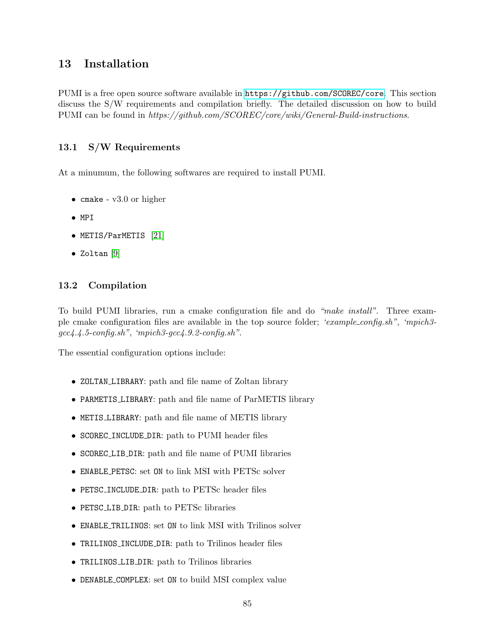# 13 Installation

PUMI is a free open source software available in <https://github.com/SCOREC/core>. This section discuss the S/W requirements and compilation briefly. The detailed discussion on how to build PUMI can be found in https://github.com/SCOREC/core/wiki/General-Build-instructions.

# 13.1 S/W Requirements

At a minumum, the following softwares are required to install PUMI.

- cmake v3.0 or higher
- MPI
- METIS/ParMETIS [\[21\]](#page-88-0)
- Zoltan [\[9\]](#page-87-0)

# 13.2 Compilation

To build PUMI libraries, run a cmake configuration file and do "make install". Three example cmake configuration files are available in the top source folder; 'example config.sh", 'mpich3 gcc4.4.5-config.sh", 'mpich3-gcc4.9.2-config.sh".

The essential configuration options include:

- ZOLTAN LIBRARY: path and file name of Zoltan library
- PARMETIS LIBRARY: path and file name of ParMETIS library
- METIS LIBRARY: path and file name of METIS library
- SCOREC INCLUDE DIR: path to PUMI header files
- SCOREC LIB DIR: path and file name of PUMI libraries
- ENABLE PETSC: set ON to link MSI with PETSc solver
- PETSC INCLUDE DIR: path to PETSc header files
- PETSC LIB DIR: path to PETSc libraries
- ENABLE TRILINOS: set ON to link MSI with Trilinos solver
- TRILINOS\_INCLUDE\_DIR: path to Trilinos header files
- TRILINOS LIB DIR: path to Trilinos libraries
- DENABLE COMPLEX: set ON to build MSI complex value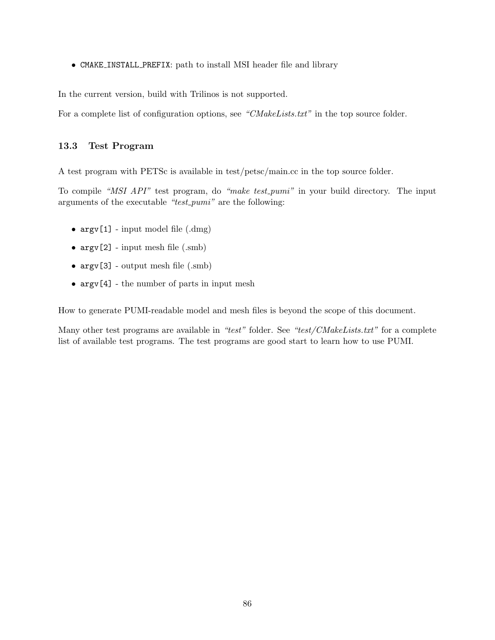• CMAKE INSTALL PREFIX: path to install MSI header file and library

In the current version, build with Trilinos is not supported.

For a complete list of configuration options, see "CMakeLists.txt" in the top source folder.

### 13.3 Test Program

A test program with PETSc is available in test/petsc/main.cc in the top source folder.

To compile "MSI API" test program, do "make test *pumi*" in your build directory. The input arguments of the executable " $test\_pumi$ " are the following:

- $argv[1]$  input model file  $(dmg)$
- $argv[2] input mesh file (.smb)$
- $argv[3]$  output mesh file (.smb)
- argv[4] the number of parts in input mesh

How to generate PUMI-readable model and mesh files is beyond the scope of this document.

Many other test programs are available in "test" folder. See "test/CMakeLists.txt" for a complete list of available test programs. The test programs are good start to learn how to use PUMI.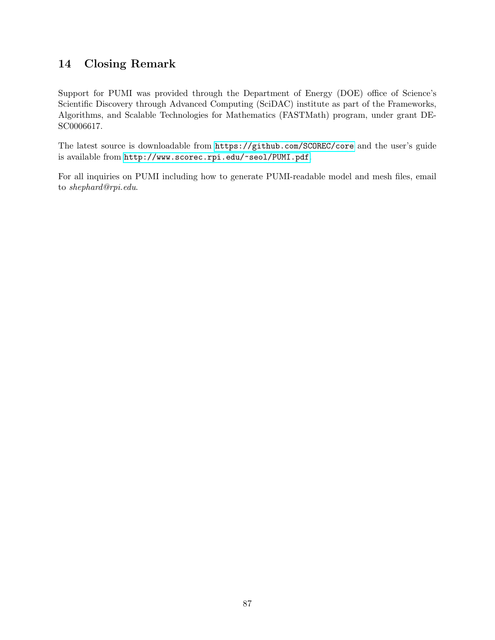# 14 Closing Remark

Support for PUMI was provided through the Department of Energy (DOE) office of Science's Scientific Discovery through Advanced Computing (SciDAC) institute as part of the Frameworks, Algorithms, and Scalable Technologies for Mathematics (FASTMath) program, under grant DE-SC0006617.

The latest source is downloadable from <https://github.com/SCOREC/core> and the user's guide is available from <http://www.scorec.rpi.edu/~seol/PUMI.pdf>.

For all inquiries on PUMI including how to generate PUMI-readable model and mesh files, email to shephard@rpi.edu.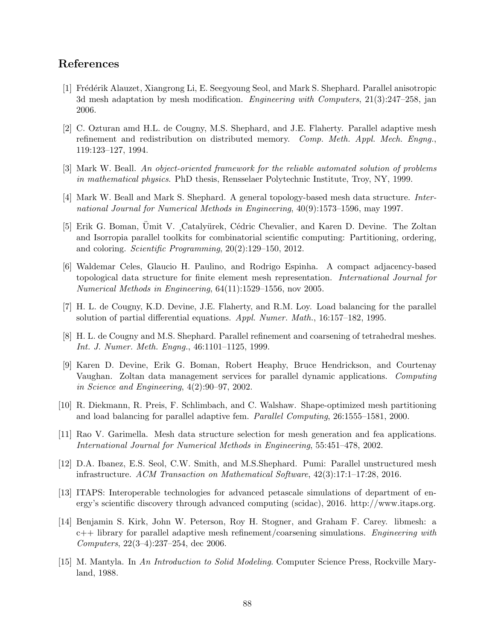# References

- [1] Fr´ed´erik Alauzet, Xiangrong Li, E. Seegyoung Seol, and Mark S. Shephard. Parallel anisotropic 3d mesh adaptation by mesh modification. Engineering with Computers, 21(3):247–258, jan 2006.
- [2] C. Ozturan amd H.L. de Cougny, M.S. Shephard, and J.E. Flaherty. Parallel adaptive mesh refinement and redistribution on distributed memory. Comp. Meth. Appl. Mech. Engng., 119:123–127, 1994.
- [3] Mark W. Beall. An object-oriented framework for the reliable automated solution of problems in mathematical physics. PhD thesis, Rensselaer Polytechnic Institute, Troy, NY, 1999.
- [4] Mark W. Beall and Mark S. Shephard. A general topology-based mesh data structure. International Journal for Numerical Methods in Engineering, 40(9):1573–1596, may 1997.
- [5] Erik G. Boman, Umit V. ,Catalyürek, Cédric Chevalier, and Karen D. Devine. The Zoltan and Isorropia parallel toolkits for combinatorial scientific computing: Partitioning, ordering, and coloring. Scientific Programming, 20(2):129–150, 2012.
- [6] Waldemar Celes, Glaucio H. Paulino, and Rodrigo Espinha. A compact adjacency-based topological data structure for finite element mesh representation. International Journal for Numerical Methods in Engineering, 64(11):1529–1556, nov 2005.
- [7] H. L. de Cougny, K.D. Devine, J.E. Flaherty, and R.M. Loy. Load balancing for the parallel solution of partial differential equations. Appl. Numer. Math., 16:157–182, 1995.
- [8] H. L. de Cougny and M.S. Shephard. Parallel refinement and coarsening of tetrahedral meshes. Int. J. Numer. Meth. Engng., 46:1101–1125, 1999.
- <span id="page-87-0"></span>[9] Karen D. Devine, Erik G. Boman, Robert Heaphy, Bruce Hendrickson, and Courtenay Vaughan. Zoltan data management services for parallel dynamic applications. Computing in Science and Engineering, 4(2):90–97, 2002.
- [10] R. Diekmann, R. Preis, F. Schlimbach, and C. Walshaw. Shape-optimized mesh partitioning and load balancing for parallel adaptive fem. Parallel Computing, 26:1555–1581, 2000.
- [11] Rao V. Garimella. Mesh data structure selection for mesh generation and fea applications. International Journal for Numerical Methods in Engineering, 55:451–478, 2002.
- [12] D.A. Ibanez, E.S. Seol, C.W. Smith, and M.S.Shephard. Pumi: Parallel unstructured mesh infrastructure. ACM Transaction on Mathematical Software, 42(3):17:1–17:28, 2016.
- [13] ITAPS: Interoperable technologies for advanced petascale simulations of department of energy's scientific discovery through advanced computing (scidac), 2016. http://www.itaps.org.
- [14] Benjamin S. Kirk, John W. Peterson, Roy H. Stogner, and Graham F. Carey. libmesh: a  $c++$  library for parallel adaptive mesh refinement/coarsening simulations. Engineering with Computers, 22(3–4):237–254, dec 2006.
- [15] M. Mantyla. In An Introduction to Solid Modeling. Computer Science Press, Rockville Maryland, 1988.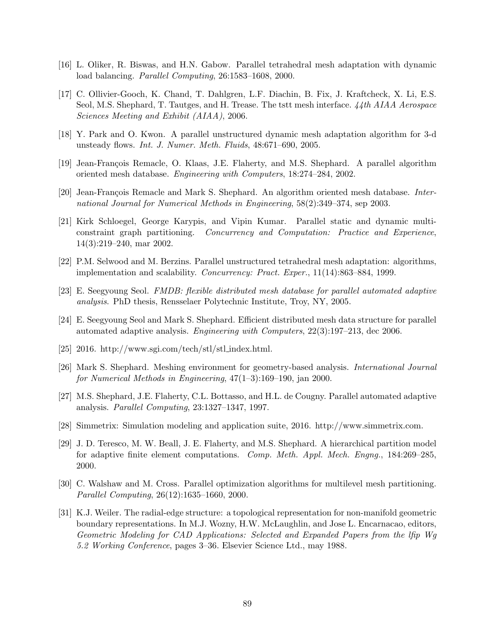- [16] L. Oliker, R. Biswas, and H.N. Gabow. Parallel tetrahedral mesh adaptation with dynamic load balancing. Parallel Computing, 26:1583–1608, 2000.
- [17] C. Ollivier-Gooch, K. Chand, T. Dahlgren, L.F. Diachin, B. Fix, J. Kraftcheck, X. Li, E.S. Seol, M.S. Shephard, T. Tautges, and H. Trease. The tstt mesh interface. 44th AIAA Aerospace Sciences Meeting and Exhibit (AIAA), 2006.
- [18] Y. Park and O. Kwon. A parallel unstructured dynamic mesh adaptation algorithm for 3-d unsteady flows. Int. J. Numer. Meth. Fluids, 48:671–690, 2005.
- [19] Jean-François Remacle, O. Klaas, J.E. Flaherty, and M.S. Shephard. A parallel algorithm oriented mesh database. Engineering with Computers, 18:274–284, 2002.
- [20] Jean-François Remacle and Mark S. Shephard. An algorithm oriented mesh database. International Journal for Numerical Methods in Engineering, 58(2):349–374, sep 2003.
- <span id="page-88-0"></span>[21] Kirk Schloegel, George Karypis, and Vipin Kumar. Parallel static and dynamic multiconstraint graph partitioning. Concurrency and Computation: Practice and Experience, 14(3):219–240, mar 2002.
- [22] P.M. Selwood and M. Berzins. Parallel unstructured tetrahedral mesh adaptation: algorithms, implementation and scalability. Concurrency: Pract. Exper., 11(14):863–884, 1999.
- [23] E. Seegyoung Seol. FMDB: flexible distributed mesh database for parallel automated adaptive analysis. PhD thesis, Rensselaer Polytechnic Institute, Troy, NY, 2005.
- [24] E. Seegyoung Seol and Mark S. Shephard. Efficient distributed mesh data structure for parallel automated adaptive analysis. Engineering with Computers, 22(3):197–213, dec 2006.
- [25] 2016. http://www.sgi.com/tech/stl/stl index.html.
- [26] Mark S. Shephard. Meshing environment for geometry-based analysis. International Journal for Numerical Methods in Engineering, 47(1–3):169–190, jan 2000.
- [27] M.S. Shephard, J.E. Flaherty, C.L. Bottasso, and H.L. de Cougny. Parallel automated adaptive analysis. Parallel Computing, 23:1327–1347, 1997.
- [28] Simmetrix: Simulation modeling and application suite, 2016. http://www.simmetrix.com.
- [29] J. D. Teresco, M. W. Beall, J. E. Flaherty, and M.S. Shephard. A hierarchical partition model for adaptive finite element computations. Comp. Meth. Appl. Mech. Engng., 184:269–285, 2000.
- [30] C. Walshaw and M. Cross. Parallel optimization algorithms for multilevel mesh partitioning. Parallel Computing, 26(12):1635–1660, 2000.
- [31] K.J. Weiler. The radial-edge structure: a topological representation for non-manifold geometric boundary representations. In M.J. Wozny, H.W. McLaughlin, and Jose L. Encarnacao, editors, Geometric Modeling for CAD Applications: Selected and Expanded Papers from the lfip Wg 5.2 Working Conference, pages 3–36. Elsevier Science Ltd., may 1988.